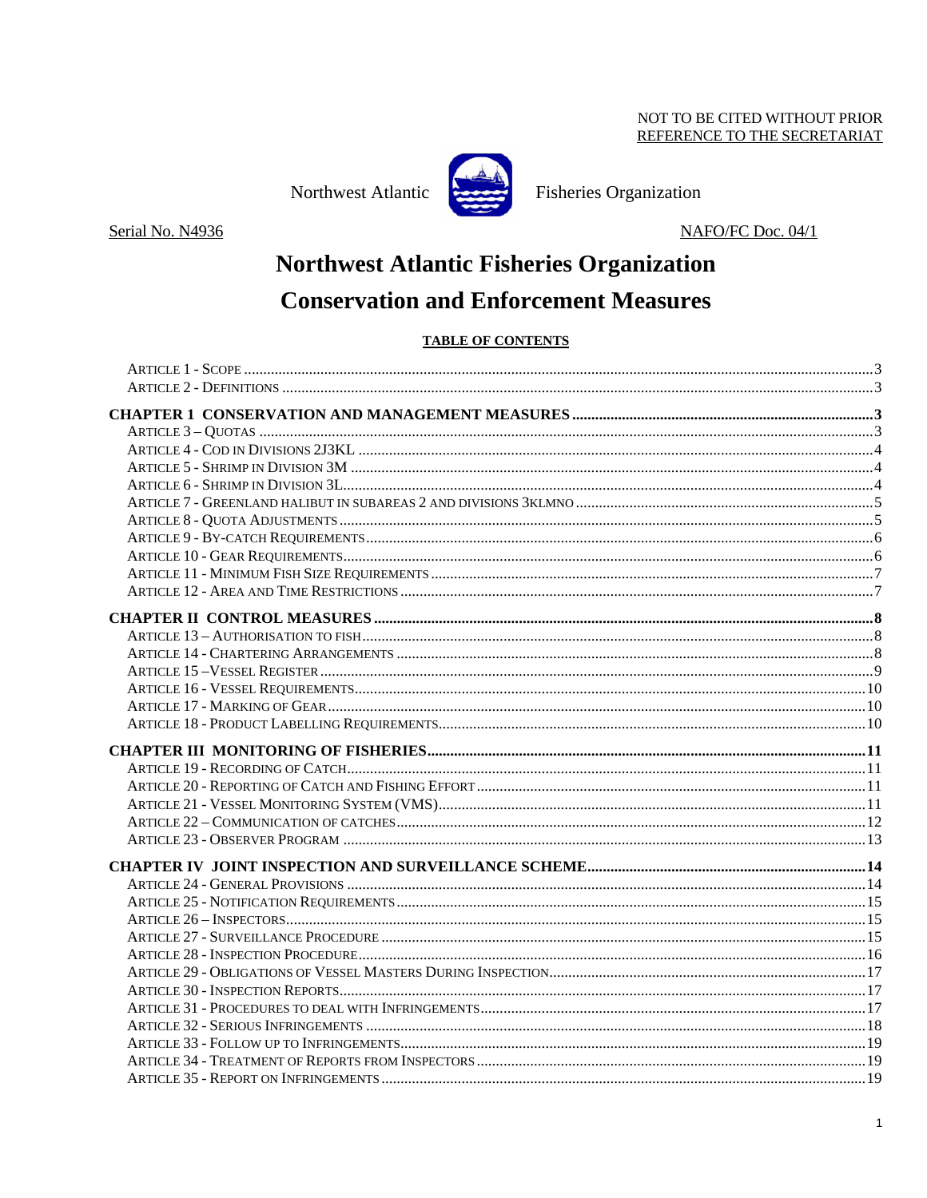### NOT TO BE CITED WITHOUT PRIOR REFERENCE TO THE SECRETARIAT

Northwest Atlantic



**Fisheries Organization** 

Serial No. N4936

NAFO/FC Doc. 04/1

# **Northwest Atlantic Fisheries Organization Conservation and Enforcement Measures**

### **TABLE OF CONTENTS**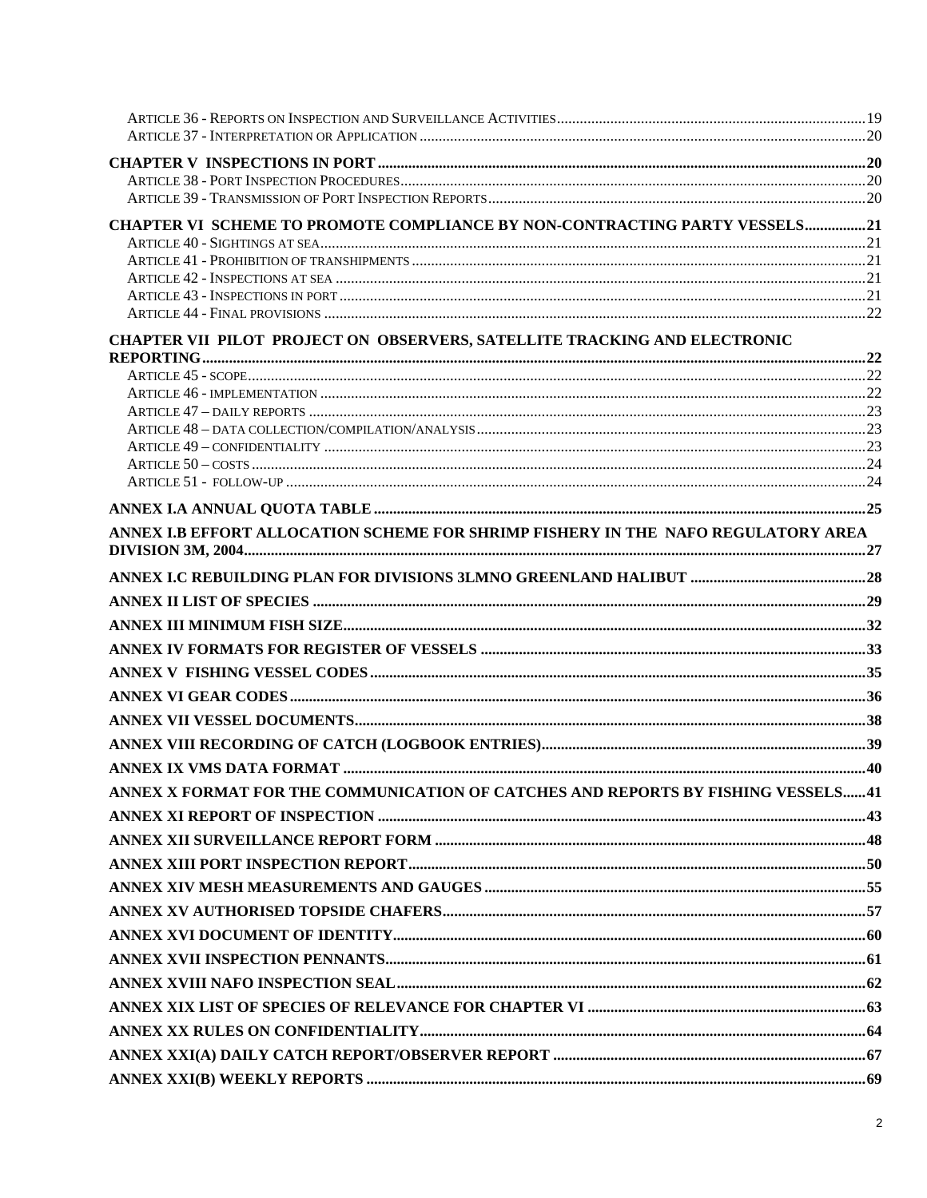| CHAPTER VI SCHEME TO PROMOTE COMPLIANCE BY NON-CONTRACTING PARTY VESSELS21        |  |
|-----------------------------------------------------------------------------------|--|
|                                                                                   |  |
|                                                                                   |  |
|                                                                                   |  |
|                                                                                   |  |
|                                                                                   |  |
| CHAPTER VII PILOT PROJECT ON OBSERVERS, SATELLITE TRACKING AND ELECTRONIC         |  |
|                                                                                   |  |
|                                                                                   |  |
|                                                                                   |  |
|                                                                                   |  |
|                                                                                   |  |
|                                                                                   |  |
|                                                                                   |  |
|                                                                                   |  |
| ANNEX I.B EFFORT ALLOCATION SCHEME FOR SHRIMP FISHERY IN THE NAFO REGULATORY AREA |  |
|                                                                                   |  |
|                                                                                   |  |
|                                                                                   |  |
|                                                                                   |  |
|                                                                                   |  |
|                                                                                   |  |
|                                                                                   |  |
|                                                                                   |  |
|                                                                                   |  |
|                                                                                   |  |
| ANNEX X FORMAT FOR THE COMMUNICATION OF CATCHES AND REPORTS BY FISHING VESSELS 41 |  |
|                                                                                   |  |
|                                                                                   |  |
|                                                                                   |  |
|                                                                                   |  |
|                                                                                   |  |
|                                                                                   |  |
|                                                                                   |  |
|                                                                                   |  |
|                                                                                   |  |
|                                                                                   |  |
|                                                                                   |  |
|                                                                                   |  |
|                                                                                   |  |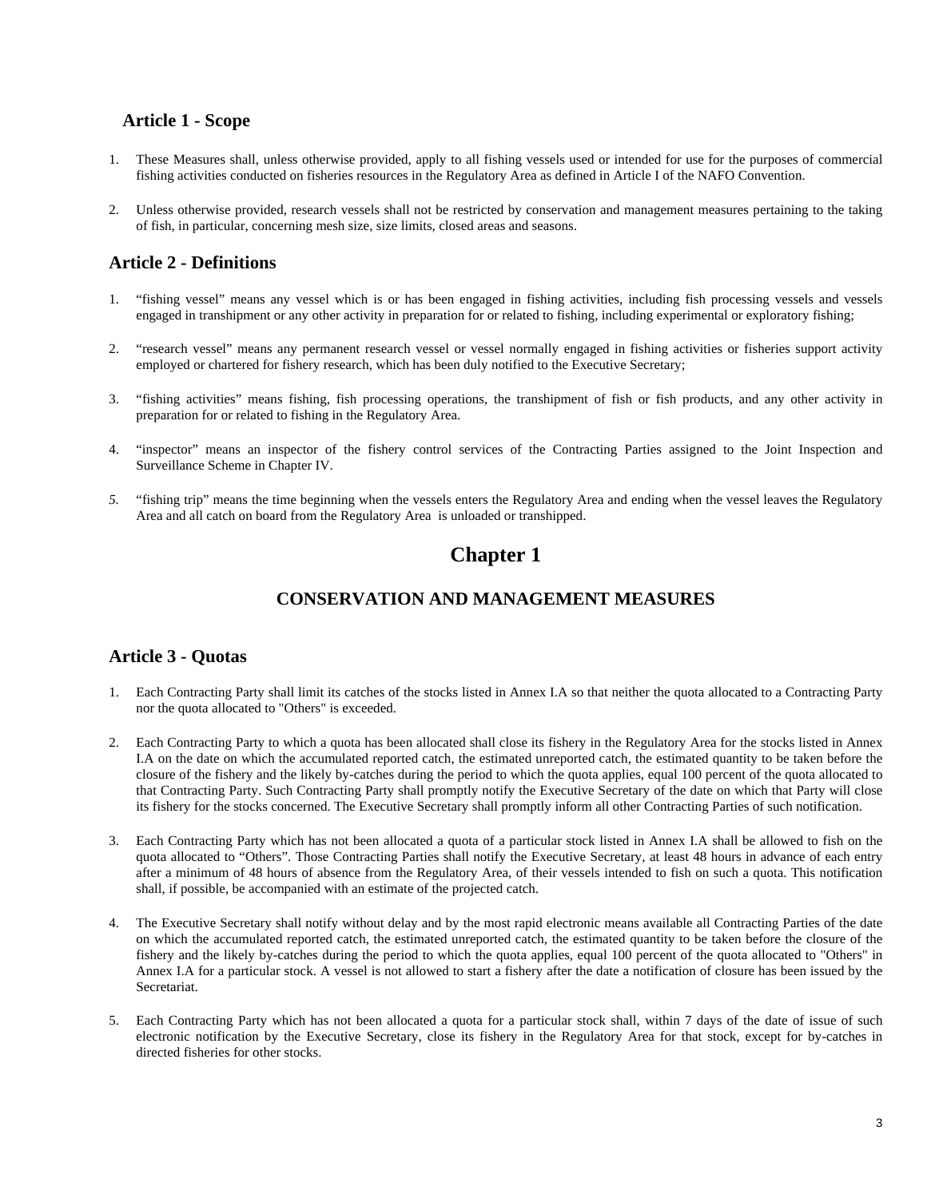### **Article 1 - Scope**

- 1. These Measures shall, unless otherwise provided, apply to all fishing vessels used or intended for use for the purposes of commercial fishing activities conducted on fisheries resources in the Regulatory Area as defined in Article I of the NAFO Convention.
- 2. Unless otherwise provided, research vessels shall not be restricted by conservation and management measures pertaining to the taking of fish, in particular, concerning mesh size, size limits, closed areas and seasons.

### **Article 2 - Definitions**

- 1. "fishing vessel" means any vessel which is or has been engaged in fishing activities, including fish processing vessels and vessels engaged in transhipment or any other activity in preparation for or related to fishing, including experimental or exploratory fishing;
- 2. "research vessel" means any permanent research vessel or vessel normally engaged in fishing activities or fisheries support activity employed or chartered for fishery research, which has been duly notified to the Executive Secretary;
- 3. "fishing activities" means fishing, fish processing operations, the transhipment of fish or fish products, and any other activity in preparation for or related to fishing in the Regulatory Area.
- 4. "inspector" means an inspector of the fishery control services of the Contracting Parties assigned to the Joint Inspection and Surveillance Scheme in Chapter IV.
- *5.* "fishing trip" means the time beginning when the vessels enters the Regulatory Area and ending when the vessel leaves the Regulatory Area and all catch on board from the Regulatory Area is unloaded or transhipped.

# **Chapter 1**

### **CONSERVATION AND MANAGEMENT MEASURES**

### **Article 3 - Quotas**

- 1. Each Contracting Party shall limit its catches of the stocks listed in Annex I.A so that neither the quota allocated to a Contracting Party nor the quota allocated to "Others" is exceeded.
- 2. Each Contracting Party to which a quota has been allocated shall close its fishery in the Regulatory Area for the stocks listed in Annex I.A on the date on which the accumulated reported catch, the estimated unreported catch, the estimated quantity to be taken before the closure of the fishery and the likely by-catches during the period to which the quota applies, equal 100 percent of the quota allocated to that Contracting Party. Such Contracting Party shall promptly notify the Executive Secretary of the date on which that Party will close its fishery for the stocks concerned. The Executive Secretary shall promptly inform all other Contracting Parties of such notification.
- 3. Each Contracting Party which has not been allocated a quota of a particular stock listed in Annex I.A shall be allowed to fish on the quota allocated to "Others". Those Contracting Parties shall notify the Executive Secretary, at least 48 hours in advance of each entry after a minimum of 48 hours of absence from the Regulatory Area, of their vessels intended to fish on such a quota. This notification shall, if possible, be accompanied with an estimate of the projected catch.
- 4. The Executive Secretary shall notify without delay and by the most rapid electronic means available all Contracting Parties of the date on which the accumulated reported catch, the estimated unreported catch, the estimated quantity to be taken before the closure of the fishery and the likely by-catches during the period to which the quota applies, equal 100 percent of the quota allocated to "Others" in Annex I.A for a particular stock. A vessel is not allowed to start a fishery after the date a notification of closure has been issued by the Secretariat.
- 5. Each Contracting Party which has not been allocated a quota for a particular stock shall, within 7 days of the date of issue of such electronic notification by the Executive Secretary, close its fishery in the Regulatory Area for that stock, except for by-catches in directed fisheries for other stocks.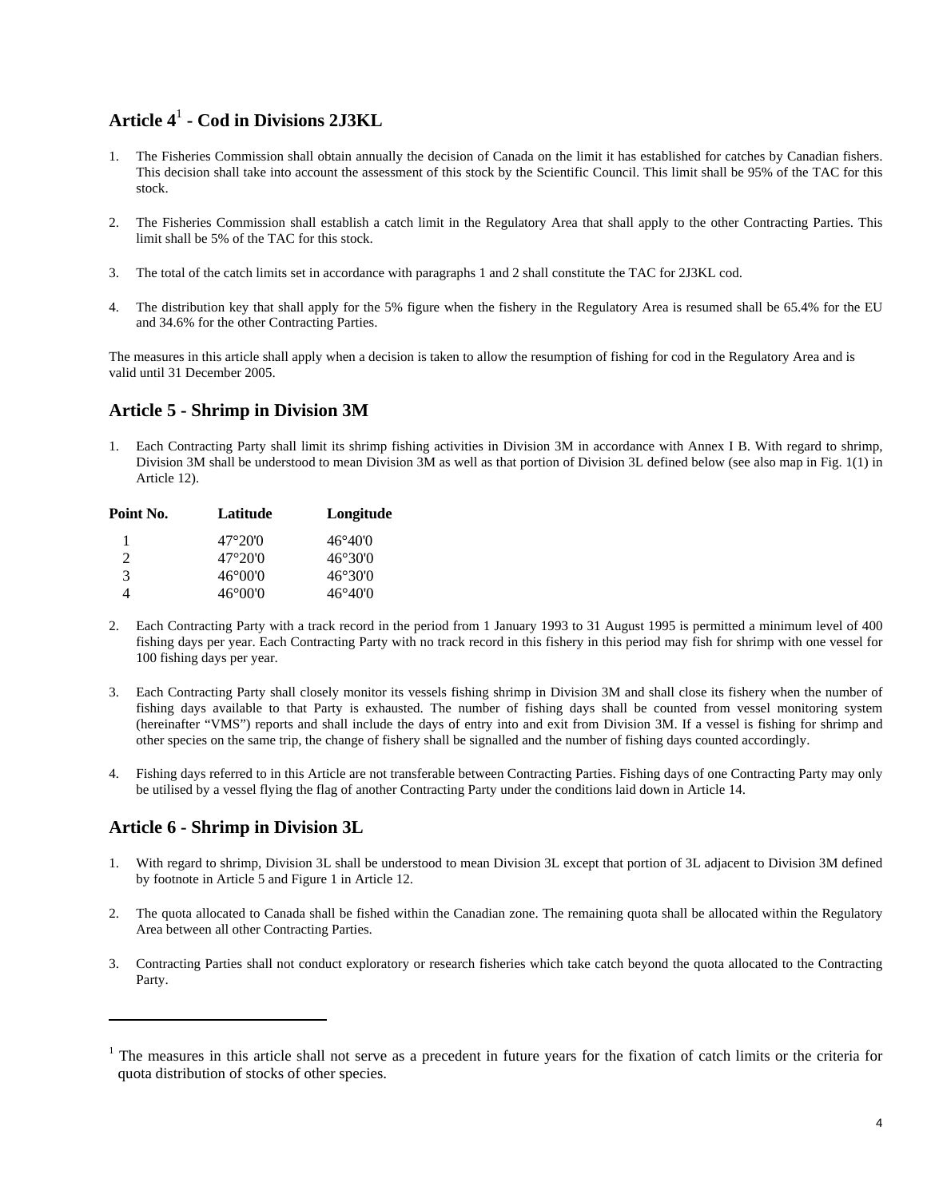# **Article 4**<sup>1</sup> **- Cod in Divisions 2J3KL**

- 1. The Fisheries Commission shall obtain annually the decision of Canada on the limit it has established for catches by Canadian fishers. This decision shall take into account the assessment of this stock by the Scientific Council. This limit shall be 95% of the TAC for this stock.
- 2. The Fisheries Commission shall establish a catch limit in the Regulatory Area that shall apply to the other Contracting Parties. This limit shall be 5% of the TAC for this stock.
- 3. The total of the catch limits set in accordance with paragraphs 1 and 2 shall constitute the TAC for 2J3KL cod.
- 4. The distribution key that shall apply for the 5% figure when the fishery in the Regulatory Area is resumed shall be 65.4% for the EU and 34.6% for the other Contracting Parties.

The measures in this article shall apply when a decision is taken to allow the resumption of fishing for cod in the Regulatory Area and is valid until 31 December 2005.

### **Article 5 - Shrimp in Division 3M**

1. Each Contracting Party shall limit its shrimp fishing activities in Division 3M in accordance with Annex I B. With regard to shrimp, Division 3M shall be understood to mean Division 3M as well as that portion of Division 3L defined below (see also map in Fig. 1(1) in Article 12).

| Point No.                   | Latitude         | Longitude        |
|-----------------------------|------------------|------------------|
| 1                           | 47°20'0          | $46^{\circ}40'0$ |
| $\mathcal{D}_{\mathcal{L}}$ | 47°20'0          | 46°30'0          |
| 3                           | $46^{\circ}00'0$ | $46^{\circ}30'0$ |
| 4                           | $46^{\circ}00'0$ | $46^{\circ}40'0$ |

- 2. Each Contracting Party with a track record in the period from 1 January 1993 to 31 August 1995 is permitted a minimum level of 400 fishing days per year. Each Contracting Party with no track record in this fishery in this period may fish for shrimp with one vessel for 100 fishing days per year.
- 3. Each Contracting Party shall closely monitor its vessels fishing shrimp in Division 3M and shall close its fishery when the number of fishing days available to that Party is exhausted. The number of fishing days shall be counted from vessel monitoring system (hereinafter "VMS") reports and shall include the days of entry into and exit from Division 3M. If a vessel is fishing for shrimp and other species on the same trip, the change of fishery shall be signalled and the number of fishing days counted accordingly.
- 4. Fishing days referred to in this Article are not transferable between Contracting Parties. Fishing days of one Contracting Party may only be utilised by a vessel flying the flag of another Contracting Party under the conditions laid down in Article 14.

### **Article 6 - Shrimp in Division 3L**

 $\overline{a}$ 

- 1. With regard to shrimp, Division 3L shall be understood to mean Division 3L except that portion of 3L adjacent to Division 3M defined by footnote in Article 5 and Figure 1 in Article 12.
- 2. The quota allocated to Canada shall be fished within the Canadian zone. The remaining quota shall be allocated within the Regulatory Area between all other Contracting Parties.
- 3. Contracting Parties shall not conduct exploratory or research fisheries which take catch beyond the quota allocated to the Contracting Party.

<sup>&</sup>lt;sup>1</sup> The measures in this article shall not serve as a precedent in future years for the fixation of catch limits or the criteria for quota distribution of stocks of other species.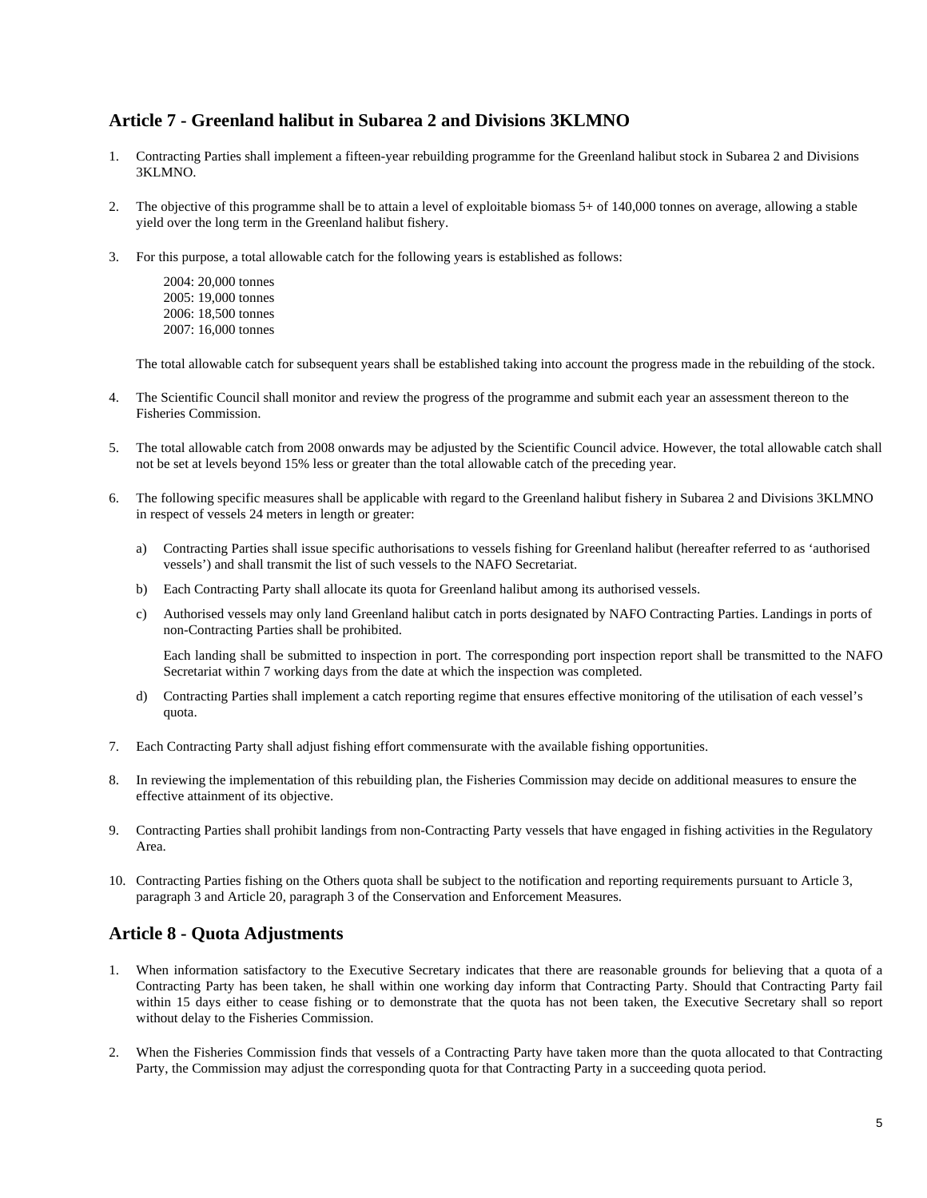### **Article 7 - Greenland halibut in Subarea 2 and Divisions 3KLMNO**

- 1. Contracting Parties shall implement a fifteen-year rebuilding programme for the Greenland halibut stock in Subarea 2 and Divisions 3KLMNO.
- 2. The objective of this programme shall be to attain a level of exploitable biomass 5+ of 140,000 tonnes on average, allowing a stable yield over the long term in the Greenland halibut fishery.
- 3. For this purpose, a total allowable catch for the following years is established as follows:

2004: 20,000 tonnes 2005: 19,000 tonnes 2006: 18,500 tonnes 2007: 16,000 tonnes

The total allowable catch for subsequent years shall be established taking into account the progress made in the rebuilding of the stock.

- 4. The Scientific Council shall monitor and review the progress of the programme and submit each year an assessment thereon to the Fisheries Commission.
- 5. The total allowable catch from 2008 onwards may be adjusted by the Scientific Council advice. However, the total allowable catch shall not be set at levels beyond 15% less or greater than the total allowable catch of the preceding year.
- 6. The following specific measures shall be applicable with regard to the Greenland halibut fishery in Subarea 2 and Divisions 3KLMNO in respect of vessels 24 meters in length or greater:
	- a) Contracting Parties shall issue specific authorisations to vessels fishing for Greenland halibut (hereafter referred to as 'authorised vessels') and shall transmit the list of such vessels to the NAFO Secretariat.
	- b) Each Contracting Party shall allocate its quota for Greenland halibut among its authorised vessels.
	- c) Authorised vessels may only land Greenland halibut catch in ports designated by NAFO Contracting Parties. Landings in ports of non-Contracting Parties shall be prohibited.

Each landing shall be submitted to inspection in port. The corresponding port inspection report shall be transmitted to the NAFO Secretariat within 7 working days from the date at which the inspection was completed.

- d) Contracting Parties shall implement a catch reporting regime that ensures effective monitoring of the utilisation of each vessel's quota.
- 7. Each Contracting Party shall adjust fishing effort commensurate with the available fishing opportunities.
- 8. In reviewing the implementation of this rebuilding plan, the Fisheries Commission may decide on additional measures to ensure the effective attainment of its objective.
- 9. Contracting Parties shall prohibit landings from non-Contracting Party vessels that have engaged in fishing activities in the Regulatory Area.
- 10. Contracting Parties fishing on the Others quota shall be subject to the notification and reporting requirements pursuant to Article 3, paragraph 3 and Article 20, paragraph 3 of the Conservation and Enforcement Measures.

### **Article 8 - Quota Adjustments**

- 1. When information satisfactory to the Executive Secretary indicates that there are reasonable grounds for believing that a quota of a Contracting Party has been taken, he shall within one working day inform that Contracting Party. Should that Contracting Party fail within 15 days either to cease fishing or to demonstrate that the quota has not been taken, the Executive Secretary shall so report without delay to the Fisheries Commission.
- 2. When the Fisheries Commission finds that vessels of a Contracting Party have taken more than the quota allocated to that Contracting Party, the Commission may adjust the corresponding quota for that Contracting Party in a succeeding quota period.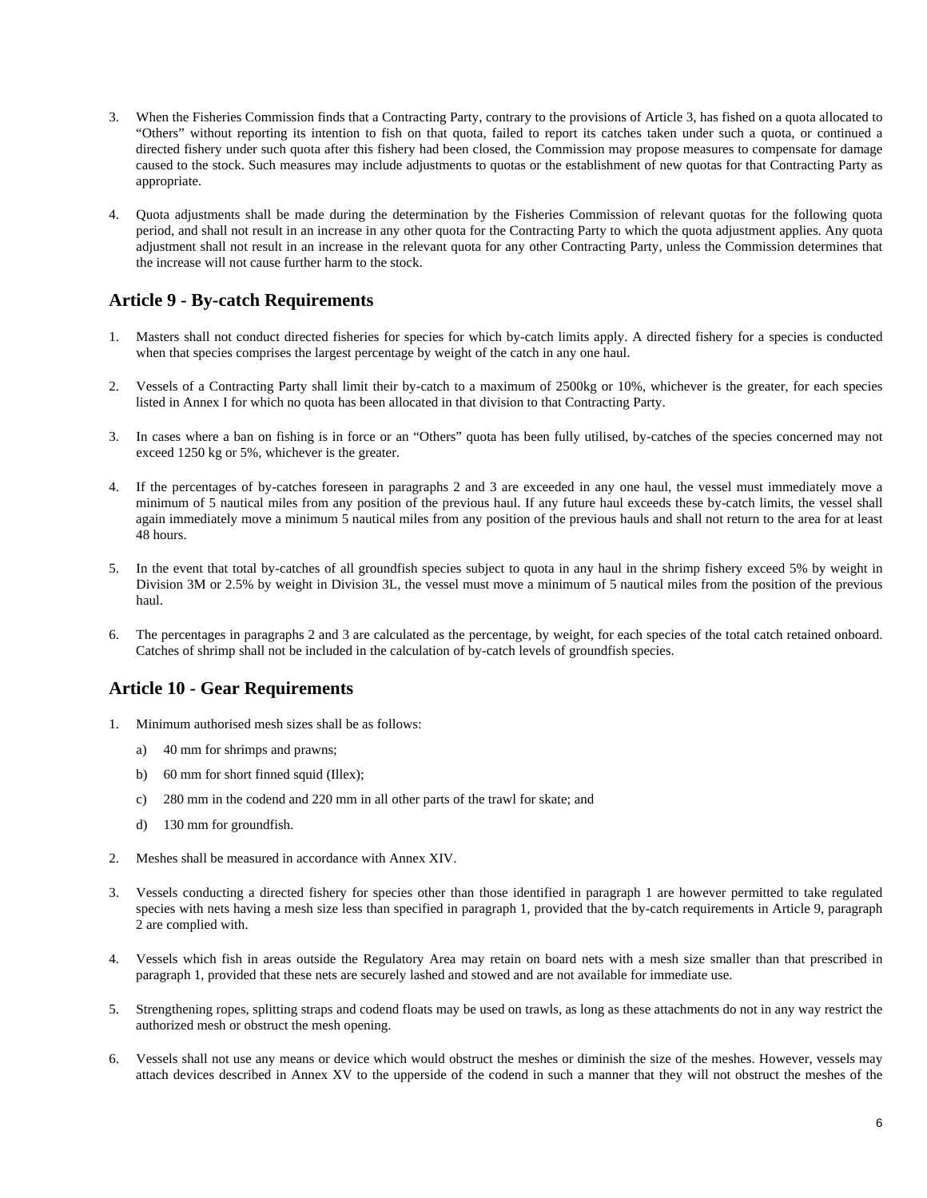- 3. When the Fisheries Commission finds that a Contracting Party, contrary to the provisions of Article 3, has fished on a quota allocated to "Others" without reporting its intention to fish on that quota, failed to report its catches taken under such a quota, or continued a directed fishery under such quota after this fishery had been closed, the Commission may propose measures to compensate for damage caused to the stock. Such measures may include adjustments to quotas or the establishment of new quotas for that Contracting Party as appropriate.
- 4. Quota adjustments shall be made during the determination by the Fisheries Commission of relevant quotas for the following quota period, and shall not result in an increase in any other quota for the Contracting Party to which the quota adjustment applies. Any quota adjustment shall not result in an increase in the relevant quota for any other Contracting Party, unless the Commission determines that the increase will not cause further harm to the stock.

### **Article 9 - By-catch Requirements**

- 1. Masters shall not conduct directed fisheries for species for which by-catch limits apply. A directed fishery for a species is conducted when that species comprises the largest percentage by weight of the catch in any one haul.
- 2. Vessels of a Contracting Party shall limit their by-catch to a maximum of 2500kg or 10%, whichever is the greater, for each species listed in Annex I for which no quota has been allocated in that division to that Contracting Party.
- 3. In cases where a ban on fishing is in force or an "Others" quota has been fully utilised, by-catches of the species concerned may not exceed 1250 kg or 5%, whichever is the greater.
- 4. If the percentages of by-catches foreseen in paragraphs 2 and 3 are exceeded in any one haul, the vessel must immediately move a minimum of 5 nautical miles from any position of the previous haul. If any future haul exceeds these by-catch limits, the vessel shall again immediately move a minimum 5 nautical miles from any position of the previous hauls and shall not return to the area for at least 48 hours.
- 5. In the event that total by-catches of all groundfish species subject to quota in any haul in the shrimp fishery exceed 5% by weight in Division 3M or 2.5% by weight in Division 3L, the vessel must move a minimum of 5 nautical miles from the position of the previous haul.
- 6. The percentages in paragraphs 2 and 3 are calculated as the percentage, by weight, for each species of the total catch retained onboard. Catches of shrimp shall not be included in the calculation of by-catch levels of groundfish species.

### **Article 10 - Gear Requirements**

- 1. Minimum authorised mesh sizes shall be as follows:
	- a) 40 mm for shrimps and prawns;
	- b) 60 mm for short finned squid (Illex);
	- c) 280 mm in the codend and 220 mm in all other parts of the trawl for skate; and
	- d) 130 mm for groundfish.
- 2. Meshes shall be measured in accordance with Annex XIV.
- 3. Vessels conducting a directed fishery for species other than those identified in paragraph 1 are however permitted to take regulated species with nets having a mesh size less than specified in paragraph 1, provided that the by-catch requirements in Article 9, paragraph 2 are complied with.
- 4. Vessels which fish in areas outside the Regulatory Area may retain on board nets with a mesh size smaller than that prescribed in paragraph 1, provided that these nets are securely lashed and stowed and are not available for immediate use.
- 5. Strengthening ropes, splitting straps and codend floats may be used on trawls, as long as these attachments do not in any way restrict the authorized mesh or obstruct the mesh opening.
- 6. Vessels shall not use any means or device which would obstruct the meshes or diminish the size of the meshes. However, vessels may attach devices described in Annex XV to the upperside of the codend in such a manner that they will not obstruct the meshes of the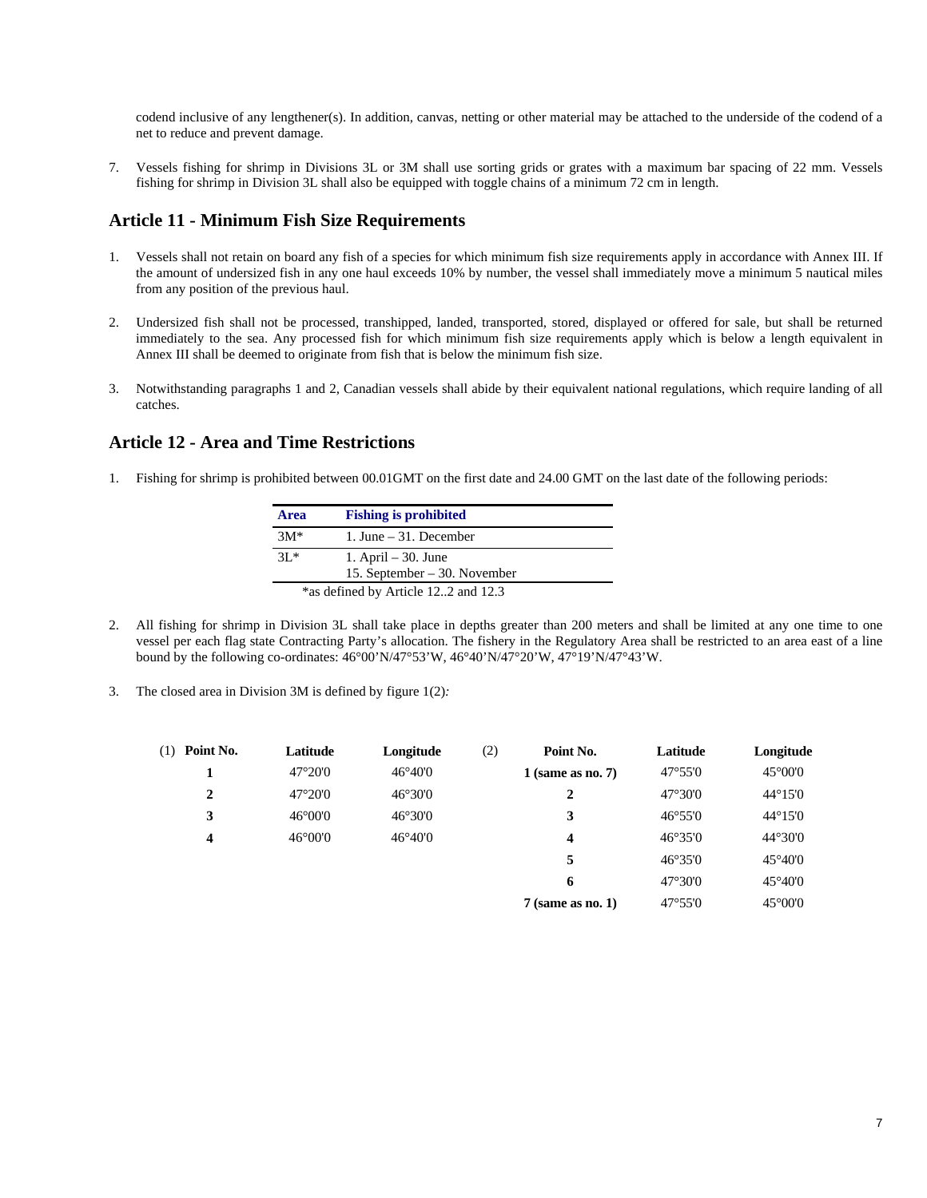codend inclusive of any lengthener(s). In addition, canvas, netting or other material may be attached to the underside of the codend of a net to reduce and prevent damage.

7. Vessels fishing for shrimp in Divisions 3L or 3M shall use sorting grids or grates with a maximum bar spacing of 22 mm. Vessels fishing for shrimp in Division 3L shall also be equipped with toggle chains of a minimum 72 cm in length.

### **Article 11 - Minimum Fish Size Requirements**

- 1. Vessels shall not retain on board any fish of a species for which minimum fish size requirements apply in accordance with Annex III. If the amount of undersized fish in any one haul exceeds 10% by number, the vessel shall immediately move a minimum 5 nautical miles from any position of the previous haul.
- 2. Undersized fish shall not be processed, transhipped, landed, transported, stored, displayed or offered for sale, but shall be returned immediately to the sea. Any processed fish for which minimum fish size requirements apply which is below a length equivalent in Annex III shall be deemed to originate from fish that is below the minimum fish size.
- 3. Notwithstanding paragraphs 1 and 2, Canadian vessels shall abide by their equivalent national regulations, which require landing of all catches.

### **Article 12 - Area and Time Restrictions**

1. Fishing for shrimp is prohibited between 00.01GMT on the first date and 24.00 GMT on the last date of the following periods:

| <b>Area</b> | <b>Fishing is prohibited</b>        |
|-------------|-------------------------------------|
| $3M*$       | 1. June $-31$ . December            |
| $3L^*$      | 1. April $-30$ . June               |
|             | 15. September $-30$ . November      |
|             | *as defined by Article 122 and 12.3 |

- 2. All fishing for shrimp in Division 3L shall take place in depths greater than 200 meters and shall be limited at any one time to one vessel per each flag state Contracting Party's allocation. The fishery in the Regulatory Area shall be restricted to an area east of a line bound by the following co-ordinates: 46°00'N/47°53'W, 46°40'N/47°20'W, 47°19'N/47°43'W.
- 3. The closed area in Division 3M is defined by figure 1(2)*:*

| $47^{\circ}20'0$<br>$46^{\circ}40'0$<br>$47^{\circ}55'0$<br>$1$ (same as no. 7)<br>$47^{\circ}20'0$<br>$46^{\circ}30'0$<br>$47^{\circ}30'0$<br>2<br>2<br>3<br>$46^{\circ}00'0$<br>$46^{\circ}30'0$<br>3<br>$46^{\circ}55'0$<br>$46^{\circ}40'0$<br>$46^{\circ}00'0$<br>46°35'0<br>4<br>$\overline{\mathbf{4}}$<br>5<br>$46^{\circ}35'0$<br>$47^{\circ}30'0$<br>6 | $(1)$ Point No. | Latitude | Longitude | (2) | Point No.           | Latitude         | Longitude               |
|------------------------------------------------------------------------------------------------------------------------------------------------------------------------------------------------------------------------------------------------------------------------------------------------------------------------------------------------------------------|-----------------|----------|-----------|-----|---------------------|------------------|-------------------------|
|                                                                                                                                                                                                                                                                                                                                                                  |                 |          |           |     |                     |                  | $45^{\circ}00^{\circ}0$ |
|                                                                                                                                                                                                                                                                                                                                                                  |                 |          |           |     |                     |                  | $44^{\circ}15'0$        |
|                                                                                                                                                                                                                                                                                                                                                                  |                 |          |           |     |                     |                  | $44^{\circ}15'0$        |
|                                                                                                                                                                                                                                                                                                                                                                  |                 |          |           |     |                     |                  | $44^{\circ}30'0$        |
|                                                                                                                                                                                                                                                                                                                                                                  |                 |          |           |     |                     |                  | $45^{\circ}40'0$        |
|                                                                                                                                                                                                                                                                                                                                                                  |                 |          |           |     |                     |                  | $45^{\circ}40'0$        |
|                                                                                                                                                                                                                                                                                                                                                                  |                 |          |           |     | $7$ (same as no. 1) | $47^{\circ}55'0$ | $45^{\circ}00^{\circ}0$ |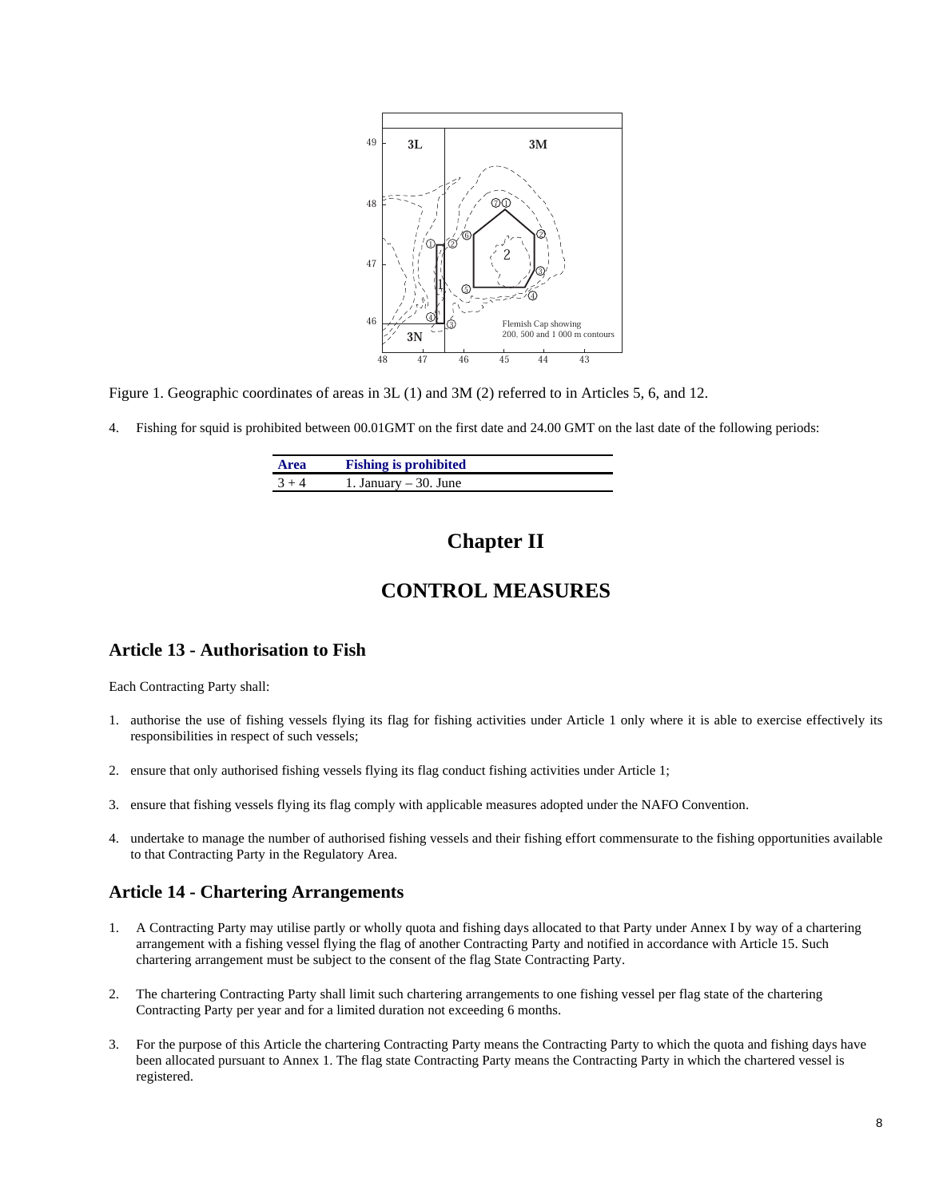

Figure 1. Geographic coordinates of areas in 3L (1) and 3M (2) referred to in Articles 5, 6, and 12.

4. Fishing for squid is prohibited between 00.01GMT on the first date and 24.00 GMT on the last date of the following periods:

| <b>Area</b> | <b>Fishing is prohibited</b> |  |
|-------------|------------------------------|--|
| $3 + 4$     | 1. January $-30$ . June      |  |

# **Chapter II**

## **CONTROL MEASURES**

### **Article 13 - Authorisation to Fish**

Each Contracting Party shall:

- 1. authorise the use of fishing vessels flying its flag for fishing activities under Article 1 only where it is able to exercise effectively its responsibilities in respect of such vessels;
- 2. ensure that only authorised fishing vessels flying its flag conduct fishing activities under Article 1;
- 3. ensure that fishing vessels flying its flag comply with applicable measures adopted under the NAFO Convention.
- 4. undertake to manage the number of authorised fishing vessels and their fishing effort commensurate to the fishing opportunities available to that Contracting Party in the Regulatory Area.

### **Article 14 - Chartering Arrangements**

- 1. A Contracting Party may utilise partly or wholly quota and fishing days allocated to that Party under Annex I by way of a chartering arrangement with a fishing vessel flying the flag of another Contracting Party and notified in accordance with Article 15. Such chartering arrangement must be subject to the consent of the flag State Contracting Party.
- 2. The chartering Contracting Party shall limit such chartering arrangements to one fishing vessel per flag state of the chartering Contracting Party per year and for a limited duration not exceeding 6 months.
- 3. For the purpose of this Article the chartering Contracting Party means the Contracting Party to which the quota and fishing days have been allocated pursuant to Annex 1. The flag state Contracting Party means the Contracting Party in which the chartered vessel is registered.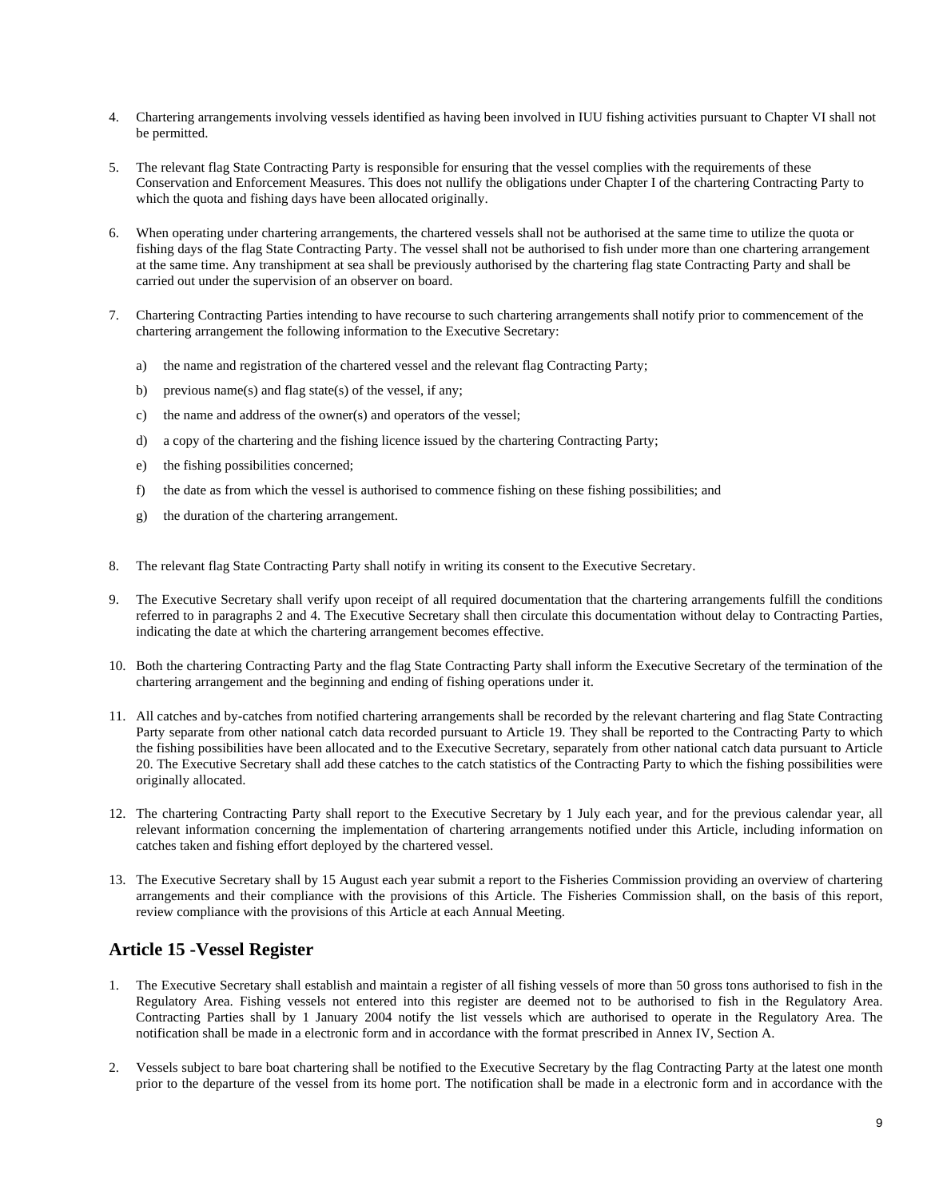- 4. Chartering arrangements involving vessels identified as having been involved in IUU fishing activities pursuant to Chapter VI shall not be permitted.
- 5. The relevant flag State Contracting Party is responsible for ensuring that the vessel complies with the requirements of these Conservation and Enforcement Measures. This does not nullify the obligations under Chapter I of the chartering Contracting Party to which the quota and fishing days have been allocated originally.
- 6. When operating under chartering arrangements, the chartered vessels shall not be authorised at the same time to utilize the quota or fishing days of the flag State Contracting Party. The vessel shall not be authorised to fish under more than one chartering arrangement at the same time. Any transhipment at sea shall be previously authorised by the chartering flag state Contracting Party and shall be carried out under the supervision of an observer on board.
- 7. Chartering Contracting Parties intending to have recourse to such chartering arrangements shall notify prior to commencement of the chartering arrangement the following information to the Executive Secretary:
	- a) the name and registration of the chartered vessel and the relevant flag Contracting Party;
	- b) previous name(s) and flag state(s) of the vessel, if any;
	- c) the name and address of the owner(s) and operators of the vessel;
	- d) a copy of the chartering and the fishing licence issued by the chartering Contracting Party;
	- e) the fishing possibilities concerned;
	- f) the date as from which the vessel is authorised to commence fishing on these fishing possibilities; and
	- g) the duration of the chartering arrangement.
- 8. The relevant flag State Contracting Party shall notify in writing its consent to the Executive Secretary.
- 9. The Executive Secretary shall verify upon receipt of all required documentation that the chartering arrangements fulfill the conditions referred to in paragraphs 2 and 4. The Executive Secretary shall then circulate this documentation without delay to Contracting Parties, indicating the date at which the chartering arrangement becomes effective.
- 10. Both the chartering Contracting Party and the flag State Contracting Party shall inform the Executive Secretary of the termination of the chartering arrangement and the beginning and ending of fishing operations under it.
- 11. All catches and by-catches from notified chartering arrangements shall be recorded by the relevant chartering and flag State Contracting Party separate from other national catch data recorded pursuant to Article 19. They shall be reported to the Contracting Party to which the fishing possibilities have been allocated and to the Executive Secretary, separately from other national catch data pursuant to Article 20. The Executive Secretary shall add these catches to the catch statistics of the Contracting Party to which the fishing possibilities were originally allocated.
- 12. The chartering Contracting Party shall report to the Executive Secretary by 1 July each year, and for the previous calendar year, all relevant information concerning the implementation of chartering arrangements notified under this Article, including information on catches taken and fishing effort deployed by the chartered vessel.
- 13. The Executive Secretary shall by 15 August each year submit a report to the Fisheries Commission providing an overview of chartering arrangements and their compliance with the provisions of this Article. The Fisheries Commission shall, on the basis of this report, review compliance with the provisions of this Article at each Annual Meeting.

### **Article 15 -Vessel Register**

- 1. The Executive Secretary shall establish and maintain a register of all fishing vessels of more than 50 gross tons authorised to fish in the Regulatory Area. Fishing vessels not entered into this register are deemed not to be authorised to fish in the Regulatory Area. Contracting Parties shall by 1 January 2004 notify the list vessels which are authorised to operate in the Regulatory Area. The notification shall be made in a electronic form and in accordance with the format prescribed in Annex IV, Section A.
- 2. Vessels subject to bare boat chartering shall be notified to the Executive Secretary by the flag Contracting Party at the latest one month prior to the departure of the vessel from its home port. The notification shall be made in a electronic form and in accordance with the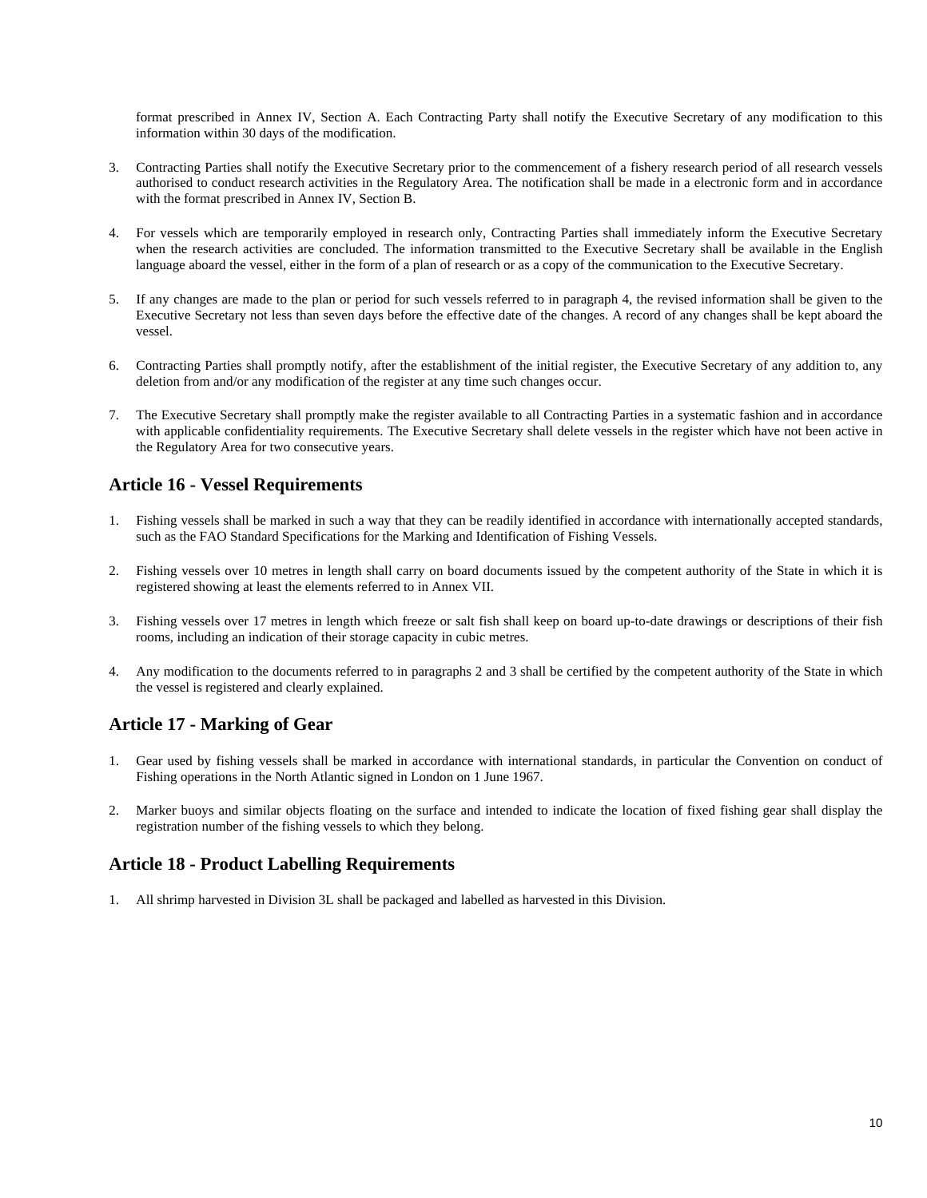format prescribed in Annex IV, Section A. Each Contracting Party shall notify the Executive Secretary of any modification to this information within 30 days of the modification.

- 3. Contracting Parties shall notify the Executive Secretary prior to the commencement of a fishery research period of all research vessels authorised to conduct research activities in the Regulatory Area. The notification shall be made in a electronic form and in accordance with the format prescribed in Annex IV, Section B.
- 4. For vessels which are temporarily employed in research only, Contracting Parties shall immediately inform the Executive Secretary when the research activities are concluded. The information transmitted to the Executive Secretary shall be available in the English language aboard the vessel, either in the form of a plan of research or as a copy of the communication to the Executive Secretary.
- 5. If any changes are made to the plan or period for such vessels referred to in paragraph 4, the revised information shall be given to the Executive Secretary not less than seven days before the effective date of the changes. A record of any changes shall be kept aboard the vessel.
- 6. Contracting Parties shall promptly notify, after the establishment of the initial register, the Executive Secretary of any addition to, any deletion from and/or any modification of the register at any time such changes occur.
- 7. The Executive Secretary shall promptly make the register available to all Contracting Parties in a systematic fashion and in accordance with applicable confidentiality requirements. The Executive Secretary shall delete vessels in the register which have not been active in the Regulatory Area for two consecutive years.

### **Article 16 - Vessel Requirements**

- 1. Fishing vessels shall be marked in such a way that they can be readily identified in accordance with internationally accepted standards, such as the FAO Standard Specifications for the Marking and Identification of Fishing Vessels.
- 2. Fishing vessels over 10 metres in length shall carry on board documents issued by the competent authority of the State in which it is registered showing at least the elements referred to in Annex VII.
- 3. Fishing vessels over 17 metres in length which freeze or salt fish shall keep on board up-to-date drawings or descriptions of their fish rooms, including an indication of their storage capacity in cubic metres.
- 4. Any modification to the documents referred to in paragraphs 2 and 3 shall be certified by the competent authority of the State in which the vessel is registered and clearly explained.

### **Article 17 - Marking of Gear**

- 1. Gear used by fishing vessels shall be marked in accordance with international standards, in particular the Convention on conduct of Fishing operations in the North Atlantic signed in London on 1 June 1967.
- 2. Marker buoys and similar objects floating on the surface and intended to indicate the location of fixed fishing gear shall display the registration number of the fishing vessels to which they belong.

### **Article 18 - Product Labelling Requirements**

1. All shrimp harvested in Division 3L shall be packaged and labelled as harvested in this Division.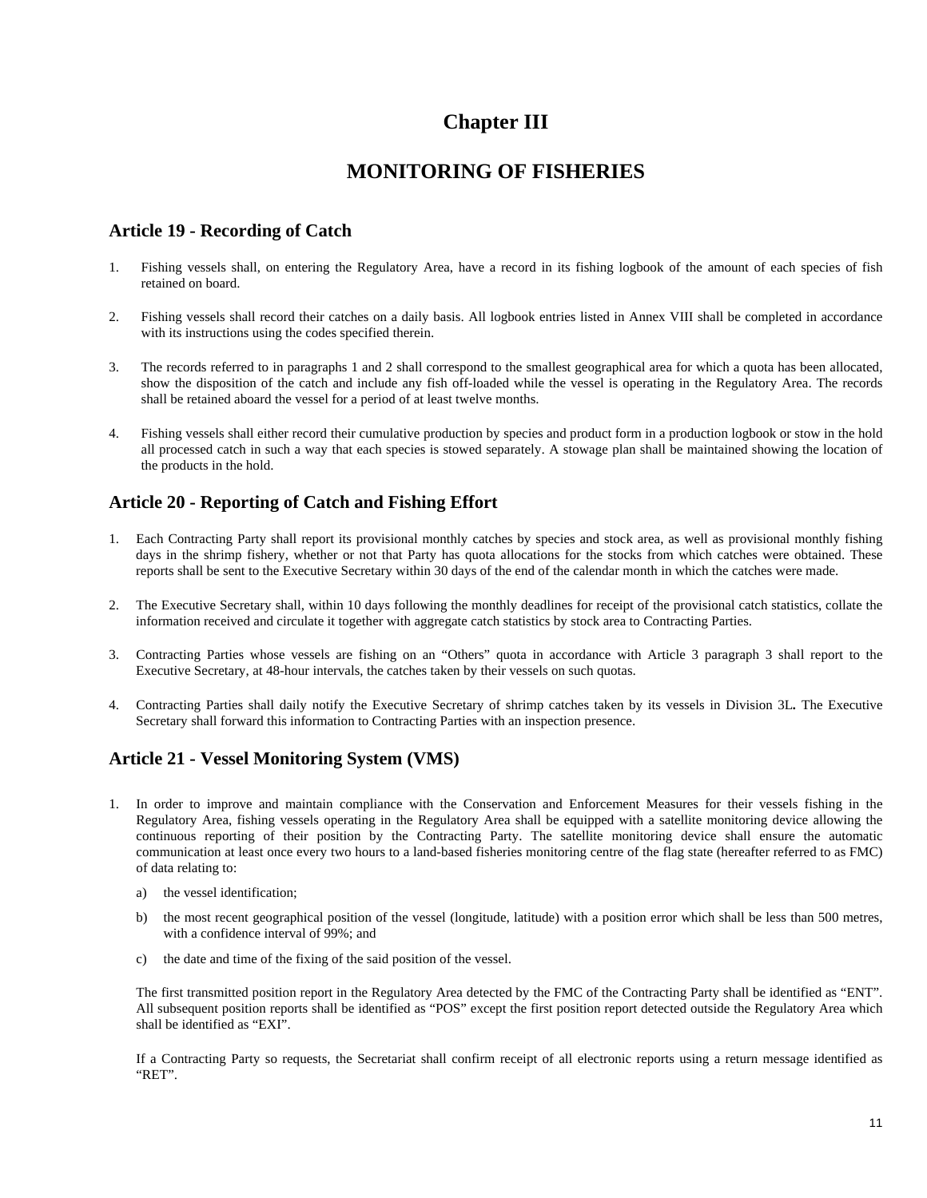# **Chapter III**

# **MONITORING OF FISHERIES**

### **Article 19 - Recording of Catch**

- 1. Fishing vessels shall, on entering the Regulatory Area, have a record in its fishing logbook of the amount of each species of fish retained on board.
- 2. Fishing vessels shall record their catches on a daily basis. All logbook entries listed in Annex VIII shall be completed in accordance with its instructions using the codes specified therein.
- 3. The records referred to in paragraphs 1 and 2 shall correspond to the smallest geographical area for which a quota has been allocated, show the disposition of the catch and include any fish off-loaded while the vessel is operating in the Regulatory Area. The records shall be retained aboard the vessel for a period of at least twelve months.
- 4. Fishing vessels shall either record their cumulative production by species and product form in a production logbook or stow in the hold all processed catch in such a way that each species is stowed separately. A stowage plan shall be maintained showing the location of the products in the hold.

### **Article 20 - Reporting of Catch and Fishing Effort**

- 1. Each Contracting Party shall report its provisional monthly catches by species and stock area, as well as provisional monthly fishing days in the shrimp fishery, whether or not that Party has quota allocations for the stocks from which catches were obtained. These reports shall be sent to the Executive Secretary within 30 days of the end of the calendar month in which the catches were made.
- 2. The Executive Secretary shall, within 10 days following the monthly deadlines for receipt of the provisional catch statistics, collate the information received and circulate it together with aggregate catch statistics by stock area to Contracting Parties.
- 3. Contracting Parties whose vessels are fishing on an "Others" quota in accordance with Article 3 paragraph 3 shall report to the Executive Secretary, at 48-hour intervals, the catches taken by their vessels on such quotas.
- 4. Contracting Parties shall daily notify the Executive Secretary of shrimp catches taken by its vessels in Division 3L*.* The Executive Secretary shall forward this information to Contracting Parties with an inspection presence.

### **Article 21 - Vessel Monitoring System (VMS)**

- 1. In order to improve and maintain compliance with the Conservation and Enforcement Measures for their vessels fishing in the Regulatory Area, fishing vessels operating in the Regulatory Area shall be equipped with a satellite monitoring device allowing the continuous reporting of their position by the Contracting Party. The satellite monitoring device shall ensure the automatic communication at least once every two hours to a land-based fisheries monitoring centre of the flag state (hereafter referred to as FMC) of data relating to:
	- a) the vessel identification;
	- b) the most recent geographical position of the vessel (longitude, latitude) with a position error which shall be less than 500 metres, with a confidence interval of 99%; and
	- c) the date and time of the fixing of the said position of the vessel.

The first transmitted position report in the Regulatory Area detected by the FMC of the Contracting Party shall be identified as "ENT". All subsequent position reports shall be identified as "POS" except the first position report detected outside the Regulatory Area which shall be identified as "EXI".

If a Contracting Party so requests, the Secretariat shall confirm receipt of all electronic reports using a return message identified as "RET".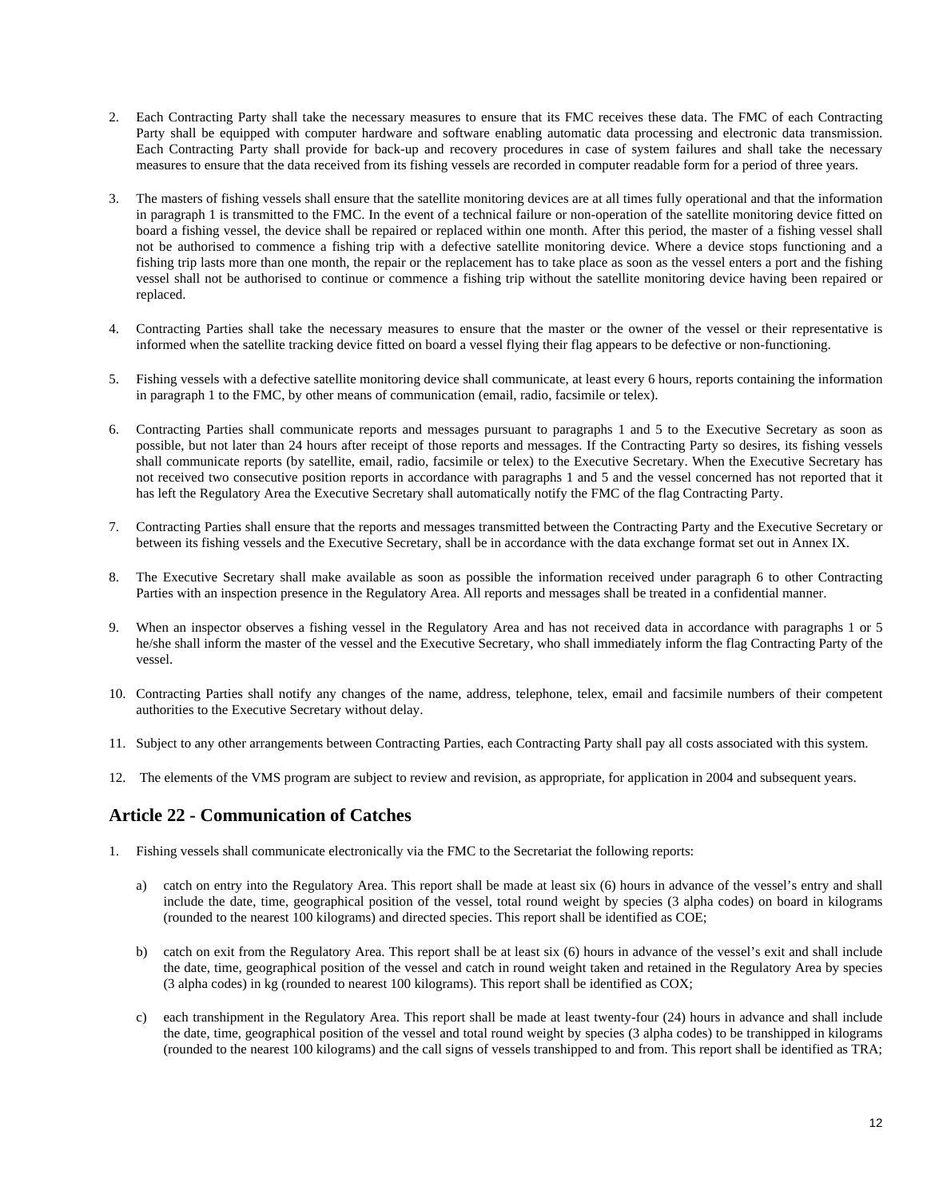- 2. Each Contracting Party shall take the necessary measures to ensure that its FMC receives these data. The FMC of each Contracting Party shall be equipped with computer hardware and software enabling automatic data processing and electronic data transmission. Each Contracting Party shall provide for back-up and recovery procedures in case of system failures and shall take the necessary measures to ensure that the data received from its fishing vessels are recorded in computer readable form for a period of three years.
- 3. The masters of fishing vessels shall ensure that the satellite monitoring devices are at all times fully operational and that the information in paragraph 1 is transmitted to the FMC. In the event of a technical failure or non-operation of the satellite monitoring device fitted on board a fishing vessel, the device shall be repaired or replaced within one month. After this period, the master of a fishing vessel shall not be authorised to commence a fishing trip with a defective satellite monitoring device. Where a device stops functioning and a fishing trip lasts more than one month, the repair or the replacement has to take place as soon as the vessel enters a port and the fishing vessel shall not be authorised to continue or commence a fishing trip without the satellite monitoring device having been repaired or replaced.
- 4. Contracting Parties shall take the necessary measures to ensure that the master or the owner of the vessel or their representative is informed when the satellite tracking device fitted on board a vessel flying their flag appears to be defective or non-functioning.
- 5. Fishing vessels with a defective satellite monitoring device shall communicate, at least every 6 hours, reports containing the information in paragraph 1 to the FMC, by other means of communication (email, radio, facsimile or telex).
- 6. Contracting Parties shall communicate reports and messages pursuant to paragraphs 1 and 5 to the Executive Secretary as soon as possible, but not later than 24 hours after receipt of those reports and messages. If the Contracting Party so desires, its fishing vessels shall communicate reports (by satellite, email, radio, facsimile or telex) to the Executive Secretary. When the Executive Secretary has not received two consecutive position reports in accordance with paragraphs 1 and 5 and the vessel concerned has not reported that it has left the Regulatory Area the Executive Secretary shall automatically notify the FMC of the flag Contracting Party.
- 7. Contracting Parties shall ensure that the reports and messages transmitted between the Contracting Party and the Executive Secretary or between its fishing vessels and the Executive Secretary, shall be in accordance with the data exchange format set out in Annex IX.
- 8. The Executive Secretary shall make available as soon as possible the information received under paragraph 6 to other Contracting Parties with an inspection presence in the Regulatory Area. All reports and messages shall be treated in a confidential manner.
- 9. When an inspector observes a fishing vessel in the Regulatory Area and has not received data in accordance with paragraphs 1 or 5 he/she shall inform the master of the vessel and the Executive Secretary, who shall immediately inform the flag Contracting Party of the vessel.
- 10. Contracting Parties shall notify any changes of the name, address, telephone, telex, email and facsimile numbers of their competent authorities to the Executive Secretary without delay.
- 11. Subject to any other arrangements between Contracting Parties, each Contracting Party shall pay all costs associated with this system.
- 12. The elements of the VMS program are subject to review and revision, as appropriate, for application in 2004 and subsequent years.

### **Article 22 - Communication of Catches**

- 1. Fishing vessels shall communicate electronically via the FMC to the Secretariat the following reports:
	- a) catch on entry into the Regulatory Area. This report shall be made at least six (6) hours in advance of the vessel's entry and shall include the date, time, geographical position of the vessel, total round weight by species (3 alpha codes) on board in kilograms (rounded to the nearest 100 kilograms) and directed species. This report shall be identified as COE;
	- b) catch on exit from the Regulatory Area. This report shall be at least six (6) hours in advance of the vessel's exit and shall include the date, time, geographical position of the vessel and catch in round weight taken and retained in the Regulatory Area by species (3 alpha codes) in kg (rounded to nearest 100 kilograms). This report shall be identified as COX;
	- c) each transhipment in the Regulatory Area. This report shall be made at least twenty-four (24) hours in advance and shall include the date, time, geographical position of the vessel and total round weight by species (3 alpha codes) to be transhipped in kilograms (rounded to the nearest 100 kilograms) and the call signs of vessels transhipped to and from. This report shall be identified as TRA;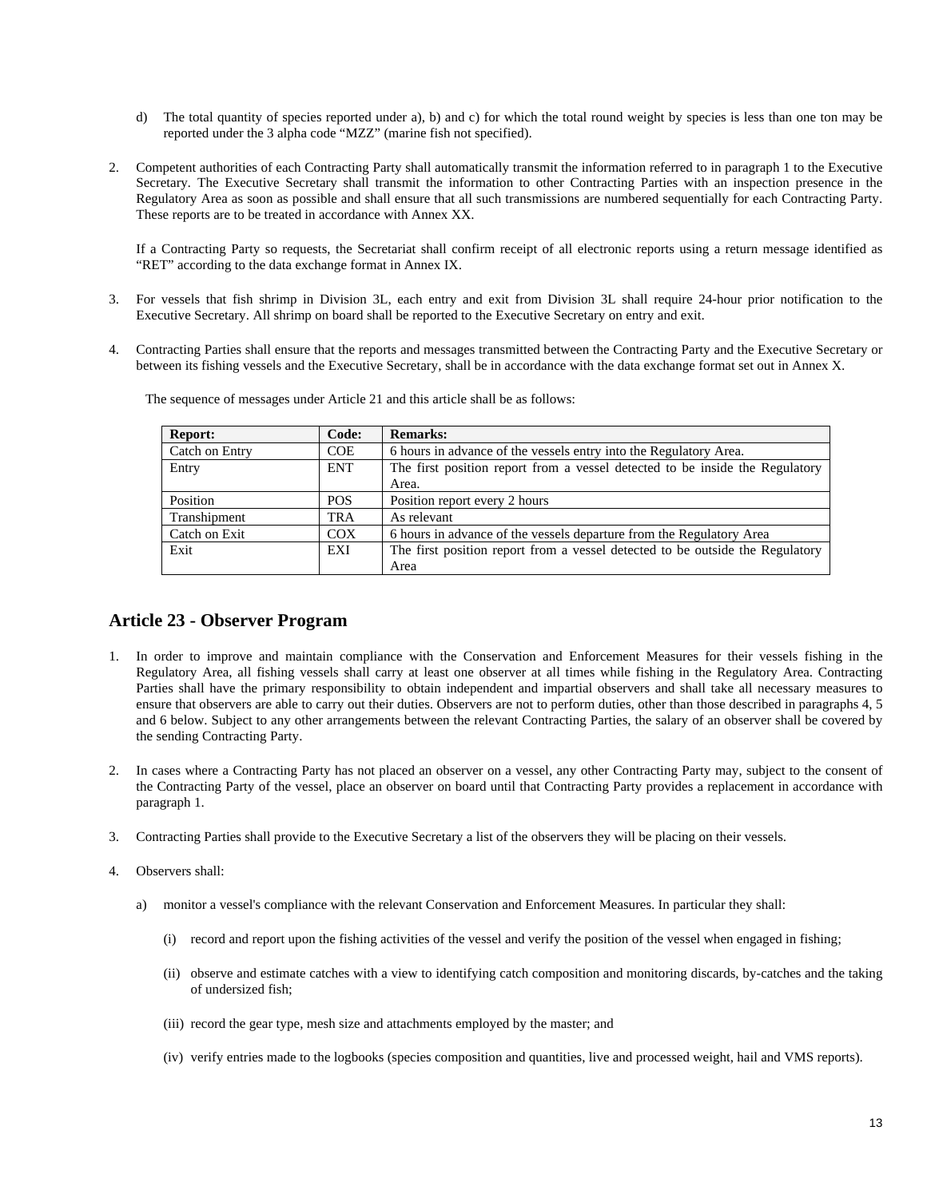- d) The total quantity of species reported under a), b) and c) for which the total round weight by species is less than one ton may be reported under the 3 alpha code "MZZ" (marine fish not specified).
- 2. Competent authorities of each Contracting Party shall automatically transmit the information referred to in paragraph 1 to the Executive Secretary*.* The Executive Secretary shall transmit the information to other Contracting Parties with an inspection presence in the Regulatory Area as soon as possible and shall ensure that all such transmissions are numbered sequentially for each Contracting Party. These reports are to be treated in accordance with Annex XX.

If a Contracting Party so requests, the Secretariat shall confirm receipt of all electronic reports using a return message identified as "RET" according to the data exchange format in Annex IX.

- 3. For vessels that fish shrimp in Division 3L, each entry and exit from Division 3L shall require 24-hour prior notification to the Executive Secretary. All shrimp on board shall be reported to the Executive Secretary on entry and exit.
- 4. Contracting Parties shall ensure that the reports and messages transmitted between the Contracting Party and the Executive Secretary or between its fishing vessels and the Executive Secretary, shall be in accordance with the data exchange format set out in Annex X.

| <b>Report:</b> | Code:      | <b>Remarks:</b>                                                               |
|----------------|------------|-------------------------------------------------------------------------------|
| Catch on Entry | <b>COE</b> | 6 hours in advance of the vessels entry into the Regulatory Area.             |
| Entry          | <b>ENT</b> | The first position report from a vessel detected to be inside the Regulatory  |
|                |            | Area.                                                                         |
| Position       | <b>POS</b> | Position report every 2 hours                                                 |
| Transhipment   | TRA        | As relevant                                                                   |
| Catch on Exit  | <b>COX</b> | 6 hours in advance of the vessels departure from the Regulatory Area          |
| Exit           | EXI        | The first position report from a vessel detected to be outside the Regulatory |
|                |            | Area                                                                          |

The sequence of messages under Article 21 and this article shall be as follows:

### **Article 23 - Observer Program**

- 1. In order to improve and maintain compliance with the Conservation and Enforcement Measures for their vessels fishing in the Regulatory Area, all fishing vessels shall carry at least one observer at all times while fishing in the Regulatory Area. Contracting Parties shall have the primary responsibility to obtain independent and impartial observers and shall take all necessary measures to ensure that observers are able to carry out their duties. Observers are not to perform duties, other than those described in paragraphs 4, 5 and 6 below. Subject to any other arrangements between the relevant Contracting Parties, the salary of an observer shall be covered by the sending Contracting Party.
- 2. In cases where a Contracting Party has not placed an observer on a vessel, any other Contracting Party may, subject to the consent of the Contracting Party of the vessel, place an observer on board until that Contracting Party provides a replacement in accordance with paragraph 1.
- 3. Contracting Parties shall provide to the Executive Secretary a list of the observers they will be placing on their vessels.
- 4. Observers shall:
	- a) monitor a vessel's compliance with the relevant Conservation and Enforcement Measures. In particular they shall:
		- (i) record and report upon the fishing activities of the vessel and verify the position of the vessel when engaged in fishing;
		- (ii) observe and estimate catches with a view to identifying catch composition and monitoring discards, by-catches and the taking of undersized fish;
		- (iii) record the gear type, mesh size and attachments employed by the master; and
		- (iv) verify entries made to the logbooks (species composition and quantities, live and processed weight, hail and VMS reports).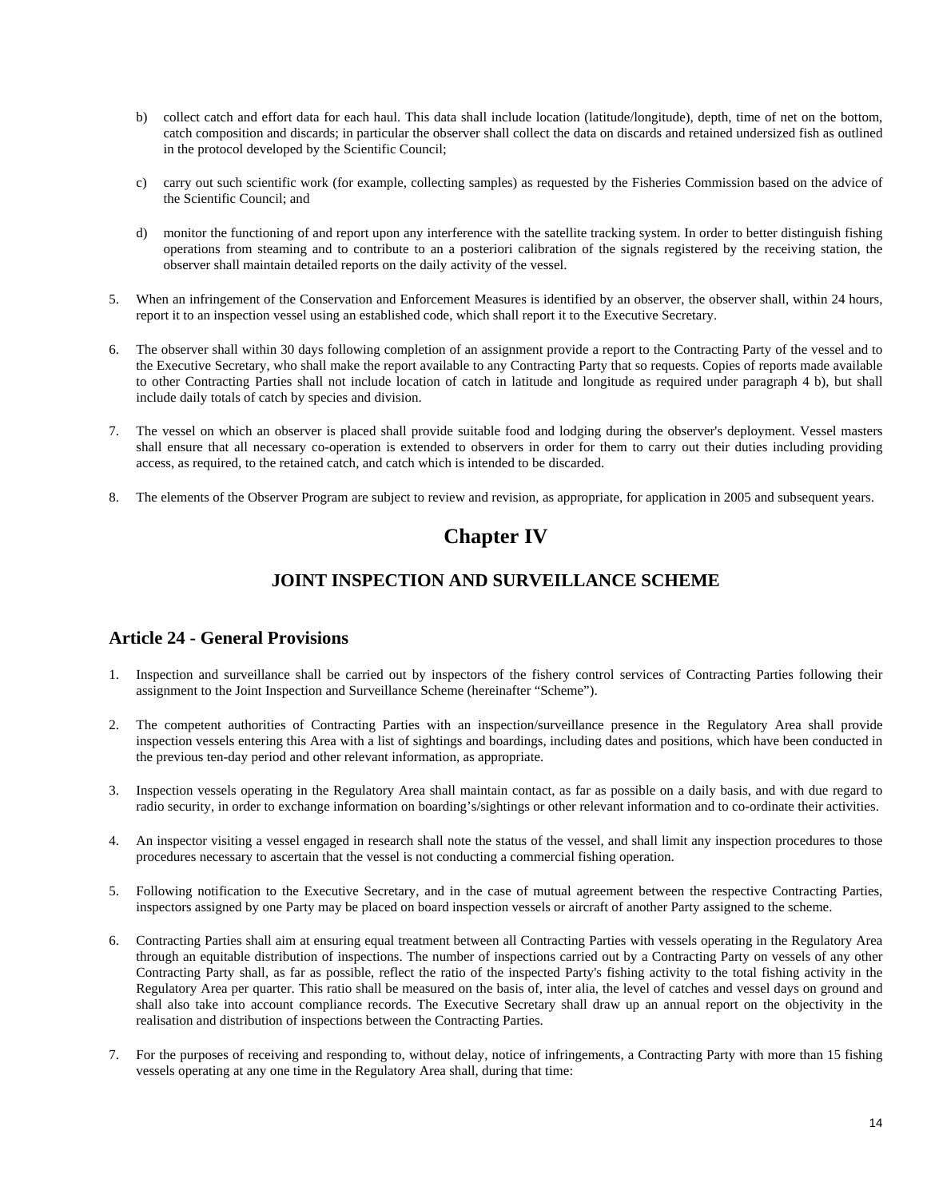- b) collect catch and effort data for each haul. This data shall include location (latitude/longitude), depth, time of net on the bottom, catch composition and discards; in particular the observer shall collect the data on discards and retained undersized fish as outlined in the protocol developed by the Scientific Council;
- c) carry out such scientific work (for example, collecting samples) as requested by the Fisheries Commission based on the advice of the Scientific Council; and
- d) monitor the functioning of and report upon any interference with the satellite tracking system. In order to better distinguish fishing operations from steaming and to contribute to an a posteriori calibration of the signals registered by the receiving station, the observer shall maintain detailed reports on the daily activity of the vessel.
- 5. When an infringement of the Conservation and Enforcement Measures is identified by an observer, the observer shall, within 24 hours, report it to an inspection vessel using an established code, which shall report it to the Executive Secretary.
- 6. The observer shall within 30 days following completion of an assignment provide a report to the Contracting Party of the vessel and to the Executive Secretary, who shall make the report available to any Contracting Party that so requests. Copies of reports made available to other Contracting Parties shall not include location of catch in latitude and longitude as required under paragraph 4 b), but shall include daily totals of catch by species and division.
- 7. The vessel on which an observer is placed shall provide suitable food and lodging during the observer's deployment. Vessel masters shall ensure that all necessary co-operation is extended to observers in order for them to carry out their duties including providing access, as required, to the retained catch, and catch which is intended to be discarded.
- 8. The elements of the Observer Program are subject to review and revision, as appropriate, for application in 2005 and subsequent years.

# **Chapter IV**

### **JOINT INSPECTION AND SURVEILLANCE SCHEME**

### **Article 24 - General Provisions**

- 1. Inspection and surveillance shall be carried out by inspectors of the fishery control services of Contracting Parties following their assignment to the Joint Inspection and Surveillance Scheme (hereinafter "Scheme").
- 2. The competent authorities of Contracting Parties with an inspection/surveillance presence in the Regulatory Area shall provide inspection vessels entering this Area with a list of sightings and boardings, including dates and positions, which have been conducted in the previous ten-day period and other relevant information, as appropriate.
- 3. Inspection vessels operating in the Regulatory Area shall maintain contact, as far as possible on a daily basis, and with due regard to radio security, in order to exchange information on boarding's/sightings or other relevant information and to co-ordinate their activities.
- 4. An inspector visiting a vessel engaged in research shall note the status of the vessel, and shall limit any inspection procedures to those procedures necessary to ascertain that the vessel is not conducting a commercial fishing operation.
- 5. Following notification to the Executive Secretary, and in the case of mutual agreement between the respective Contracting Parties, inspectors assigned by one Party may be placed on board inspection vessels or aircraft of another Party assigned to the scheme.
- 6. Contracting Parties shall aim at ensuring equal treatment between all Contracting Parties with vessels operating in the Regulatory Area through an equitable distribution of inspections. The number of inspections carried out by a Contracting Party on vessels of any other Contracting Party shall, as far as possible, reflect the ratio of the inspected Party's fishing activity to the total fishing activity in the Regulatory Area per quarter. This ratio shall be measured on the basis of, inter alia, the level of catches and vessel days on ground and shall also take into account compliance records. The Executive Secretary shall draw up an annual report on the objectivity in the realisation and distribution of inspections between the Contracting Parties.
- 7. For the purposes of receiving and responding to, without delay, notice of infringements, a Contracting Party with more than 15 fishing vessels operating at any one time in the Regulatory Area shall, during that time: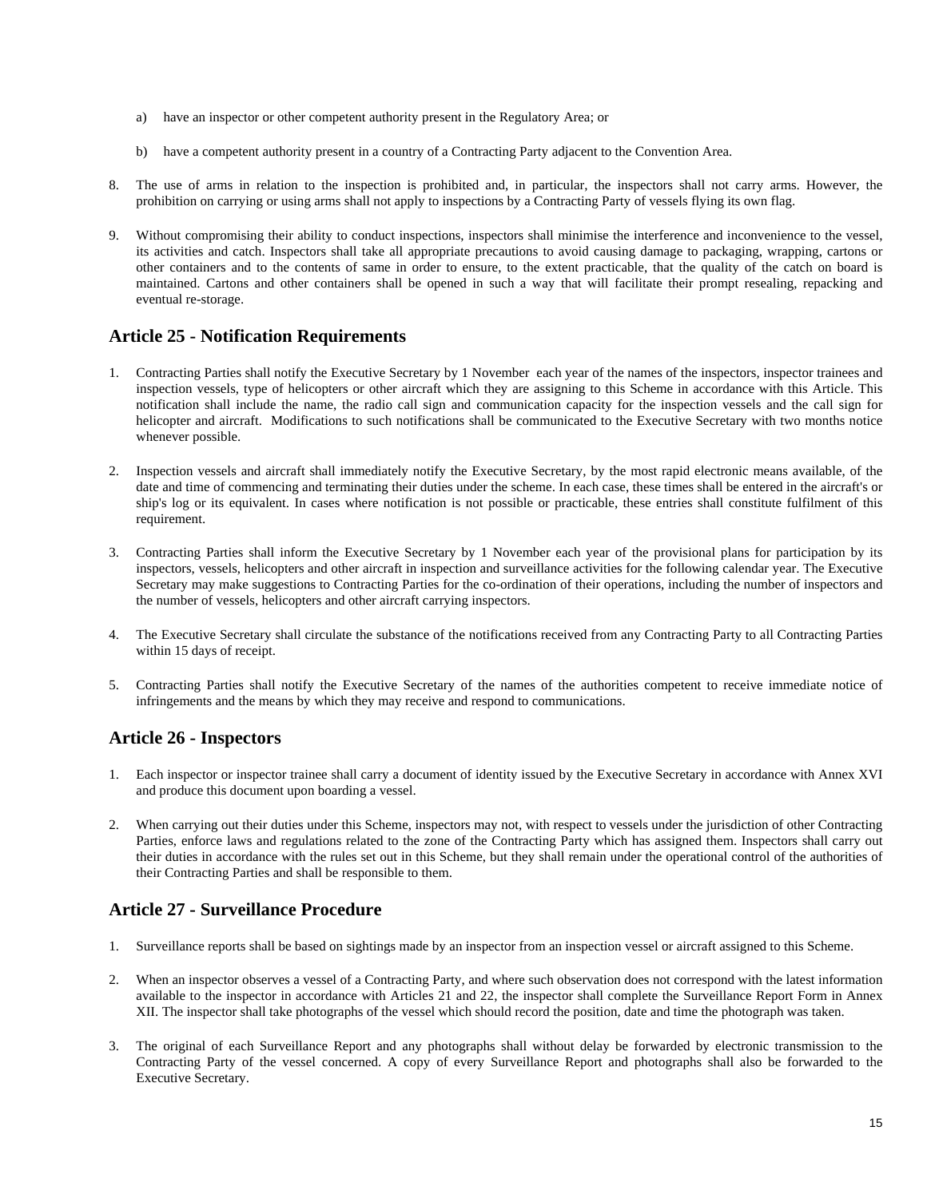- a) have an inspector or other competent authority present in the Regulatory Area; or
- b) have a competent authority present in a country of a Contracting Party adjacent to the Convention Area.
- 8. The use of arms in relation to the inspection is prohibited and, in particular, the inspectors shall not carry arms. However, the prohibition on carrying or using arms shall not apply to inspections by a Contracting Party of vessels flying its own flag.
- 9. Without compromising their ability to conduct inspections, inspectors shall minimise the interference and inconvenience to the vessel, its activities and catch. Inspectors shall take all appropriate precautions to avoid causing damage to packaging, wrapping, cartons or other containers and to the contents of same in order to ensure, to the extent practicable, that the quality of the catch on board is maintained. Cartons and other containers shall be opened in such a way that will facilitate their prompt resealing, repacking and eventual re-storage.

### **Article 25 - Notification Requirements**

- 1. Contracting Parties shall notify the Executive Secretary by 1 November each year of the names of the inspectors, inspector trainees and inspection vessels, type of helicopters or other aircraft which they are assigning to this Scheme in accordance with this Article. This notification shall include the name, the radio call sign and communication capacity for the inspection vessels and the call sign for helicopter and aircraft. Modifications to such notifications shall be communicated to the Executive Secretary with two months notice whenever possible.
- 2. Inspection vessels and aircraft shall immediately notify the Executive Secretary, by the most rapid electronic means available, of the date and time of commencing and terminating their duties under the scheme. In each case, these times shall be entered in the aircraft's or ship's log or its equivalent. In cases where notification is not possible or practicable, these entries shall constitute fulfilment of this requirement.
- 3. Contracting Parties shall inform the Executive Secretary by 1 November each year of the provisional plans for participation by its inspectors, vessels, helicopters and other aircraft in inspection and surveillance activities for the following calendar year. The Executive Secretary may make suggestions to Contracting Parties for the co-ordination of their operations, including the number of inspectors and the number of vessels, helicopters and other aircraft carrying inspectors.
- 4. The Executive Secretary shall circulate the substance of the notifications received from any Contracting Party to all Contracting Parties within 15 days of receipt.
- 5. Contracting Parties shall notify the Executive Secretary of the names of the authorities competent to receive immediate notice of infringements and the means by which they may receive and respond to communications.

### **Article 26 - Inspectors**

- 1. Each inspector or inspector trainee shall carry a document of identity issued by the Executive Secretary in accordance with Annex XVI and produce this document upon boarding a vessel.
- 2. When carrying out their duties under this Scheme, inspectors may not, with respect to vessels under the jurisdiction of other Contracting Parties, enforce laws and regulations related to the zone of the Contracting Party which has assigned them. Inspectors shall carry out their duties in accordance with the rules set out in this Scheme, but they shall remain under the operational control of the authorities of their Contracting Parties and shall be responsible to them.

### **Article 27 - Surveillance Procedure**

- 1. Surveillance reports shall be based on sightings made by an inspector from an inspection vessel or aircraft assigned to this Scheme.
- 2. When an inspector observes a vessel of a Contracting Party, and where such observation does not correspond with the latest information available to the inspector in accordance with Articles 21 and 22, the inspector shall complete the Surveillance Report Form in Annex XII. The inspector shall take photographs of the vessel which should record the position, date and time the photograph was taken.
- 3. The original of each Surveillance Report and any photographs shall without delay be forwarded by electronic transmission to the Contracting Party of the vessel concerned. A copy of every Surveillance Report and photographs shall also be forwarded to the Executive Secretary.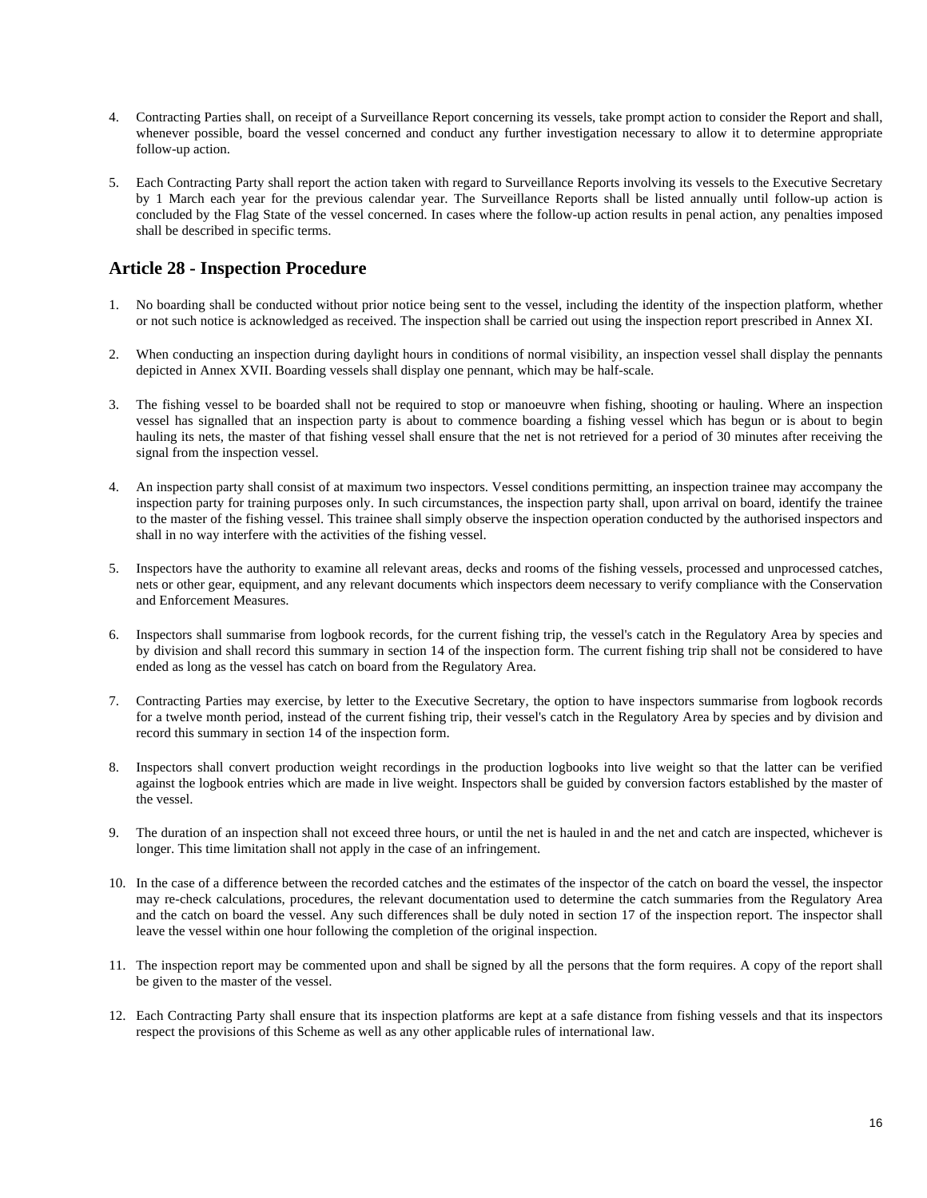- 4. Contracting Parties shall, on receipt of a Surveillance Report concerning its vessels, take prompt action to consider the Report and shall, whenever possible, board the vessel concerned and conduct any further investigation necessary to allow it to determine appropriate follow-up action.
- 5. Each Contracting Party shall report the action taken with regard to Surveillance Reports involving its vessels to the Executive Secretary by 1 March each year for the previous calendar year. The Surveillance Reports shall be listed annually until follow-up action is concluded by the Flag State of the vessel concerned. In cases where the follow-up action results in penal action, any penalties imposed shall be described in specific terms.

### **Article 28 - Inspection Procedure**

- 1. No boarding shall be conducted without prior notice being sent to the vessel, including the identity of the inspection platform, whether or not such notice is acknowledged as received. The inspection shall be carried out using the inspection report prescribed in Annex XI.
- 2. When conducting an inspection during daylight hours in conditions of normal visibility, an inspection vessel shall display the pennants depicted in Annex XVII. Boarding vessels shall display one pennant, which may be half-scale.
- 3. The fishing vessel to be boarded shall not be required to stop or manoeuvre when fishing, shooting or hauling. Where an inspection vessel has signalled that an inspection party is about to commence boarding a fishing vessel which has begun or is about to begin hauling its nets, the master of that fishing vessel shall ensure that the net is not retrieved for a period of 30 minutes after receiving the signal from the inspection vessel.
- 4. An inspection party shall consist of at maximum two inspectors. Vessel conditions permitting, an inspection trainee may accompany the inspection party for training purposes only. In such circumstances, the inspection party shall, upon arrival on board, identify the trainee to the master of the fishing vessel. This trainee shall simply observe the inspection operation conducted by the authorised inspectors and shall in no way interfere with the activities of the fishing vessel.
- 5. Inspectors have the authority to examine all relevant areas, decks and rooms of the fishing vessels, processed and unprocessed catches, nets or other gear, equipment, and any relevant documents which inspectors deem necessary to verify compliance with the Conservation and Enforcement Measures.
- 6. Inspectors shall summarise from logbook records, for the current fishing trip, the vessel's catch in the Regulatory Area by species and by division and shall record this summary in section 14 of the inspection form. The current fishing trip shall not be considered to have ended as long as the vessel has catch on board from the Regulatory Area.
- 7. Contracting Parties may exercise, by letter to the Executive Secretary, the option to have inspectors summarise from logbook records for a twelve month period, instead of the current fishing trip, their vessel's catch in the Regulatory Area by species and by division and record this summary in section 14 of the inspection form.
- 8. Inspectors shall convert production weight recordings in the production logbooks into live weight so that the latter can be verified against the logbook entries which are made in live weight. Inspectors shall be guided by conversion factors established by the master of the vessel.
- 9. The duration of an inspection shall not exceed three hours, or until the net is hauled in and the net and catch are inspected, whichever is longer. This time limitation shall not apply in the case of an infringement.
- 10. In the case of a difference between the recorded catches and the estimates of the inspector of the catch on board the vessel, the inspector may re-check calculations, procedures, the relevant documentation used to determine the catch summaries from the Regulatory Area and the catch on board the vessel. Any such differences shall be duly noted in section 17 of the inspection report. The inspector shall leave the vessel within one hour following the completion of the original inspection.
- 11. The inspection report may be commented upon and shall be signed by all the persons that the form requires. A copy of the report shall be given to the master of the vessel.
- 12. Each Contracting Party shall ensure that its inspection platforms are kept at a safe distance from fishing vessels and that its inspectors respect the provisions of this Scheme as well as any other applicable rules of international law.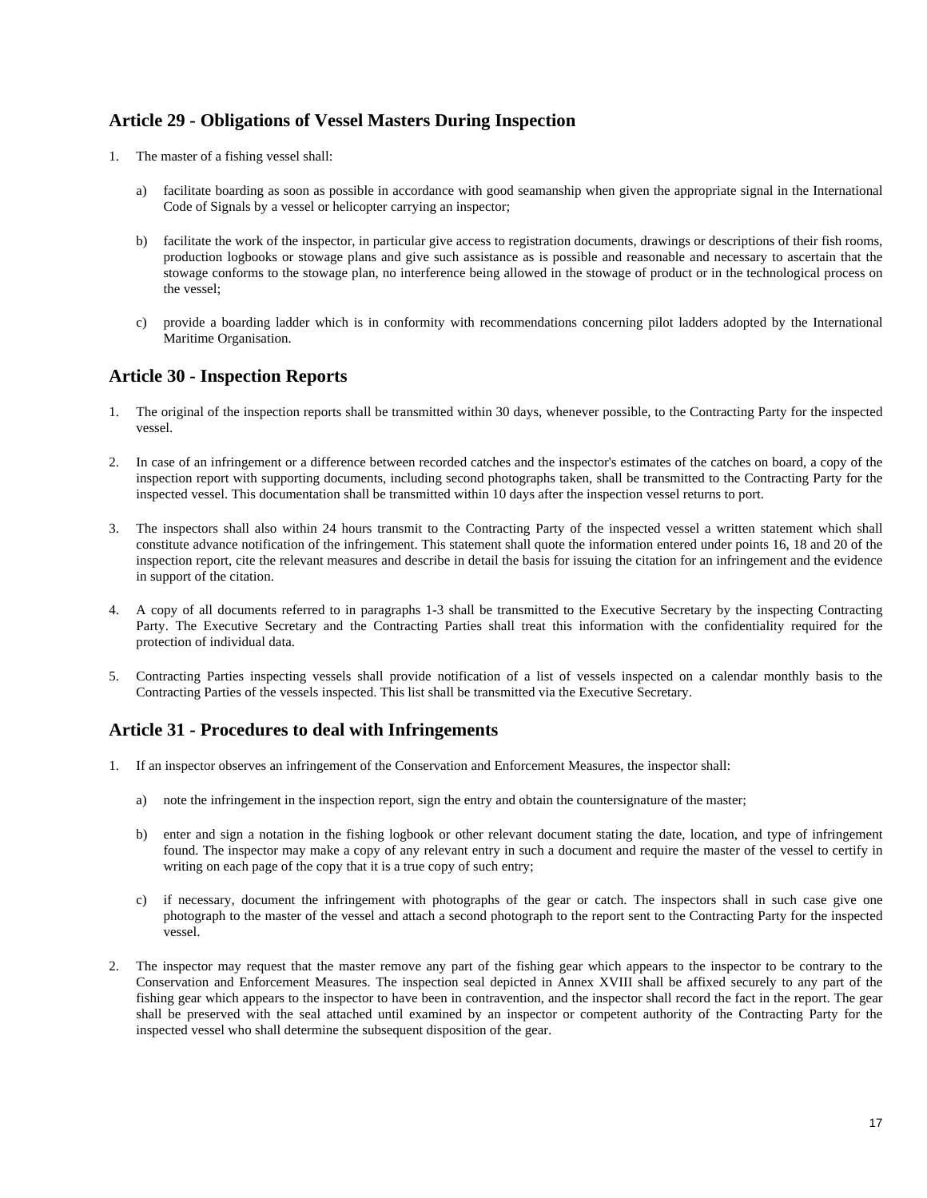### **Article 29 - Obligations of Vessel Masters During Inspection**

- 1. The master of a fishing vessel shall:
	- a) facilitate boarding as soon as possible in accordance with good seamanship when given the appropriate signal in the International Code of Signals by a vessel or helicopter carrying an inspector;
	- b) facilitate the work of the inspector, in particular give access to registration documents, drawings or descriptions of their fish rooms, production logbooks or stowage plans and give such assistance as is possible and reasonable and necessary to ascertain that the stowage conforms to the stowage plan, no interference being allowed in the stowage of product or in the technological process on the vessel;
	- c) provide a boarding ladder which is in conformity with recommendations concerning pilot ladders adopted by the International Maritime Organisation.

### **Article 30 - Inspection Reports**

- 1. The original of the inspection reports shall be transmitted within 30 days, whenever possible, to the Contracting Party for the inspected vessel.
- 2. In case of an infringement or a difference between recorded catches and the inspector's estimates of the catches on board, a copy of the inspection report with supporting documents, including second photographs taken, shall be transmitted to the Contracting Party for the inspected vessel. This documentation shall be transmitted within 10 days after the inspection vessel returns to port.
- 3. The inspectors shall also within 24 hours transmit to the Contracting Party of the inspected vessel a written statement which shall constitute advance notification of the infringement. This statement shall quote the information entered under points 16, 18 and 20 of the inspection report, cite the relevant measures and describe in detail the basis for issuing the citation for an infringement and the evidence in support of the citation.
- 4. A copy of all documents referred to in paragraphs 1-3 shall be transmitted to the Executive Secretary by the inspecting Contracting Party. The Executive Secretary and the Contracting Parties shall treat this information with the confidentiality required for the protection of individual data.
- 5. Contracting Parties inspecting vessels shall provide notification of a list of vessels inspected on a calendar monthly basis to the Contracting Parties of the vessels inspected. This list shall be transmitted via the Executive Secretary.

### **Article 31 - Procedures to deal with Infringements**

- 1. If an inspector observes an infringement of the Conservation and Enforcement Measures, the inspector shall:
	- a) note the infringement in the inspection report, sign the entry and obtain the countersignature of the master;
	- b) enter and sign a notation in the fishing logbook or other relevant document stating the date, location, and type of infringement found. The inspector may make a copy of any relevant entry in such a document and require the master of the vessel to certify in writing on each page of the copy that it is a true copy of such entry;
	- c) if necessary, document the infringement with photographs of the gear or catch. The inspectors shall in such case give one photograph to the master of the vessel and attach a second photograph to the report sent to the Contracting Party for the inspected vessel.
- 2. The inspector may request that the master remove any part of the fishing gear which appears to the inspector to be contrary to the Conservation and Enforcement Measures. The inspection seal depicted in Annex XVIII shall be affixed securely to any part of the fishing gear which appears to the inspector to have been in contravention, and the inspector shall record the fact in the report. The gear shall be preserved with the seal attached until examined by an inspector or competent authority of the Contracting Party for the inspected vessel who shall determine the subsequent disposition of the gear.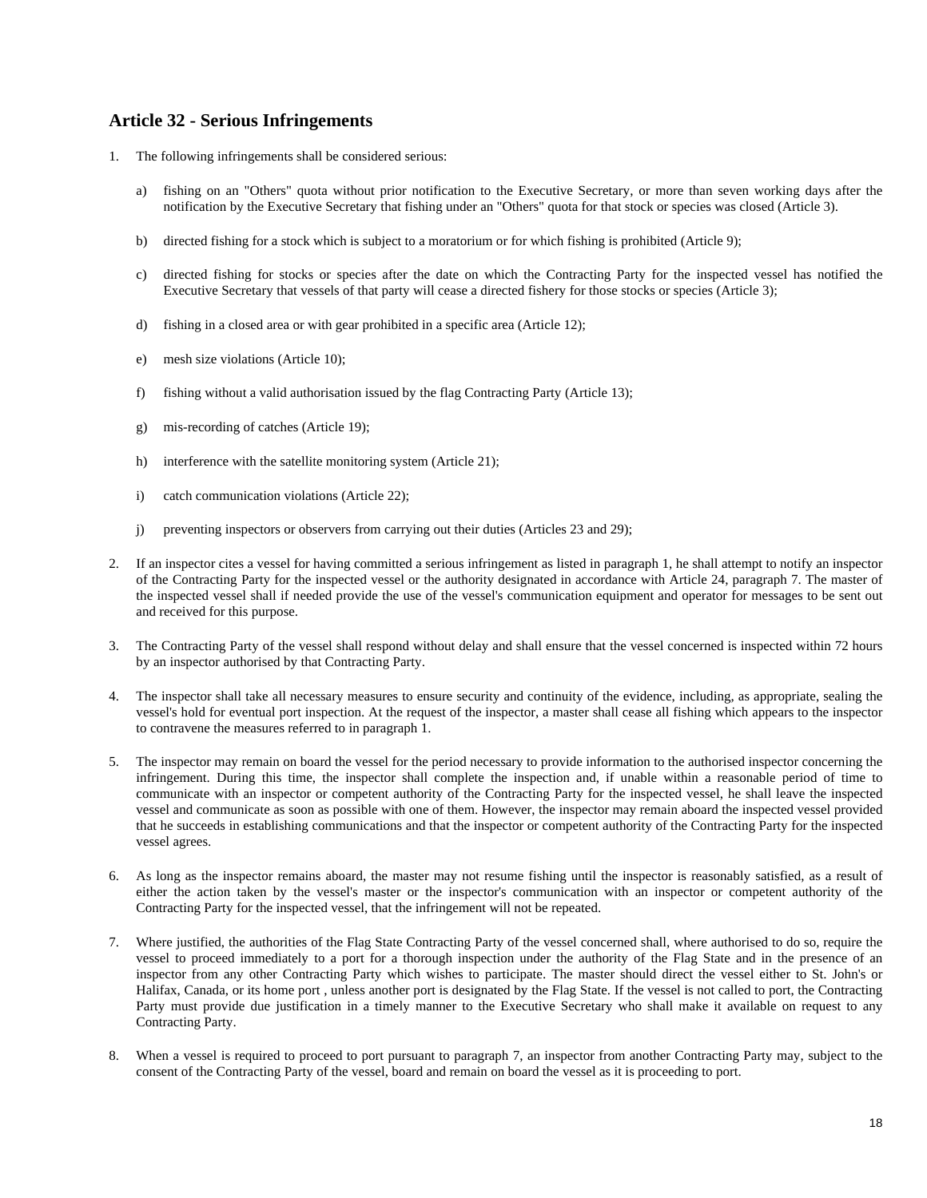### **Article 32 - Serious Infringements**

- 1. The following infringements shall be considered serious:
	- a) fishing on an "Others" quota without prior notification to the Executive Secretary, or more than seven working days after the notification by the Executive Secretary that fishing under an "Others" quota for that stock or species was closed (Article 3).
	- b) directed fishing for a stock which is subject to a moratorium or for which fishing is prohibited (Article 9);
	- c) directed fishing for stocks or species after the date on which the Contracting Party for the inspected vessel has notified the Executive Secretary that vessels of that party will cease a directed fishery for those stocks or species (Article 3);
	- d) fishing in a closed area or with gear prohibited in a specific area (Article 12);
	- e) mesh size violations (Article 10);
	- f) fishing without a valid authorisation issued by the flag Contracting Party (Article 13);
	- g) mis-recording of catches (Article 19);
	- h) interference with the satellite monitoring system (Article 21);
	- i) catch communication violations (Article 22);
	- j) preventing inspectors or observers from carrying out their duties (Articles 23 and 29);
- 2. If an inspector cites a vessel for having committed a serious infringement as listed in paragraph 1, he shall attempt to notify an inspector of the Contracting Party for the inspected vessel or the authority designated in accordance with Article 24, paragraph 7. The master of the inspected vessel shall if needed provide the use of the vessel's communication equipment and operator for messages to be sent out and received for this purpose.
- 3. The Contracting Party of the vessel shall respond without delay and shall ensure that the vessel concerned is inspected within 72 hours by an inspector authorised by that Contracting Party.
- 4. The inspector shall take all necessary measures to ensure security and continuity of the evidence, including, as appropriate, sealing the vessel's hold for eventual port inspection. At the request of the inspector, a master shall cease all fishing which appears to the inspector to contravene the measures referred to in paragraph 1.
- The inspector may remain on board the vessel for the period necessary to provide information to the authorised inspector concerning the infringement. During this time, the inspector shall complete the inspection and, if unable within a reasonable period of time to communicate with an inspector or competent authority of the Contracting Party for the inspected vessel, he shall leave the inspected vessel and communicate as soon as possible with one of them. However, the inspector may remain aboard the inspected vessel provided that he succeeds in establishing communications and that the inspector or competent authority of the Contracting Party for the inspected vessel agrees.
- 6. As long as the inspector remains aboard, the master may not resume fishing until the inspector is reasonably satisfied, as a result of either the action taken by the vessel's master or the inspector's communication with an inspector or competent authority of the Contracting Party for the inspected vessel, that the infringement will not be repeated.
- 7. Where justified, the authorities of the Flag State Contracting Party of the vessel concerned shall, where authorised to do so, require the vessel to proceed immediately to a port for a thorough inspection under the authority of the Flag State and in the presence of an inspector from any other Contracting Party which wishes to participate. The master should direct the vessel either to St. John's or Halifax, Canada, or its home port , unless another port is designated by the Flag State. If the vessel is not called to port, the Contracting Party must provide due justification in a timely manner to the Executive Secretary who shall make it available on request to any Contracting Party.
- 8. When a vessel is required to proceed to port pursuant to paragraph 7, an inspector from another Contracting Party may, subject to the consent of the Contracting Party of the vessel, board and remain on board the vessel as it is proceeding to port.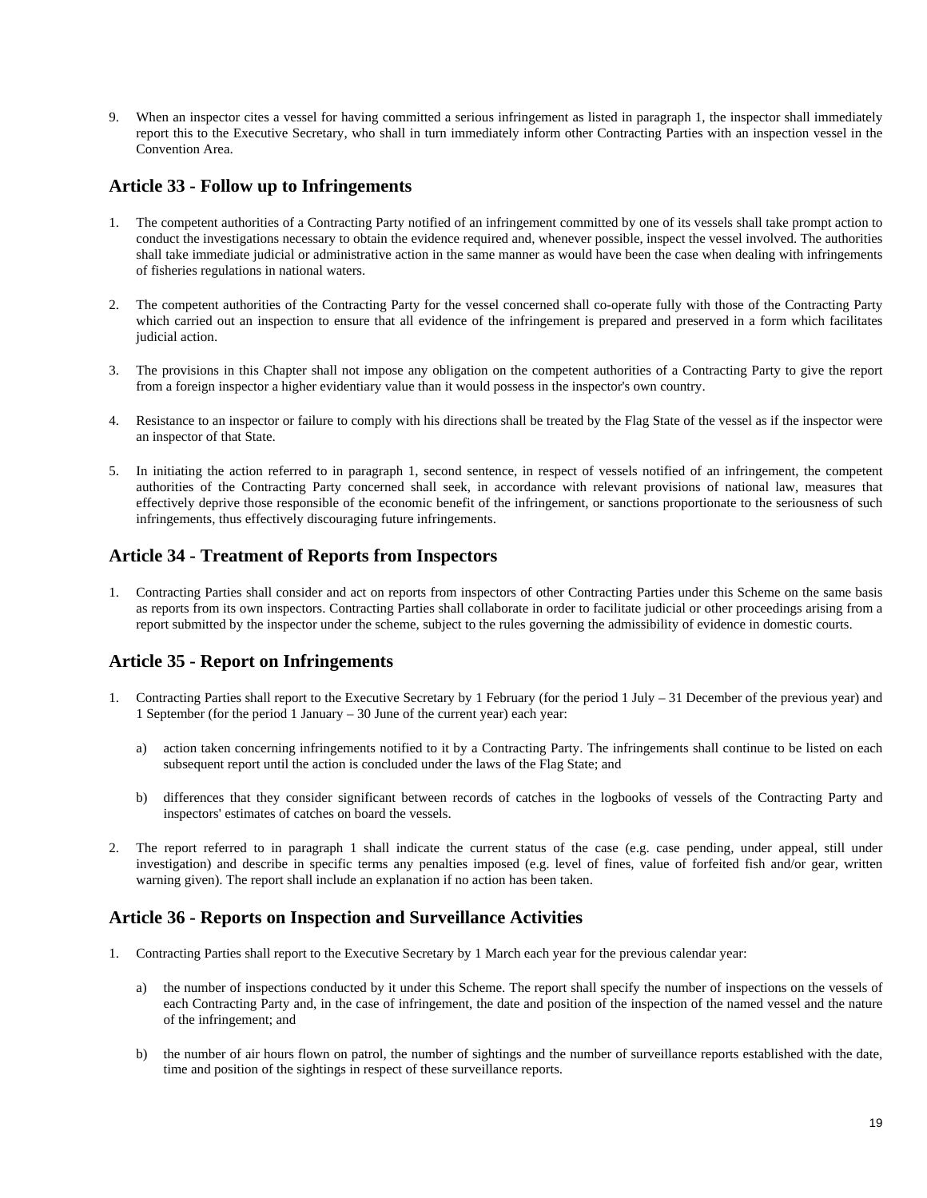9. When an inspector cites a vessel for having committed a serious infringement as listed in paragraph 1, the inspector shall immediately report this to the Executive Secretary, who shall in turn immediately inform other Contracting Parties with an inspection vessel in the Convention Area.

### **Article 33 - Follow up to Infringements**

- 1. The competent authorities of a Contracting Party notified of an infringement committed by one of its vessels shall take prompt action to conduct the investigations necessary to obtain the evidence required and, whenever possible, inspect the vessel involved. The authorities shall take immediate judicial or administrative action in the same manner as would have been the case when dealing with infringements of fisheries regulations in national waters.
- 2. The competent authorities of the Contracting Party for the vessel concerned shall co-operate fully with those of the Contracting Party which carried out an inspection to ensure that all evidence of the infringement is prepared and preserved in a form which facilitates judicial action.
- 3. The provisions in this Chapter shall not impose any obligation on the competent authorities of a Contracting Party to give the report from a foreign inspector a higher evidentiary value than it would possess in the inspector's own country.
- 4. Resistance to an inspector or failure to comply with his directions shall be treated by the Flag State of the vessel as if the inspector were an inspector of that State.
- 5. In initiating the action referred to in paragraph 1, second sentence, in respect of vessels notified of an infringement, the competent authorities of the Contracting Party concerned shall seek, in accordance with relevant provisions of national law, measures that effectively deprive those responsible of the economic benefit of the infringement, or sanctions proportionate to the seriousness of such infringements, thus effectively discouraging future infringements.

### **Article 34 - Treatment of Reports from Inspectors**

1. Contracting Parties shall consider and act on reports from inspectors of other Contracting Parties under this Scheme on the same basis as reports from its own inspectors. Contracting Parties shall collaborate in order to facilitate judicial or other proceedings arising from a report submitted by the inspector under the scheme, subject to the rules governing the admissibility of evidence in domestic courts.

### **Article 35 - Report on Infringements**

- 1. Contracting Parties shall report to the Executive Secretary by 1 February (for the period 1 July 31 December of the previous year) and 1 September (for the period 1 January – 30 June of the current year) each year:
	- a) action taken concerning infringements notified to it by a Contracting Party. The infringements shall continue to be listed on each subsequent report until the action is concluded under the laws of the Flag State; and
	- b) differences that they consider significant between records of catches in the logbooks of vessels of the Contracting Party and inspectors' estimates of catches on board the vessels.
- 2. The report referred to in paragraph 1 shall indicate the current status of the case (e.g. case pending, under appeal, still under investigation) and describe in specific terms any penalties imposed (e.g. level of fines, value of forfeited fish and/or gear, written warning given). The report shall include an explanation if no action has been taken.

### **Article 36 - Reports on Inspection and Surveillance Activities**

- 1. Contracting Parties shall report to the Executive Secretary by 1 March each year for the previous calendar year:
	- a) the number of inspections conducted by it under this Scheme. The report shall specify the number of inspections on the vessels of each Contracting Party and, in the case of infringement, the date and position of the inspection of the named vessel and the nature of the infringement; and
	- b) the number of air hours flown on patrol, the number of sightings and the number of surveillance reports established with the date, time and position of the sightings in respect of these surveillance reports.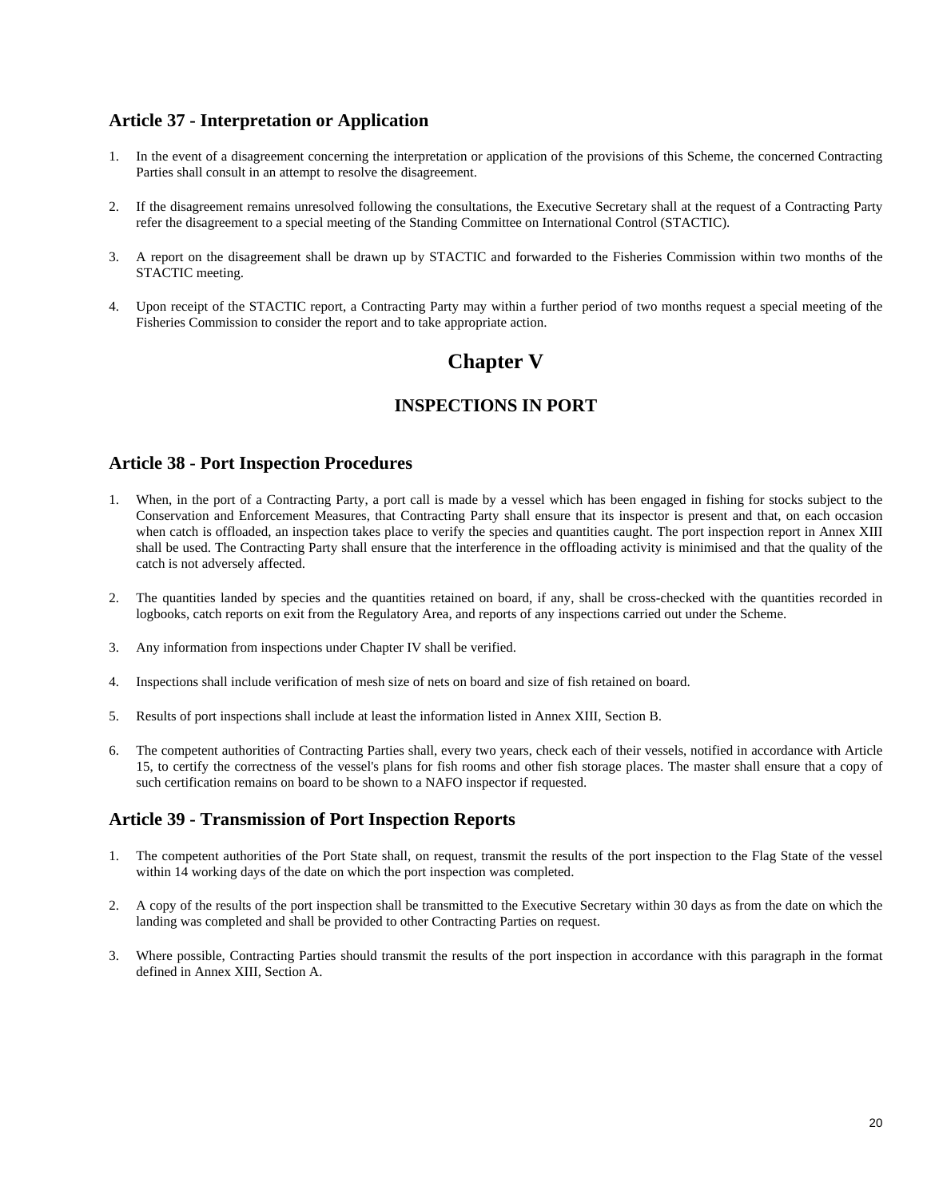### **Article 37 - Interpretation or Application**

- 1. In the event of a disagreement concerning the interpretation or application of the provisions of this Scheme, the concerned Contracting Parties shall consult in an attempt to resolve the disagreement.
- 2. If the disagreement remains unresolved following the consultations, the Executive Secretary shall at the request of a Contracting Party refer the disagreement to a special meeting of the Standing Committee on International Control (STACTIC).
- 3. A report on the disagreement shall be drawn up by STACTIC and forwarded to the Fisheries Commission within two months of the STACTIC meeting.
- 4. Upon receipt of the STACTIC report, a Contracting Party may within a further period of two months request a special meeting of the Fisheries Commission to consider the report and to take appropriate action.

# **Chapter V**

### **INSPECTIONS IN PORT**

### **Article 38 - Port Inspection Procedures**

- 1. When, in the port of a Contracting Party, a port call is made by a vessel which has been engaged in fishing for stocks subject to the Conservation and Enforcement Measures, that Contracting Party shall ensure that its inspector is present and that, on each occasion when catch is offloaded, an inspection takes place to verify the species and quantities caught. The port inspection report in Annex XIII shall be used. The Contracting Party shall ensure that the interference in the offloading activity is minimised and that the quality of the catch is not adversely affected.
- 2. The quantities landed by species and the quantities retained on board, if any, shall be cross-checked with the quantities recorded in logbooks, catch reports on exit from the Regulatory Area, and reports of any inspections carried out under the Scheme.
- 3. Any information from inspections under Chapter IV shall be verified.
- 4. Inspections shall include verification of mesh size of nets on board and size of fish retained on board.
- 5. Results of port inspections shall include at least the information listed in Annex XIII, Section B.
- 6. The competent authorities of Contracting Parties shall, every two years, check each of their vessels, notified in accordance with Article 15, to certify the correctness of the vessel's plans for fish rooms and other fish storage places. The master shall ensure that a copy of such certification remains on board to be shown to a NAFO inspector if requested.

### **Article 39 - Transmission of Port Inspection Reports**

- 1. The competent authorities of the Port State shall, on request, transmit the results of the port inspection to the Flag State of the vessel within 14 working days of the date on which the port inspection was completed.
- 2. A copy of the results of the port inspection shall be transmitted to the Executive Secretary within 30 days as from the date on which the landing was completed and shall be provided to other Contracting Parties on request.
- 3. Where possible, Contracting Parties should transmit the results of the port inspection in accordance with this paragraph in the format defined in Annex XIII, Section A.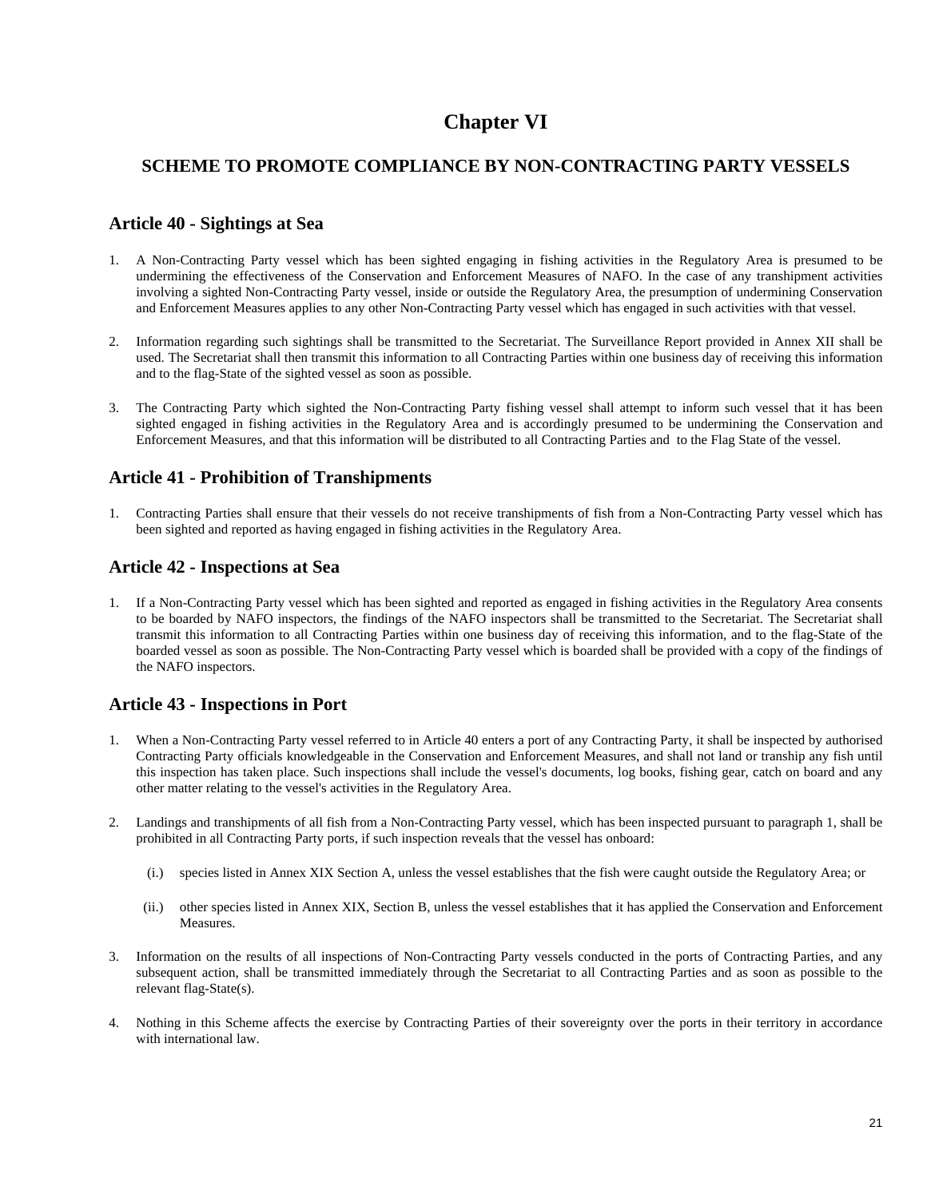# **Chapter VI**

### **SCHEME TO PROMOTE COMPLIANCE BY NON-CONTRACTING PARTY VESSELS**

### **Article 40 - Sightings at Sea**

- 1. A Non-Contracting Party vessel which has been sighted engaging in fishing activities in the Regulatory Area is presumed to be undermining the effectiveness of the Conservation and Enforcement Measures of NAFO. In the case of any transhipment activities involving a sighted Non-Contracting Party vessel, inside or outside the Regulatory Area, the presumption of undermining Conservation and Enforcement Measures applies to any other Non-Contracting Party vessel which has engaged in such activities with that vessel.
- 2. Information regarding such sightings shall be transmitted to the Secretariat. The Surveillance Report provided in Annex XII shall be used. The Secretariat shall then transmit this information to all Contracting Parties within one business day of receiving this information and to the flag-State of the sighted vessel as soon as possible.
- 3. The Contracting Party which sighted the Non-Contracting Party fishing vessel shall attempt to inform such vessel that it has been sighted engaged in fishing activities in the Regulatory Area and is accordingly presumed to be undermining the Conservation and Enforcement Measures, and that this information will be distributed to all Contracting Parties and to the Flag State of the vessel.

### **Article 41 - Prohibition of Transhipments**

1. Contracting Parties shall ensure that their vessels do not receive transhipments of fish from a Non-Contracting Party vessel which has been sighted and reported as having engaged in fishing activities in the Regulatory Area.

### **Article 42 - Inspections at Sea**

1. If a Non-Contracting Party vessel which has been sighted and reported as engaged in fishing activities in the Regulatory Area consents to be boarded by NAFO inspectors, the findings of the NAFO inspectors shall be transmitted to the Secretariat. The Secretariat shall transmit this information to all Contracting Parties within one business day of receiving this information, and to the flag-State of the boarded vessel as soon as possible. The Non-Contracting Party vessel which is boarded shall be provided with a copy of the findings of the NAFO inspectors.

### **Article 43 - Inspections in Port**

- 1. When a Non-Contracting Party vessel referred to in Article 40 enters a port of any Contracting Party, it shall be inspected by authorised Contracting Party officials knowledgeable in the Conservation and Enforcement Measures, and shall not land or tranship any fish until this inspection has taken place. Such inspections shall include the vessel's documents, log books, fishing gear, catch on board and any other matter relating to the vessel's activities in the Regulatory Area.
- 2. Landings and transhipments of all fish from a Non-Contracting Party vessel, which has been inspected pursuant to paragraph 1, shall be prohibited in all Contracting Party ports, if such inspection reveals that the vessel has onboard:
	- (i.) species listed in Annex XIX Section A, unless the vessel establishes that the fish were caught outside the Regulatory Area; or
	- (ii.) other species listed in Annex XIX, Section B, unless the vessel establishes that it has applied the Conservation and Enforcement Measures.
- 3. Information on the results of all inspections of Non-Contracting Party vessels conducted in the ports of Contracting Parties, and any subsequent action, shall be transmitted immediately through the Secretariat to all Contracting Parties and as soon as possible to the relevant flag-State(s).
- 4. Nothing in this Scheme affects the exercise by Contracting Parties of their sovereignty over the ports in their territory in accordance with international law.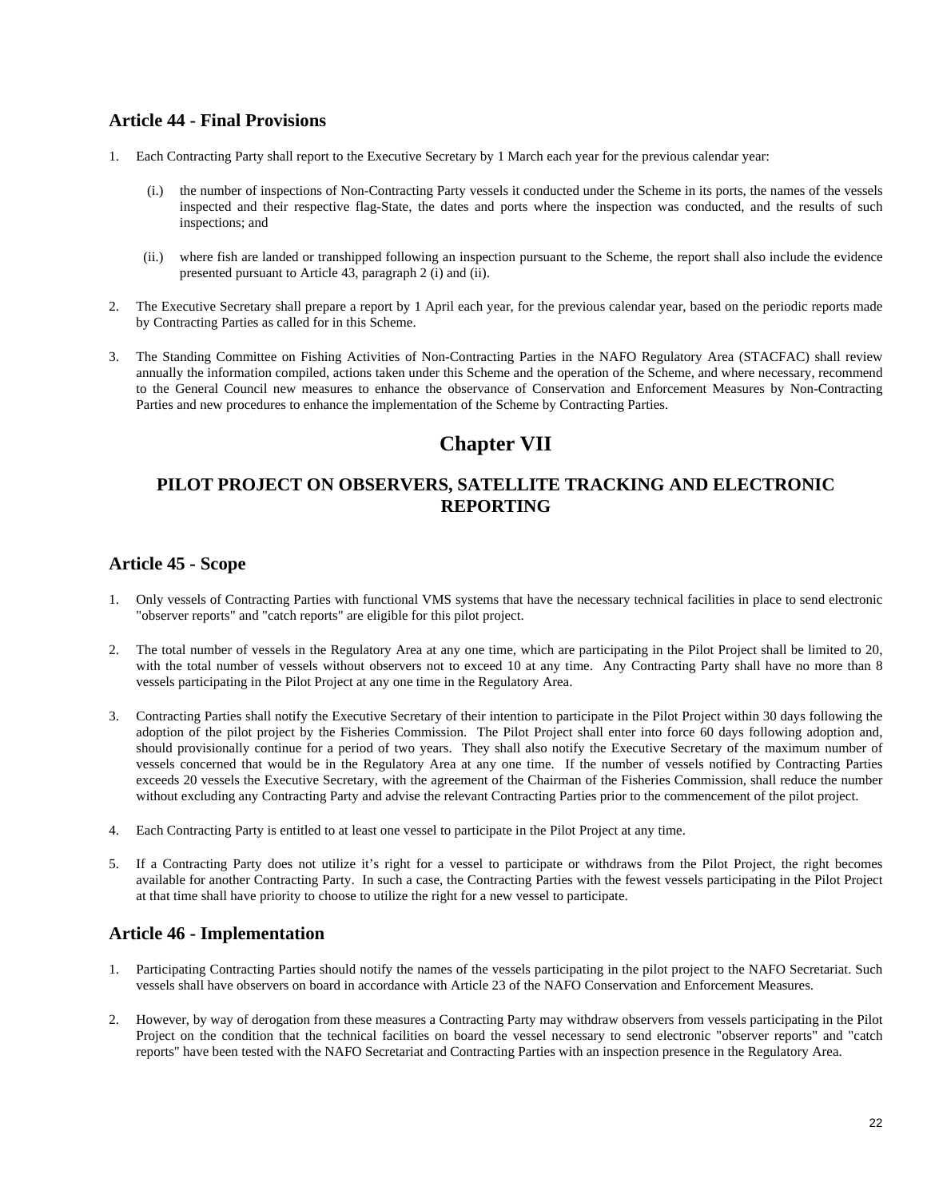### **Article 44 - Final Provisions**

- 1. Each Contracting Party shall report to the Executive Secretary by 1 March each year for the previous calendar year:
	- (i.) the number of inspections of Non-Contracting Party vessels it conducted under the Scheme in its ports, the names of the vessels inspected and their respective flag-State, the dates and ports where the inspection was conducted, and the results of such inspections; and
	- (ii.) where fish are landed or transhipped following an inspection pursuant to the Scheme, the report shall also include the evidence presented pursuant to Article 43, paragraph 2 (i) and (ii).
- 2. The Executive Secretary shall prepare a report by 1 April each year, for the previous calendar year, based on the periodic reports made by Contracting Parties as called for in this Scheme.
- 3. The Standing Committee on Fishing Activities of Non-Contracting Parties in the NAFO Regulatory Area (STACFAC) shall review annually the information compiled, actions taken under this Scheme and the operation of the Scheme, and where necessary, recommend to the General Council new measures to enhance the observance of Conservation and Enforcement Measures by Non-Contracting Parties and new procedures to enhance the implementation of the Scheme by Contracting Parties.

# **Chapter VII**

### **PILOT PROJECT ON OBSERVERS, SATELLITE TRACKING AND ELECTRONIC REPORTING**

### **Article 45 - Scope**

- 1. Only vessels of Contracting Parties with functional VMS systems that have the necessary technical facilities in place to send electronic "observer reports" and "catch reports" are eligible for this pilot project.
- 2. The total number of vessels in the Regulatory Area at any one time, which are participating in the Pilot Project shall be limited to 20, with the total number of vessels without observers not to exceed 10 at any time. Any Contracting Party shall have no more than 8 vessels participating in the Pilot Project at any one time in the Regulatory Area.
- 3. Contracting Parties shall notify the Executive Secretary of their intention to participate in the Pilot Project within 30 days following the adoption of the pilot project by the Fisheries Commission. The Pilot Project shall enter into force 60 days following adoption and, should provisionally continue for a period of two years. They shall also notify the Executive Secretary of the maximum number of vessels concerned that would be in the Regulatory Area at any one time. If the number of vessels notified by Contracting Parties exceeds 20 vessels the Executive Secretary, with the agreement of the Chairman of the Fisheries Commission, shall reduce the number without excluding any Contracting Party and advise the relevant Contracting Parties prior to the commencement of the pilot project.
- 4. Each Contracting Party is entitled to at least one vessel to participate in the Pilot Project at any time.
- 5. If a Contracting Party does not utilize it's right for a vessel to participate or withdraws from the Pilot Project, the right becomes available for another Contracting Party. In such a case, the Contracting Parties with the fewest vessels participating in the Pilot Project at that time shall have priority to choose to utilize the right for a new vessel to participate.

### **Article 46 - Implementation**

- 1. Participating Contracting Parties should notify the names of the vessels participating in the pilot project to the NAFO Secretariat. Such vessels shall have observers on board in accordance with Article 23 of the NAFO Conservation and Enforcement Measures.
- 2. However, by way of derogation from these measures a Contracting Party may withdraw observers from vessels participating in the Pilot Project on the condition that the technical facilities on board the vessel necessary to send electronic "observer reports" and "catch reports" have been tested with the NAFO Secretariat and Contracting Parties with an inspection presence in the Regulatory Area.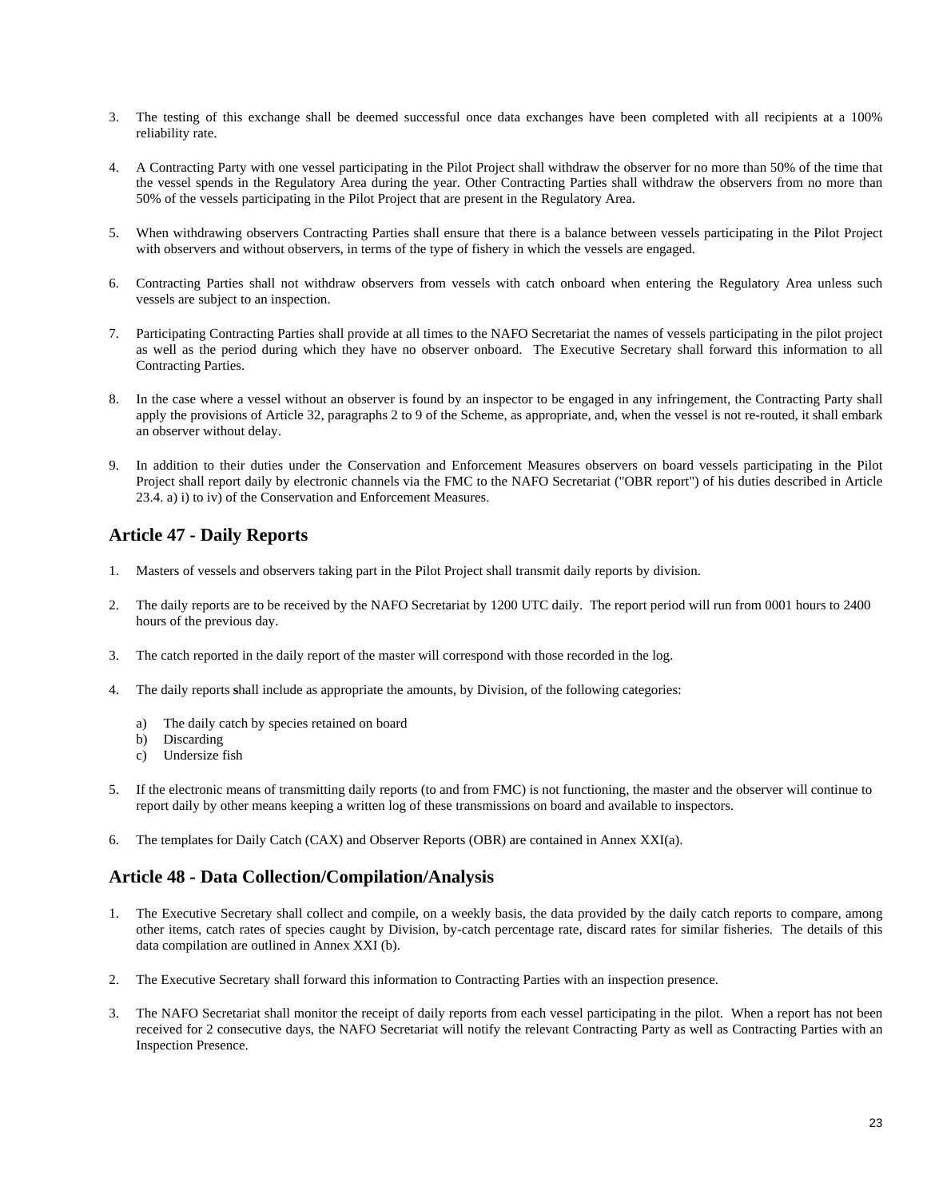- 3. The testing of this exchange shall be deemed successful once data exchanges have been completed with all recipients at a 100% reliability rate.
- 4. A Contracting Party with one vessel participating in the Pilot Project shall withdraw the observer for no more than 50% of the time that the vessel spends in the Regulatory Area during the year. Other Contracting Parties shall withdraw the observers from no more than 50% of the vessels participating in the Pilot Project that are present in the Regulatory Area.
- 5. When withdrawing observers Contracting Parties shall ensure that there is a balance between vessels participating in the Pilot Project with observers and without observers, in terms of the type of fishery in which the vessels are engaged.
- 6. Contracting Parties shall not withdraw observers from vessels with catch onboard when entering the Regulatory Area unless such vessels are subject to an inspection.
- 7. Participating Contracting Parties shall provide at all times to the NAFO Secretariat the names of vessels participating in the pilot project as well as the period during which they have no observer onboard. The Executive Secretary shall forward this information to all Contracting Parties.
- 8. In the case where a vessel without an observer is found by an inspector to be engaged in any infringement, the Contracting Party shall apply the provisions of Article 32, paragraphs 2 to 9 of the Scheme, as appropriate, and, when the vessel is not re-routed, it shall embark an observer without delay.
- 9. In addition to their duties under the Conservation and Enforcement Measures observers on board vessels participating in the Pilot Project shall report daily by electronic channels via the FMC to the NAFO Secretariat ("OBR report") of his duties described in Article 23.4. a) i) to iv) of the Conservation and Enforcement Measures.

### **Article 47 - Daily Reports**

- 1. Masters of vessels and observers taking part in the Pilot Project shall transmit daily reports by division.
- 2. The daily reports are to be received by the NAFO Secretariat by 1200 UTC daily. The report period will run from 0001 hours to 2400 hours of the previous day.
- 3. The catch reported in the daily report of the master will correspond with those recorded in the log.
- 4. The daily reports **s**hall include as appropriate the amounts, by Division, of the following categories:
	- a) The daily catch by species retained on board
	- b) Discarding
	- c) Undersize fish
- 5. If the electronic means of transmitting daily reports (to and from FMC) is not functioning, the master and the observer will continue to report daily by other means keeping a written log of these transmissions on board and available to inspectors.
- 6. The templates for Daily Catch (CAX) and Observer Reports (OBR) are contained in Annex XXI(a).

### **Article 48 - Data Collection/Compilation/Analysis**

- 1. The Executive Secretary shall collect and compile, on a weekly basis, the data provided by the daily catch reports to compare, among other items, catch rates of species caught by Division, by-catch percentage rate, discard rates for similar fisheries. The details of this data compilation are outlined in Annex XXI (b).
- 2. The Executive Secretary shall forward this information to Contracting Parties with an inspection presence.
- 3. The NAFO Secretariat shall monitor the receipt of daily reports from each vessel participating in the pilot. When a report has not been received for 2 consecutive days, the NAFO Secretariat will notify the relevant Contracting Party as well as Contracting Parties with an Inspection Presence.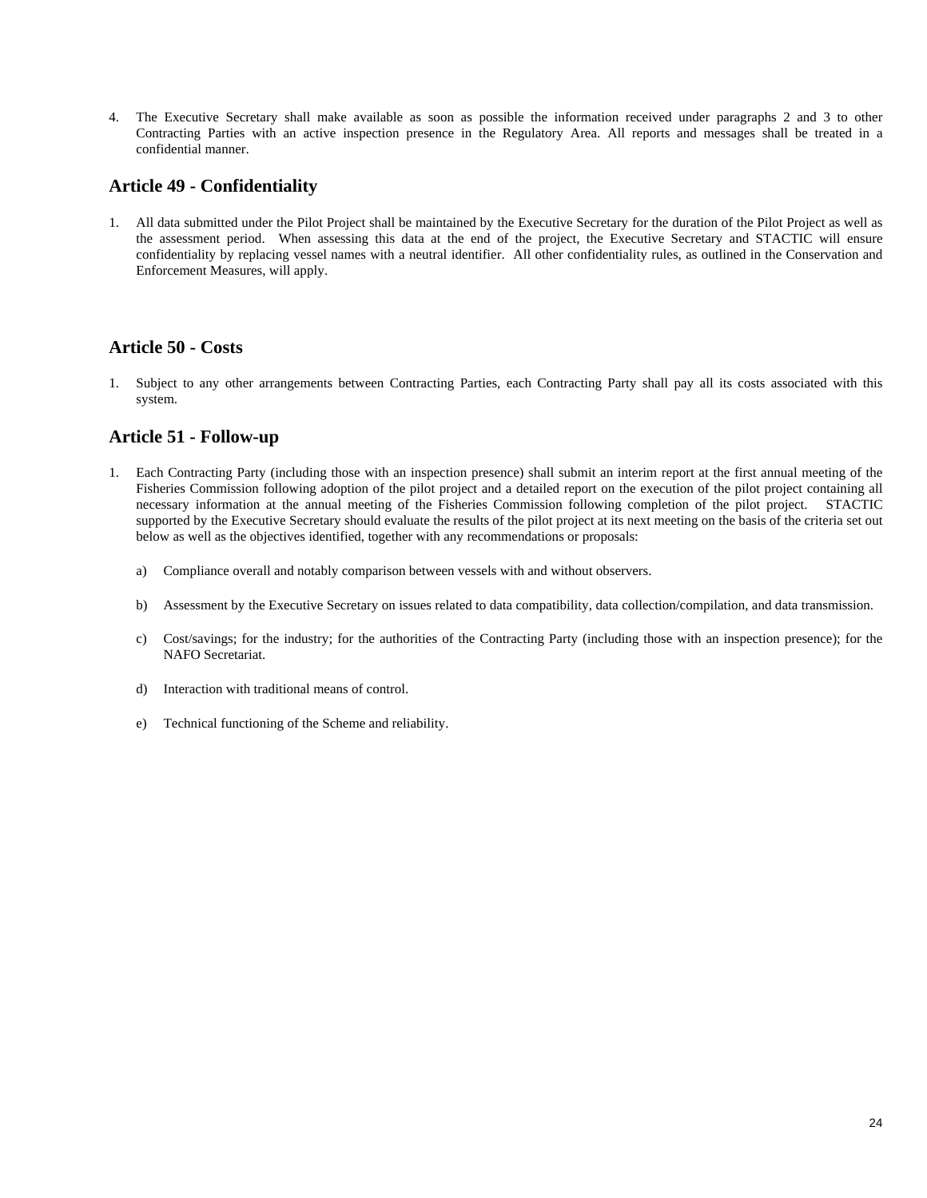4. The Executive Secretary shall make available as soon as possible the information received under paragraphs 2 and 3 to other Contracting Parties with an active inspection presence in the Regulatory Area. All reports and messages shall be treated in a confidential manner.

### **Article 49 - Confidentiality**

1. All data submitted under the Pilot Project shall be maintained by the Executive Secretary for the duration of the Pilot Project as well as the assessment period. When assessing this data at the end of the project, the Executive Secretary and STACTIC will ensure confidentiality by replacing vessel names with a neutral identifier. All other confidentiality rules, as outlined in the Conservation and Enforcement Measures, will apply.

### **Article 50 - Costs**

1. Subject to any other arrangements between Contracting Parties, each Contracting Party shall pay all its costs associated with this system.

### **Article 51 - Follow-up**

- 1. Each Contracting Party (including those with an inspection presence) shall submit an interim report at the first annual meeting of the Fisheries Commission following adoption of the pilot project and a detailed report on the execution of the pilot project containing all necessary information at the annual meeting of the Fisheries Commission following completion of the pilot project. STACTIC supported by the Executive Secretary should evaluate the results of the pilot project at its next meeting on the basis of the criteria set out below as well as the objectives identified, together with any recommendations or proposals:
	- a) Compliance overall and notably comparison between vessels with and without observers.
	- b) Assessment by the Executive Secretary on issues related to data compatibility, data collection/compilation, and data transmission.
	- c) Cost/savings; for the industry; for the authorities of the Contracting Party (including those with an inspection presence); for the NAFO Secretariat.
	- d) Interaction with traditional means of control.
	- e) Technical functioning of the Scheme and reliability.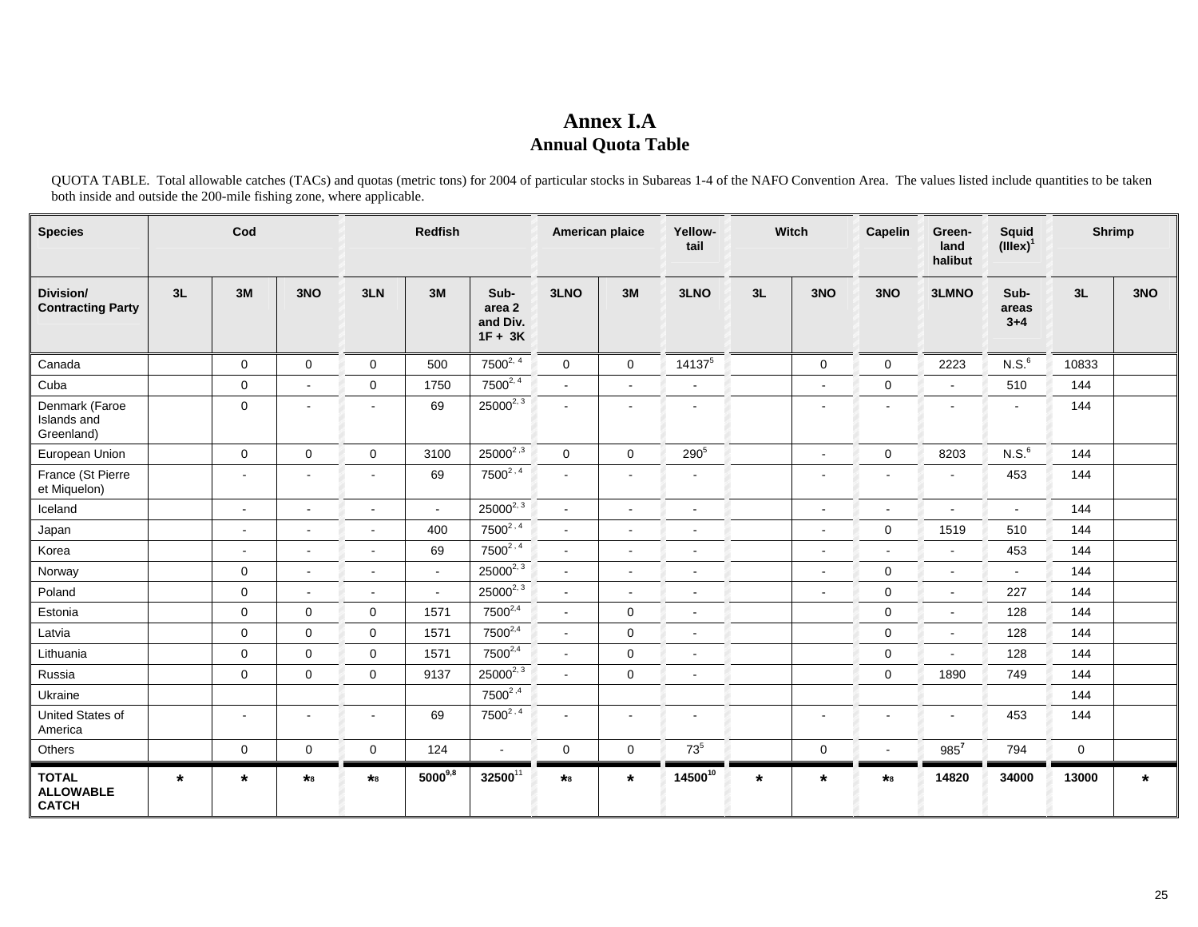# **Annex I.A Annual Quota Table**

QUOTA TABLE. Total allowable catches (TACs) and quotas (metric tons) for 2004 of particular stocks in Subareas 1-4 of the NAFO Convention Area. The values listed include quantities to be taken both inside and outside the 200-mile fishing zone, where applicable.

| <b>Species</b>                                   |         | Cod                      |                |                          | Redfish      |                                         |                | American plaice | Yellow-<br>tail |         | Witch                    | Capelin             | Green-<br>land<br>halibut | <b>Squid</b><br>$(iiiex)^1$ | Shrimp |         |
|--------------------------------------------------|---------|--------------------------|----------------|--------------------------|--------------|-----------------------------------------|----------------|-----------------|-----------------|---------|--------------------------|---------------------|---------------------------|-----------------------------|--------|---------|
| Division/<br><b>Contracting Party</b>            | 3L      | 3M                       | 3NO            | 3LN                      | 3M           | Sub-<br>area 2<br>and Div.<br>$1F + 3K$ | 3LNO           | 3M              | 3LNO            | 3L      | 3NO                      | 3NO                 | 3LMNO                     | Sub-<br>areas<br>$3 + 4$    | 3L     | 3NO     |
| Canada                                           |         | 0                        | $\mathbf 0$    | $\mathbf 0$              | 500          | $7500^{2,4}$                            | $\mathbf 0$    | $\mathbf 0$     | $14137^5$       |         | $\mathbf 0$              | $\mathbf 0$         | 2223                      | N.S. <sup>6</sup>           | 10833  |         |
| Cuba                                             |         | $\mathbf 0$              | $\mathbf{r}$   | $\mathbf 0$              | 1750         | $7500^{2,4}$                            |                |                 | $\sim$          |         |                          | $\mathbf 0$         | $\blacksquare$            | 510                         | 144    |         |
| Denmark (Faroe<br>Islands and<br>Greenland)      |         | $\mathbf 0$              | $\blacksquare$ | $\blacksquare$           | 69           | $25000^{2, 3}$                          |                | $\blacksquare$  | $\blacksquare$  |         | $\overline{\phantom{a}}$ | $\blacksquare$      | $\blacksquare$            | $\blacksquare$              | 144    |         |
| European Union                                   |         | $\mathbf 0$              | $\mathbf 0$    | $\mathbf 0$              | 3100         | $25000^{2,3}$                           | $\overline{0}$ | $\overline{0}$  | 2905            |         | $\blacksquare$           | $\mathsf{O}\xspace$ | 8203                      | N.S. <sup>6</sup>           | 144    |         |
| France (St Pierre<br>et Miquelon)                |         | $\blacksquare$           | $\blacksquare$ | $\overline{\phantom{a}}$ | 69           | $7500^{2.4}$                            |                | $\blacksquare$  | $\blacksquare$  |         |                          |                     | $\overline{\phantom{a}}$  | 453                         | 144    |         |
| Iceland                                          |         | $\blacksquare$           | $\blacksquare$ | $\blacksquare$           | $\sim$       | $25000^{2,3}$                           | $\blacksquare$ | $\blacksquare$  | $\sim$          |         | $\blacksquare$           | $\sim$              | $\blacksquare$            | $\sim$                      | 144    |         |
| Japan                                            |         |                          | ÷.             | ÷.                       | 400          | $7500^{2,4}$                            |                | ä,              | $\overline{a}$  |         |                          | $\mathbf 0$         | 1519                      | 510                         | 144    |         |
| Korea                                            |         | $\overline{\phantom{a}}$ | $\blacksquare$ | $\blacksquare$           | 69           | $7500^{2,4}$                            | $\overline{a}$ | $\blacksquare$  | $\blacksquare$  |         | $\overline{\phantom{a}}$ |                     | $\blacksquare$            | 453                         | 144    |         |
| Norway                                           |         | 0                        | $\blacksquare$ | $\blacksquare$           |              | $25000^{2, 3}$                          |                | $\blacksquare$  | $\sim$          |         |                          | $\mathbf 0$         | $\blacksquare$            | $\sim$                      | 144    |         |
| Poland                                           |         | $\mathbf 0$              | $\blacksquare$ | $\sim$                   | $\sim$       | $25000^{2, 3}$                          | $\blacksquare$ | $\blacksquare$  | $\sim$          |         | $\overline{\phantom{a}}$ | $\mathbf 0$         | $\blacksquare$            | 227                         | 144    |         |
| Estonia                                          |         | 0                        | $\mathbf 0$    | $\mathbf 0$              | 1571         | $7500^{2,4}$                            | $\blacksquare$ | $\mathbf 0$     | $\blacksquare$  |         |                          | $\mathbf 0$         | $\blacksquare$            | 128                         | 144    |         |
| Latvia                                           |         | 0                        | $\mathbf 0$    | $\mathbf 0$              | 1571         | $7500^{2,4}$                            | $\blacksquare$ | $\mathbf{0}$    | $\sim$          |         |                          | $\mathbf 0$         | $\blacksquare$            | 128                         | 144    |         |
| Lithuania                                        |         | 0                        | $\mathbf 0$    | $\mathbf 0$              | 1571         | 7500 <sup>2,4</sup>                     | $\mathbf{r}$   | $\mathbf 0$     | $\sim$          |         |                          | $\mathbf 0$         | $\blacksquare$            | 128                         | 144    |         |
| Russia                                           |         | $\mathsf{O}\xspace$      | $\mathbf 0$    | $\mathbf 0$              | 9137         | $25000^{2, 3}$                          |                | $\mathbf 0$     | $\sim$          |         |                          | $\mathbf 0$         | 1890                      | 749                         | 144    |         |
| Ukraine                                          |         |                          |                |                          |              | $7500^{2,4}$                            |                |                 |                 |         |                          |                     |                           |                             | 144    |         |
| United States of<br>America                      |         | $\overline{\phantom{a}}$ | $\blacksquare$ | $\blacksquare$           | 69           | $7500^{2,4}$                            | $\blacksquare$ | $\blacksquare$  | $\blacksquare$  |         | $\overline{\phantom{a}}$ | $\blacksquare$      | $\overline{\phantom{a}}$  | 453                         | 144    |         |
| Others                                           |         | 0                        | $\mathbf 0$    | $\mathbf 0$              | 124          | $\sim$                                  | $\mathbf 0$    | $\mathbf 0$     | $73^5$          |         | $\mathbf 0$              | $\blacksquare$      | $985^7$                   | 794                         | 0      |         |
| <b>TOTAL</b><br><b>ALLOWABLE</b><br><b>CATCH</b> | $\star$ | $\star$                  | $\star_8$      | $\star_8$                | $5000^{9,8}$ | 3250011                                 | $*_{8}$        | $\star$         | $14500^{10}$    | $\star$ | $\star$                  | $\star_8$           | 14820                     | 34000                       | 13000  | $\star$ |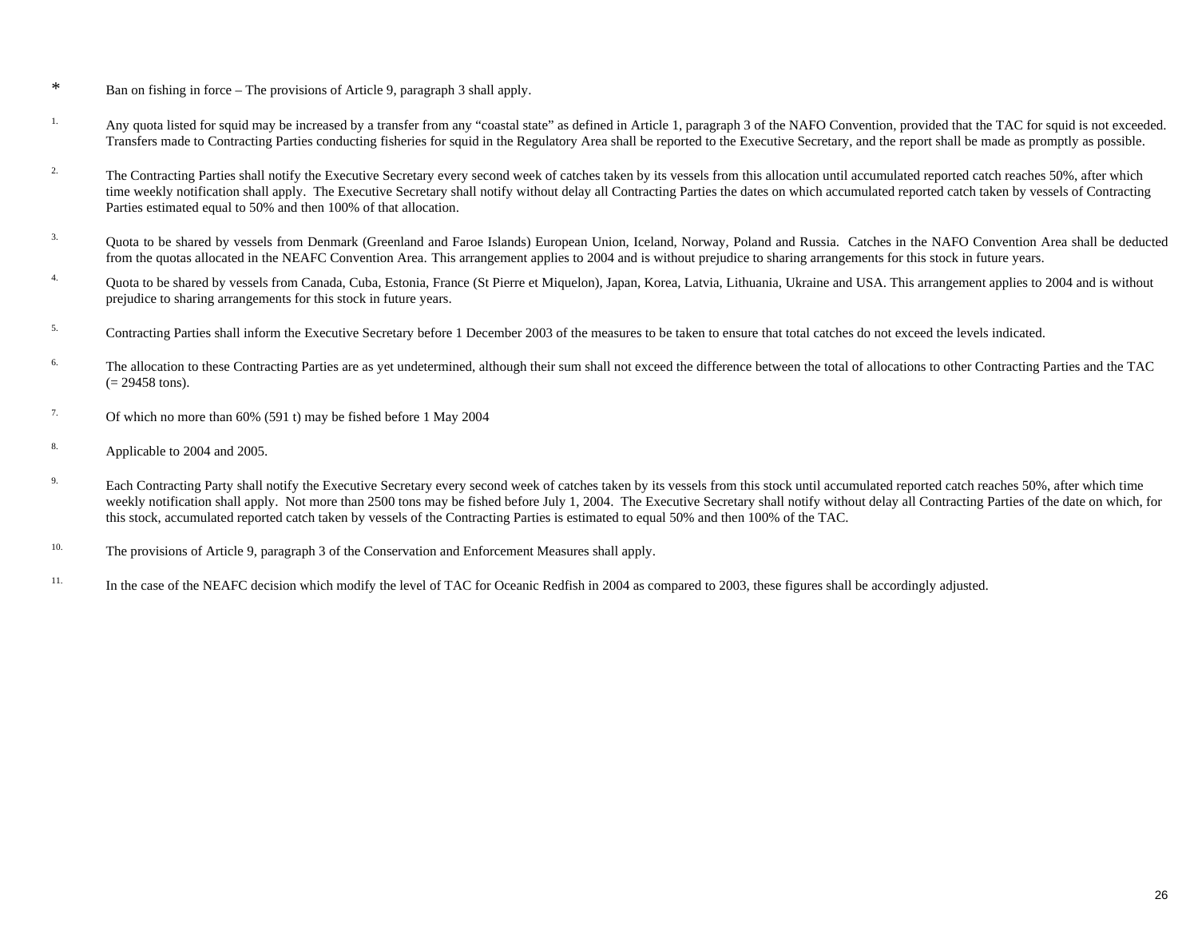- \* Ban on fishing in force The provisions of Article 9, paragraph 3 shall apply.
- <sup>1.</sup> Any quota listed for squid may be increased by a transfer from any "coastal state" as defined in Article 1, paragraph 3 of the NAFO Convention, provided that the TAC for squid is not exceeded. Transfers made to Contracting Parties conducting fisheries for squid in the Regulatory Area shall be reported to the Executive Secretary, and the report shall be made as promptly as possible.
- <sup>2.</sup> The Contracting Parties shall notify the Executive Secretary every second week of catches taken by its vessels from this allocation until accumulated reported catch reaches 50%, after which time weekly notification shall apply. The Executive Secretary shall notify without delay all Contracting Parties the dates on which accumulated reported catch taken by vessels of Contracting Parties estimated equal to 50% and then 100% of that allocation.
- <sup>3.</sup> Quota to be shared by vessels from Denmark (Greenland and Faroe Islands) European Union, Iceland, Norway, Poland and Russia. Catches in the NAFO Convention Area shall be deducted from the quotas allocated in the NEAFC Convention Area. This arrangement applies to 2004 and is without prejudice to sharing arrangements for this stock in future years.
- <sup>4.</sup> Quota to be shared by vessels from Canada, Cuba, Estonia, France (St Pierre et Miquelon), Japan, Korea, Latvia, Lithuania, Ukraine and USA. This arrangement applies to 2004 and is without prejudice to sharing arrangements for this stock in future years.
- <sup>5.</sup> Contracting Parties shall inform the Executive Secretary before 1 December 2003 of the measures to be taken to ensure that total catches do not exceed the levels indicated.
- <sup>6.</sup> The allocation to these Contracting Parties are as yet undetermined, although their sum shall not exceed the difference between the total of allocations to other Contracting Parties and the TAC  $(= 29458 \text{ tons}).$
- <sup>7.</sup> Of which no more than  $60\%$  (591 t) may be fished before 1 May 2004
- 8. Applicable to 2004 and 2005.
- <sup>9.</sup> Each Contracting Party shall notify the Executive Secretary every second week of catches taken by its vessels from this stock until accumulated reported catch reaches 50%, after which time weekly notification shall apply. Not more than 2500 tons may be fished before July 1, 2004. The Executive Secretary shall notify without delay all Contracting Parties of the date on which, for this stock, accumulated reported catch taken by vessels of the Contracting Parties is estimated to equal 50% and then 100% of the TAC.
- <sup>10.</sup> The provisions of Article 9, paragraph 3 of the Conservation and Enforcement Measures shall apply.
- <sup>11.</sup> In the case of the NEAFC decision which modify the level of TAC for Oceanic Redfish in 2004 as compared to 2003, these figures shall be accordingly adjusted.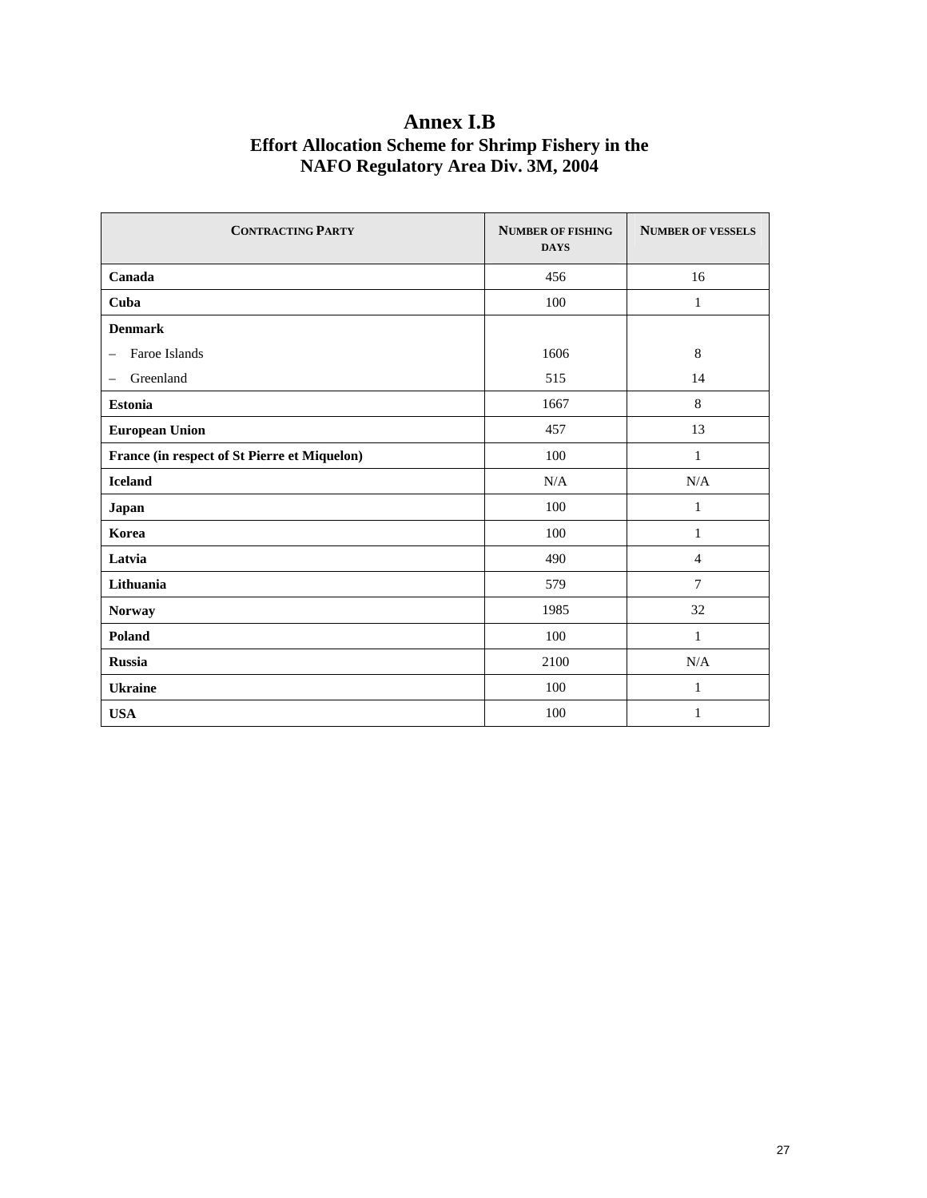# **Annex I.B Effort Allocation Scheme for Shrimp Fishery in the NAFO Regulatory Area Div. 3M, 2004**

| <b>CONTRACTING PARTY</b>                     | <b>NUMBER OF FISHING</b><br><b>DAYS</b> | <b>NUMBER OF VESSELS</b> |  |
|----------------------------------------------|-----------------------------------------|--------------------------|--|
| Canada                                       | 456                                     | 16                       |  |
| Cuba                                         | 100                                     | $\mathbf{1}$             |  |
| <b>Denmark</b>                               |                                         |                          |  |
| Faroe Islands<br>$\overline{\phantom{m}}$    | 1606                                    | $\,8$                    |  |
| Greenland<br>$\overline{\phantom{m}}$        | 515                                     | 14                       |  |
| <b>Estonia</b>                               | 1667                                    | 8                        |  |
| <b>European Union</b>                        | 457                                     | 13                       |  |
| France (in respect of St Pierre et Miquelon) | 100                                     | 1                        |  |
| <b>Iceland</b>                               | N/A                                     | N/A                      |  |
| Japan                                        | 100                                     | $\mathbf{1}$             |  |
| Korea                                        | 100                                     | $\mathbf{1}$             |  |
| Latvia                                       | 490                                     | $\overline{4}$           |  |
| Lithuania                                    | 579                                     | $\tau$                   |  |
| Norway                                       | 1985                                    | 32                       |  |
| Poland                                       | 100                                     | $\mathbf{1}$             |  |
| <b>Russia</b>                                | 2100                                    | N/A                      |  |
| <b>Ukraine</b>                               | 100                                     | $\mathbf{1}$             |  |
| <b>USA</b>                                   | 100                                     | 1                        |  |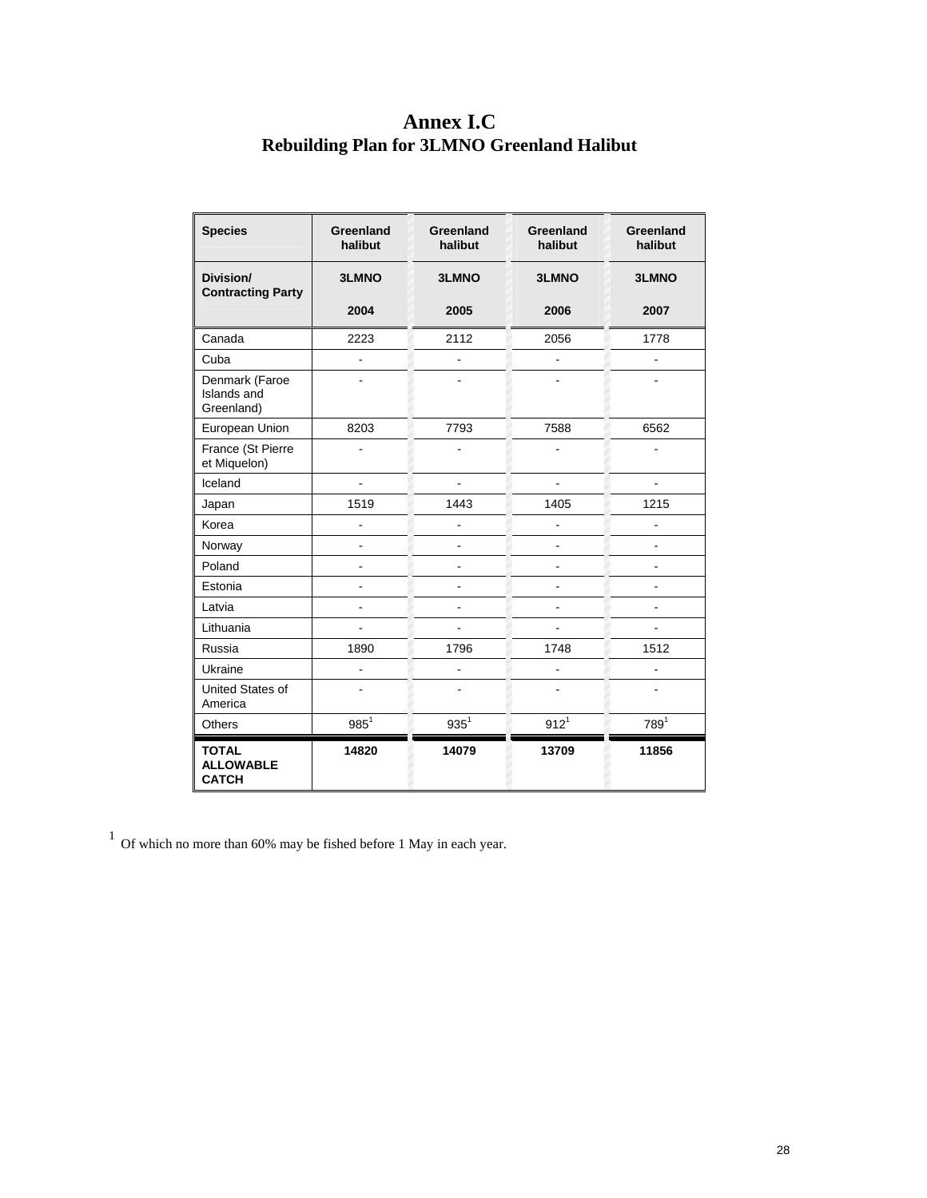# **Annex I.C Rebuilding Plan for 3LMNO Greenland Halibut**

| <b>Species</b>                                   | <b>Greenland</b><br>halibut | Greenland<br>halibut | Greenland<br>halibut | Greenland<br>halibut |
|--------------------------------------------------|-----------------------------|----------------------|----------------------|----------------------|
| Division/<br><b>Contracting Party</b>            | <b>3LMNO</b>                | <b>3LMNO</b>         | <b>3LMNO</b>         | <b>3LMNO</b>         |
|                                                  | 2004                        | 2005                 | 2006                 | 2007                 |
| Canada                                           | 2223                        | 2112                 | 2056                 | 1778                 |
| Cuba                                             | $\overline{a}$              |                      |                      |                      |
| Denmark (Faroe<br>Islands and<br>Greenland)      |                             |                      |                      |                      |
| European Union                                   | 8203                        | 7793                 | 7588                 | 6562                 |
| France (St Pierre<br>et Miquelon)                |                             | ä,                   | ä,                   |                      |
| Iceland                                          |                             |                      |                      |                      |
| Japan                                            | 1519                        | 1443                 | 1405                 | 1215                 |
| Korea                                            | $\overline{a}$              |                      |                      |                      |
| Norway                                           | $\overline{a}$              |                      | ä,                   |                      |
| Poland                                           | L.                          |                      |                      |                      |
| Estonia                                          | $\overline{a}$              |                      |                      |                      |
| Latvia                                           | $\overline{a}$              |                      | ä,                   |                      |
| Lithuania                                        |                             |                      |                      |                      |
| Russia                                           | 1890                        | 1796                 | 1748                 | 1512                 |
| Ukraine                                          | $\overline{a}$              | L.                   | ä,                   |                      |
| United States of<br>America                      |                             |                      |                      |                      |
| <b>Others</b>                                    | $985^{1}$                   | $935^1$              | $912^{1}$            | $789^{1}$            |
| <b>TOTAL</b><br><b>ALLOWABLE</b><br><b>CATCH</b> | 14820                       | 14079                | 13709                | 11856                |

 $^{\rm 1}$  Of which no more than 60% may be fished before 1 May in each year.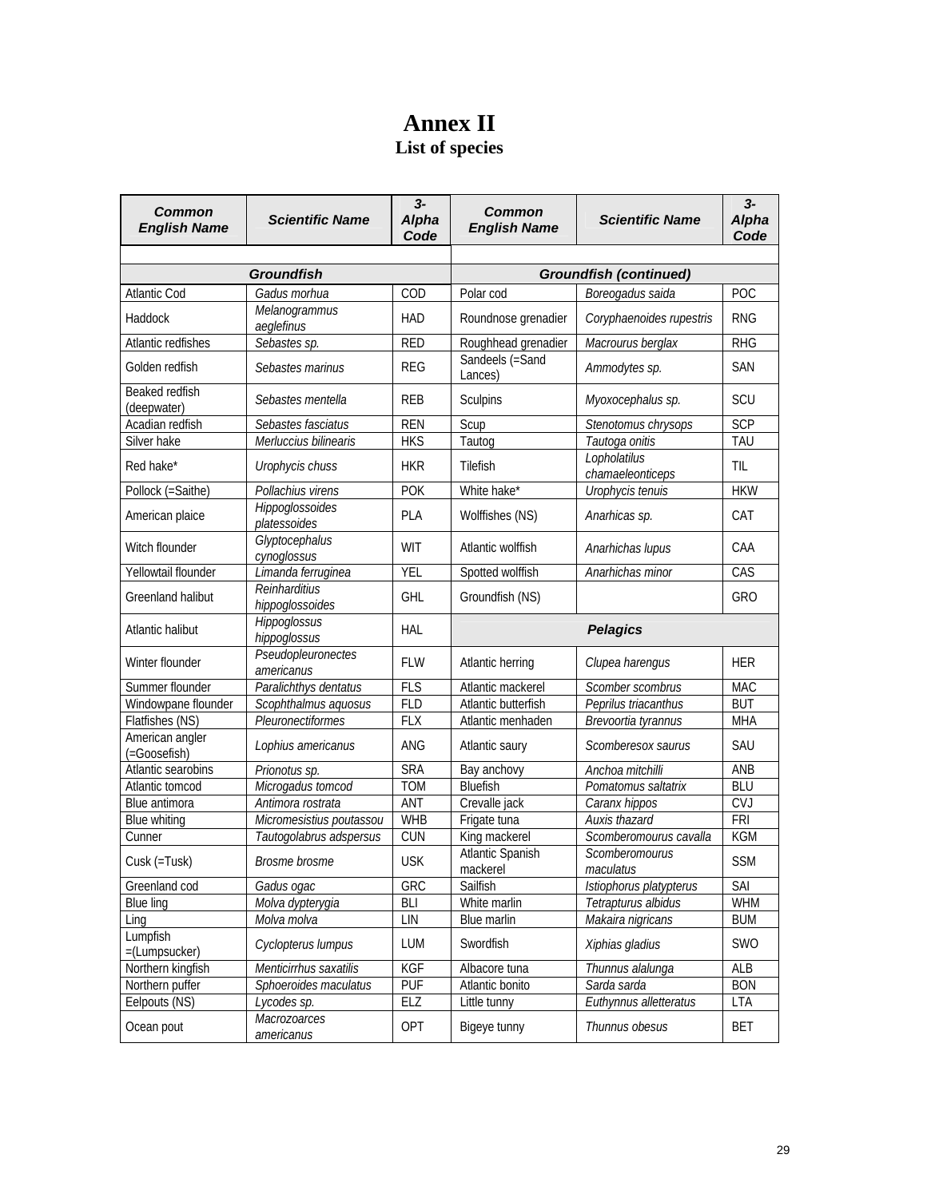# **Annex II List of species**

| Common<br><b>English Name</b>   | <b>Scientific Name</b>           | $3-$<br>Alpha<br>Code | <b>Common</b><br><b>English Name</b> | <b>Scientific Name</b>           | $3-$<br>Alpha<br>Code |  |  |
|---------------------------------|----------------------------------|-----------------------|--------------------------------------|----------------------------------|-----------------------|--|--|
|                                 |                                  |                       |                                      |                                  |                       |  |  |
|                                 | <b>Groundfish</b>                |                       | <b>Groundfish (continued)</b>        |                                  |                       |  |  |
| <b>Atlantic Cod</b>             | Gadus morhua                     | COD                   | Polar cod                            | Boreogadus saida                 | POC                   |  |  |
| Haddock                         | Melanogrammus<br>aeglefinus      | <b>HAD</b>            | Roundnose grenadier                  | Coryphaenoides rupestris         | <b>RNG</b>            |  |  |
| Atlantic redfishes              | Sebastes sp.                     | <b>RED</b>            | Roughhead grenadier                  | Macrourus berglax                | <b>RHG</b>            |  |  |
| Golden redfish                  | Sebastes marinus                 | <b>REG</b>            | Sandeels (=Sand<br>Lances)           | Ammodytes sp.                    | <b>SAN</b>            |  |  |
| Beaked redfish<br>(deepwater)   | Sebastes mentella                | <b>REB</b>            | Sculpins                             | Myoxocephalus sp.                | SCU                   |  |  |
| Acadian redfish                 | Sebastes fasciatus               | <b>REN</b>            | Scup                                 | Stenotomus chrysops              | <b>SCP</b>            |  |  |
| Silver hake                     | Merluccius bilinearis            | <b>HKS</b>            | Tautog                               | Tautoga onitis                   | <b>TAU</b>            |  |  |
| Red hake*                       | Urophycis chuss                  | <b>HKR</b>            | Tilefish                             | Lopholatilus<br>chamaeleonticeps | <b>TIL</b>            |  |  |
| Pollock (=Saithe)               | Pollachius virens                | <b>POK</b>            | White hake*                          | Urophycis tenuis                 | <b>HKW</b>            |  |  |
| American plaice                 | Hippoglossoides<br>platessoides  | PLA                   | Wolffishes (NS)                      | Anarhicas sp.                    | CAT                   |  |  |
| Witch flounder                  | Glyptocephalus<br>cynoglossus    | WIT                   | Atlantic wolffish                    | Anarhichas lupus                 | CAA                   |  |  |
| Yellowtail flounder             | Limanda ferruginea               | <b>YEL</b>            | Spotted wolffish                     | Anarhichas minor                 | CAS                   |  |  |
| Greenland halibut               | Reinharditius<br>hippoglossoides | <b>GHL</b>            | Groundfish (NS)                      |                                  | GRO                   |  |  |
| Atlantic halibut                | Hippoglossus<br>hippoglossus     | <b>HAL</b>            |                                      | <b>Pelagics</b>                  |                       |  |  |
| Winter flounder                 | Pseudopleuronectes<br>americanus | <b>FLW</b>            | Atlantic herring                     | Clupea harengus                  | <b>HER</b>            |  |  |
| Summer flounder                 | Paralichthys dentatus            | <b>FLS</b>            | Atlantic mackerel                    | Scomber scombrus                 | <b>MAC</b>            |  |  |
| Windowpane flounder             | Scophthalmus aquosus             | <b>FLD</b>            | Atlantic butterfish                  | Peprilus triacanthus             | <b>BUT</b>            |  |  |
| Flatfishes (NS)                 | Pleuronectiformes                | <b>FLX</b>            | Atlantic menhaden                    | Brevoortia tyrannus              | <b>MHA</b>            |  |  |
| American angler<br>(=Goosefish) | Lophius americanus               | <b>ANG</b>            | Atlantic saury                       | Scomberesox saurus               | SAU                   |  |  |
| Atlantic searobins              | Prionotus sp.                    | <b>SRA</b>            | Bay anchovy                          | Anchoa mitchilli                 | ANB                   |  |  |
| Atlantic tomcod                 | Microgadus tomcod                | <b>TOM</b>            | <b>Bluefish</b>                      | Pomatomus saltatrix              | <b>BLU</b>            |  |  |
| Blue antimora                   | Antimora rostrata                | ANT                   | Crevalle jack                        | Caranx hippos                    | <b>CVJ</b>            |  |  |
| <b>Blue whiting</b>             | Micromesistius poutassou         | <b>WHB</b>            | Frigate tuna                         | Auxis thazard                    | FRI                   |  |  |
| Cunner                          | Tautogolabrus adspersus          | <b>CUN</b>            | King mackerel                        | Scomberomourus cavalla           | KGM                   |  |  |
| Cusk (=Tusk)                    | Brosme brosme                    | <b>USK</b>            | Atlantic Spanish<br>mackerel         | Scomberomourus<br>maculatus      | <b>SSM</b>            |  |  |
| Greenland cod                   | Gadus ogac                       | GRC                   | Sailfish                             | Istiophorus platypterus          | SAI                   |  |  |
| <b>Blue ling</b>                | Molva dypterygia                 | BLI                   | White marlin                         | Tetrapturus albidus              | <b>WHM</b>            |  |  |
| Ling                            | Molva molva                      | LIN                   | Blue marlin                          | Makaira nigricans                | <b>BUM</b>            |  |  |
| Lumpfish<br>$=$ (Lumpsucker)    | Cyclopterus lumpus               | LUM                   | Swordfish                            | Xiphias gladius                  | SWO                   |  |  |
| Northern kingfish               | Menticirrhus saxatilis           | KGF                   | Albacore tuna                        | Thunnus alalunga                 | ALB                   |  |  |
| Northern puffer                 | Sphoeroides maculatus            | <b>PUF</b>            | Atlantic bonito                      | Sarda sarda                      | <b>BON</b>            |  |  |
| Eelpouts (NS)                   | Lycodes sp.                      | <b>ELZ</b>            | Little tunny                         | Euthynnus alletteratus           | LTA                   |  |  |
| Ocean pout                      | Macrozoarces<br>americanus       | OPT                   | Bigeye tunny                         | Thunnus obesus                   | <b>BET</b>            |  |  |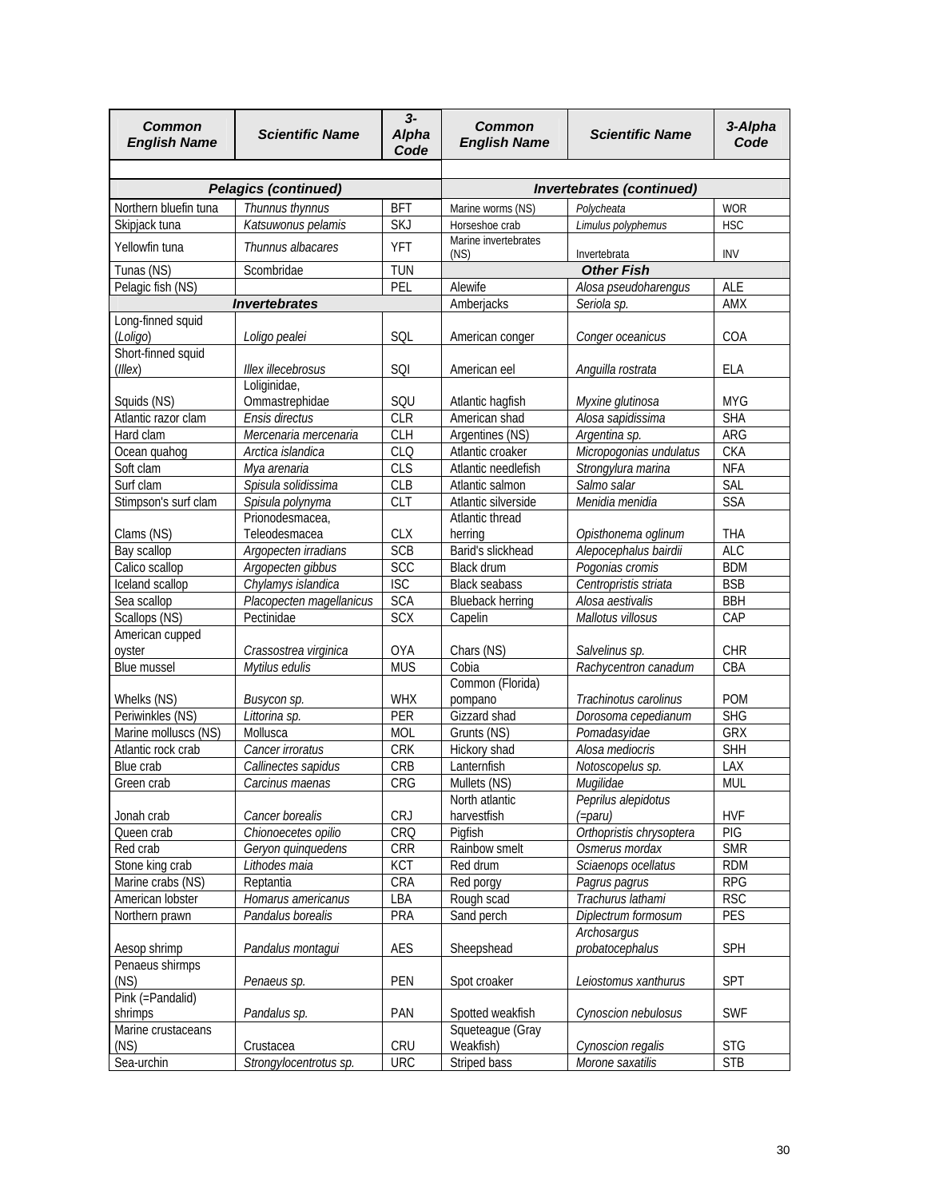| <b>Common</b><br><b>English Name</b>   | <b>Scientific Name</b>                |                          | Common<br><b>English Name</b>        | <b>Scientific Name</b>         | 3-Alpha<br>Code          |  |  |
|----------------------------------------|---------------------------------------|--------------------------|--------------------------------------|--------------------------------|--------------------------|--|--|
|                                        |                                       |                          |                                      |                                |                          |  |  |
|                                        | <b>Pelagics (continued)</b>           |                          |                                      | Invertebrates (continued)      |                          |  |  |
| Northern bluefin tuna<br>Skipjack tuna | Thunnus thynnus<br>Katsuwonus pelamis | <b>BFT</b><br><b>SKJ</b> | Marine worms (NS)<br>Horseshoe crab  | Polycheata                     | <b>WOR</b><br><b>HSC</b> |  |  |
|                                        |                                       |                          | Marine invertebrates                 | Limulus polyphemus             |                          |  |  |
| Yellowfin tuna                         | Thunnus albacares                     | <b>YFT</b>               | (NS)                                 | Invertebrata                   | <b>INV</b>               |  |  |
| Tunas (NS)                             | Scombridae                            | <b>TUN</b>               |                                      | <b>Other Fish</b>              |                          |  |  |
| Pelagic fish (NS)                      |                                       | PEL                      | Alewife                              | Alosa pseudoharengus           | ALE                      |  |  |
|                                        | <b>Invertebrates</b>                  |                          | Amberjacks                           | Seriola sp.                    | AMX                      |  |  |
| Long-finned squid<br>(Loligo)          | Loligo pealei                         | SQL                      | American conger                      | Conger oceanicus               | COA                      |  |  |
| Short-finned squid<br>(Illex)          | Illex illecebrosus                    | SQI                      | American eel                         | Anguilla rostrata              | <b>ELA</b>               |  |  |
|                                        | Loliginidae,                          |                          |                                      |                                |                          |  |  |
| Squids (NS)                            | Ommastrephidae                        | SQU                      | Atlantic hagfish                     | Myxine glutinosa               | <b>MYG</b>               |  |  |
| Atlantic razor clam                    | Ensis directus                        | <b>CLR</b>               | American shad                        | Alosa sapidissima              | <b>SHA</b>               |  |  |
| Hard clam                              | Mercenaria mercenaria                 | <b>CLH</b>               | Argentines (NS)                      | Argentina sp.                  | ARG                      |  |  |
| Ocean quahog                           | Arctica islandica                     | CLO                      | Atlantic croaker                     | Micropogonias undulatus        | <b>CKA</b>               |  |  |
| Soft clam                              | Mya arenaria                          | <b>CLS</b>               | Atlantic needlefish                  | Strongylura marina             | <b>NFA</b>               |  |  |
| Surf clam                              | Spisula solidissima                   | <b>CLB</b>               | Atlantic salmon                      | Salmo salar                    | SAL                      |  |  |
| Stimpson's surf clam                   | Spisula polynyma                      | <b>CLT</b>               | Atlantic silverside                  | Menidia menidia                | <b>SSA</b>               |  |  |
|                                        | Prionodesmacea,                       |                          | Atlantic thread                      |                                |                          |  |  |
| Clams (NS)                             | Teleodesmacea                         | <b>CLX</b>               | herring                              | Opisthonema oglinum            | THA                      |  |  |
| Bay scallop                            | Argopecten irradians                  | <b>SCB</b>               | Barid's slickhead                    | Alepocephalus bairdii          | <b>ALC</b>               |  |  |
| Calico scallop                         | Argopecten gibbus                     | <b>SCC</b>               | Black drum                           | Pogonias cromis                | <b>BDM</b>               |  |  |
| Iceland scallop                        | Chylamys islandica                    | <b>ISC</b>               | <b>Black seabass</b>                 | Centropristis striata          | <b>BSB</b>               |  |  |
| Sea scallop                            | Placopecten magellanicus              | <b>SCA</b>               | <b>Blueback herring</b>              | Alosa aestivalis               | <b>BBH</b>               |  |  |
| Scallops (NS)                          | Pectinidae                            | <b>SCX</b>               | Capelin                              | Mallotus villosus              | CAP                      |  |  |
| American cupped                        |                                       |                          |                                      |                                |                          |  |  |
| oyster                                 | Crassostrea virginica                 | <b>OYA</b>               | Chars (NS)                           | Salvelinus sp.                 | <b>CHR</b>               |  |  |
| <b>Blue mussel</b>                     | Mytilus edulis                        | <b>MUS</b>               | Cobia                                | Rachycentron canadum           | CBA                      |  |  |
|                                        |                                       |                          | Common (Florida)                     |                                |                          |  |  |
| Whelks (NS)                            | Busycon sp.                           | <b>WHX</b>               | pompano                              | Trachinotus carolinus          | <b>POM</b>               |  |  |
| Periwinkles (NS)                       | Littorina sp.                         | PER                      | Gizzard shad                         | Dorosoma cepedianum            | <b>SHG</b>               |  |  |
| Marine molluscs (NS)                   | Mollusca                              | MOL                      | Grunts (NS)                          | Pomadasyidae                   | <b>GRX</b>               |  |  |
|                                        |                                       |                          |                                      |                                |                          |  |  |
| Atlantic rock crab                     | Cancer irroratus                      | <b>CRK</b>               | Hickory shad<br>Lanternfish          | Alosa mediocris                | <b>SHH</b>               |  |  |
| Blue crab                              | Callinectes sapidus                   | CRB                      |                                      | Notoscopelus sp.               | LAX                      |  |  |
| Green crab                             | Carcinus maenas                       | CRG                      | Mullets (NS)                         | Mugilidae                      | <b>MUL</b>               |  |  |
|                                        |                                       |                          | North atlantic                       | Peprilus alepidotus            |                          |  |  |
| Jonah crab                             | Cancer borealis                       | <b>CRJ</b>               | harvestfish                          | (=paru)                        | <b>HVF</b>               |  |  |
| Queen crab                             | Chionoecetes opilio                   | CRO                      | Pigfish                              | Orthopristis chrysoptera       | PIG                      |  |  |
| Red crab                               | Geryon quinquedens                    | CRR                      | Rainbow smelt                        | Osmerus mordax                 | <b>SMR</b>               |  |  |
| Stone king crab                        | Lithodes maia                         | <b>KCT</b>               | Red drum                             | Sciaenops ocellatus            | <b>RDM</b>               |  |  |
| Marine crabs (NS)                      | Reptantia                             | CRA                      | Red porgy                            | Pagrus pagrus                  | <b>RPG</b>               |  |  |
| American lobster                       | Homarus americanus                    | LBA                      | Rough scad                           | Trachurus lathami              | <b>RSC</b>               |  |  |
| Northern prawn                         | Pandalus borealis                     | PRA                      | Sand perch                           | Diplectrum formosum            | PES                      |  |  |
| Aesop shrimp                           | Pandalus montagui                     | <b>AES</b>               | Sheepshead                           | Archosargus<br>probatocephalus | SPH                      |  |  |
| Penaeus shirmps<br>(NS)                | Penaeus sp.                           | PEN                      | Spot croaker                         | Leiostomus xanthurus           | <b>SPT</b>               |  |  |
| Pink (=Pandalid)                       |                                       |                          |                                      |                                |                          |  |  |
| shrimps<br>Marine crustaceans          | Pandalus sp.                          | PAN                      | Spotted weakfish<br>Squeteague (Gray | Cynoscion nebulosus            | <b>SWF</b>               |  |  |
| (NS)                                   | Crustacea                             | CRU                      | Weakfish)                            | Cynoscion regalis              | <b>STG</b>               |  |  |
| Sea-urchin                             | Strongylocentrotus sp.                | <b>URC</b>               | Striped bass                         | Morone saxatilis               | <b>STB</b>               |  |  |
|                                        |                                       |                          |                                      |                                |                          |  |  |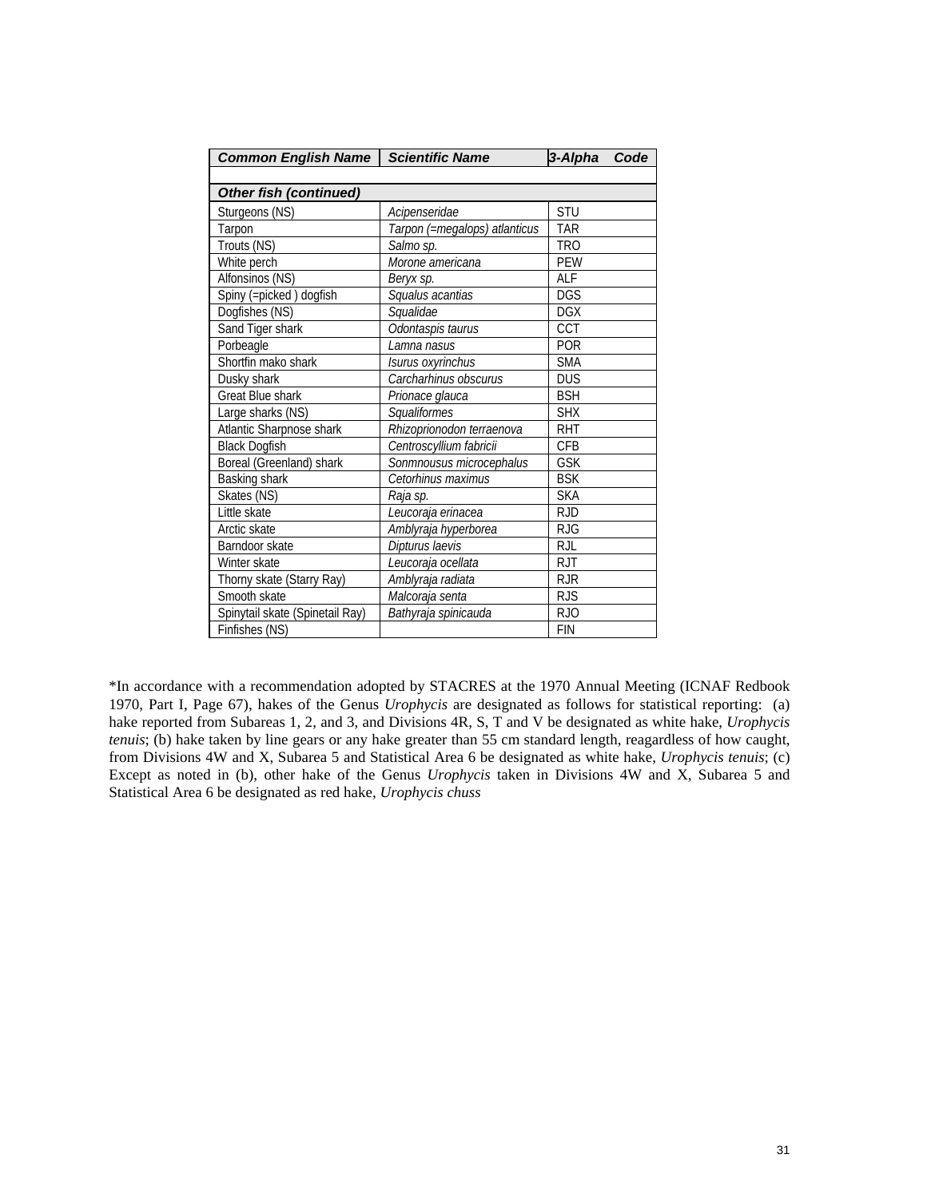| <b>Common English Name</b>      | <b>Scientific Name</b>        | Code<br>3-Alpha |
|---------------------------------|-------------------------------|-----------------|
|                                 |                               |                 |
| <b>Other fish (continued)</b>   |                               |                 |
| Sturgeons (NS)                  | Acipenseridae                 | STU             |
| Tarpon                          | Tarpon (=megalops) atlanticus | <b>TAR</b>      |
| Trouts (NS)                     | Salmo sp.                     | <b>TRO</b>      |
| White perch                     | Morone americana              | <b>PEW</b>      |
| Alfonsinos (NS)                 | Beryx sp.                     | ALF             |
| Spiny (=picked) dogfish         | Squalus acantias              | <b>DGS</b>      |
| Dogfishes (NS)                  | Squalidae                     | <b>DGX</b>      |
| Sand Tiger shark                | Odontaspis taurus             | CCT             |
| Porbeagle                       | Lamna nasus                   | <b>POR</b>      |
| Shortfin mako shark             | Isurus oxyrinchus             | <b>SMA</b>      |
| Dusky shark                     | Carcharhinus obscurus         | <b>DUS</b>      |
| <b>Great Blue shark</b>         | Prionace glauca               | <b>BSH</b>      |
| Large sharks (NS)               | Squaliformes                  | <b>SHX</b>      |
| Atlantic Sharpnose shark        | Rhizoprionodon terraenova     | <b>RHT</b>      |
| <b>Black Dogfish</b>            | Centroscyllium fabricii       | <b>CFB</b>      |
| Boreal (Greenland) shark        | Sonmnousus microcephalus      | <b>GSK</b>      |
| Basking shark                   | Cetorhinus maximus            | <b>BSK</b>      |
| Skates (NS)                     | Raja sp.                      | <b>SKA</b>      |
| Little skate                    | Leucoraja erinacea            | <b>RJD</b>      |
| Arctic skate                    | Amblyraja hyperborea          | <b>RJG</b>      |
| Barndoor skate                  | Dipturus laevis               | <b>RJL</b>      |
| Winter skate                    | Leucoraja ocellata            | <b>RJT</b>      |
| Thorny skate (Starry Ray)       | Amblyraja radiata             | <b>RJR</b>      |
| Smooth skate                    | Malcoraja senta               | <b>RJS</b>      |
| Spinytail skate (Spinetail Ray) | Bathyraja spinicauda          | RJ0             |
| Finfishes (NS)                  |                               | <b>FIN</b>      |

\*In accordance with a recommendation adopted by STACRES at the 1970 Annual Meeting (ICNAF Redbook 1970, Part I, Page 67), hakes of the Genus *Urophycis* are designated as follows for statistical reporting: (a) hake reported from Subareas 1, 2, and 3, and Divisions 4R, S, T and V be designated as white hake, *Urophycis tenuis*; (b) hake taken by line gears or any hake greater than 55 cm standard length, reagardless of how caught, from Divisions 4W and X, Subarea 5 and Statistical Area 6 be designated as white hake, *Urophycis tenuis*; (c) Except as noted in (b), other hake of the Genus *Urophycis* taken in Divisions 4W and X, Subarea 5 and Statistical Area 6 be designated as red hake, *Urophycis chuss*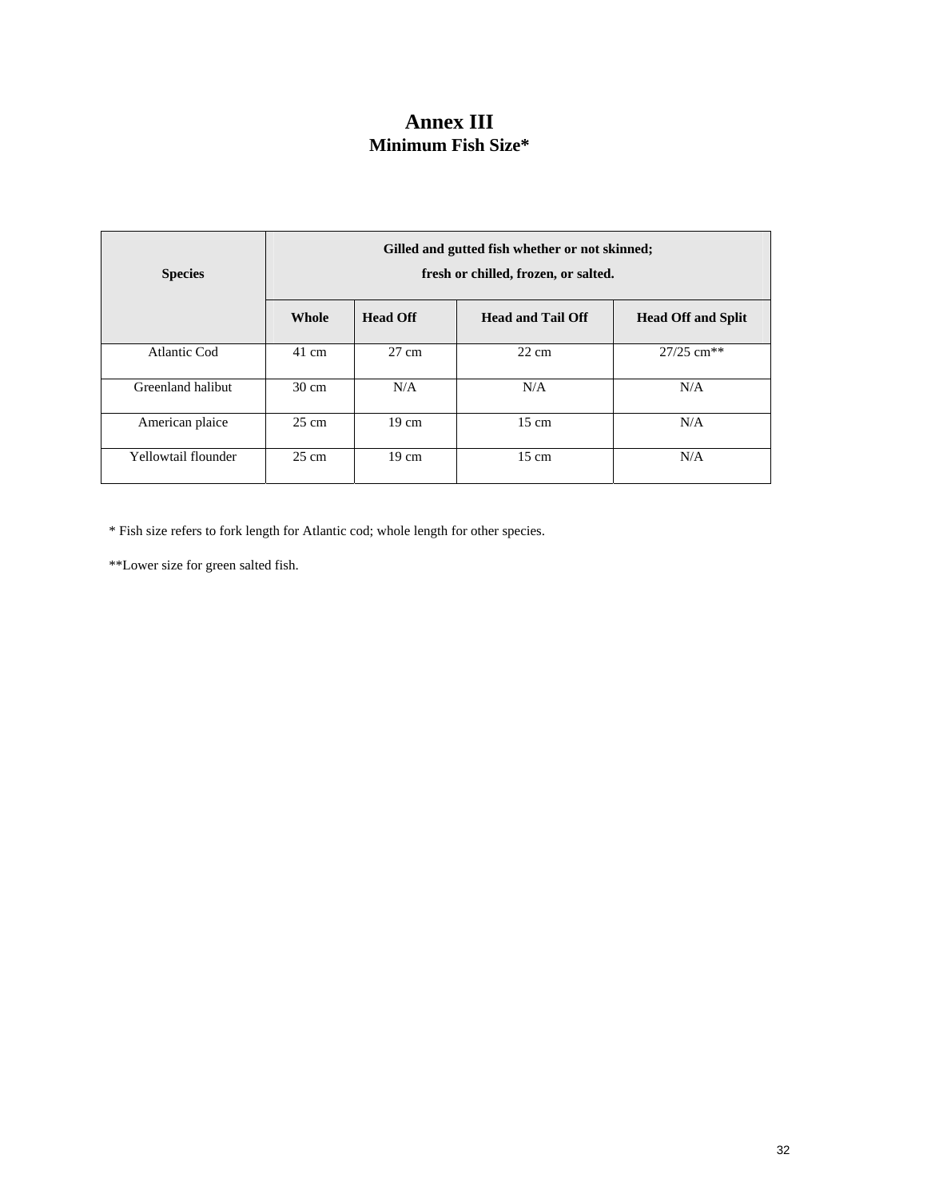# **Annex III Minimum Fish Size\***

| <b>Species</b>      | Gilled and gutted fish whether or not skinned;<br>fresh or chilled, frozen, or salted. |                 |                          |                           |
|---------------------|----------------------------------------------------------------------------------------|-----------------|--------------------------|---------------------------|
|                     | Whole                                                                                  | <b>Head Off</b> | <b>Head and Tail Off</b> | <b>Head Off and Split</b> |
| <b>Atlantic Cod</b> | 41 cm                                                                                  | $27 \text{ cm}$ | $22 \text{ cm}$          | $27/25$ cm <sup>**</sup>  |
| Greenland halibut   | $30 \text{ cm}$                                                                        | N/A             | N/A                      | N/A                       |
| American plaice     | 25 cm                                                                                  | $19 \text{ cm}$ | $15 \text{ cm}$          | N/A                       |
| Yellowtail flounder | $25 \text{ cm}$                                                                        | $19 \text{ cm}$ | $15 \text{ cm}$          | N/A                       |

\* Fish size refers to fork length for Atlantic cod; whole length for other species.

\*\*Lower size for green salted fish.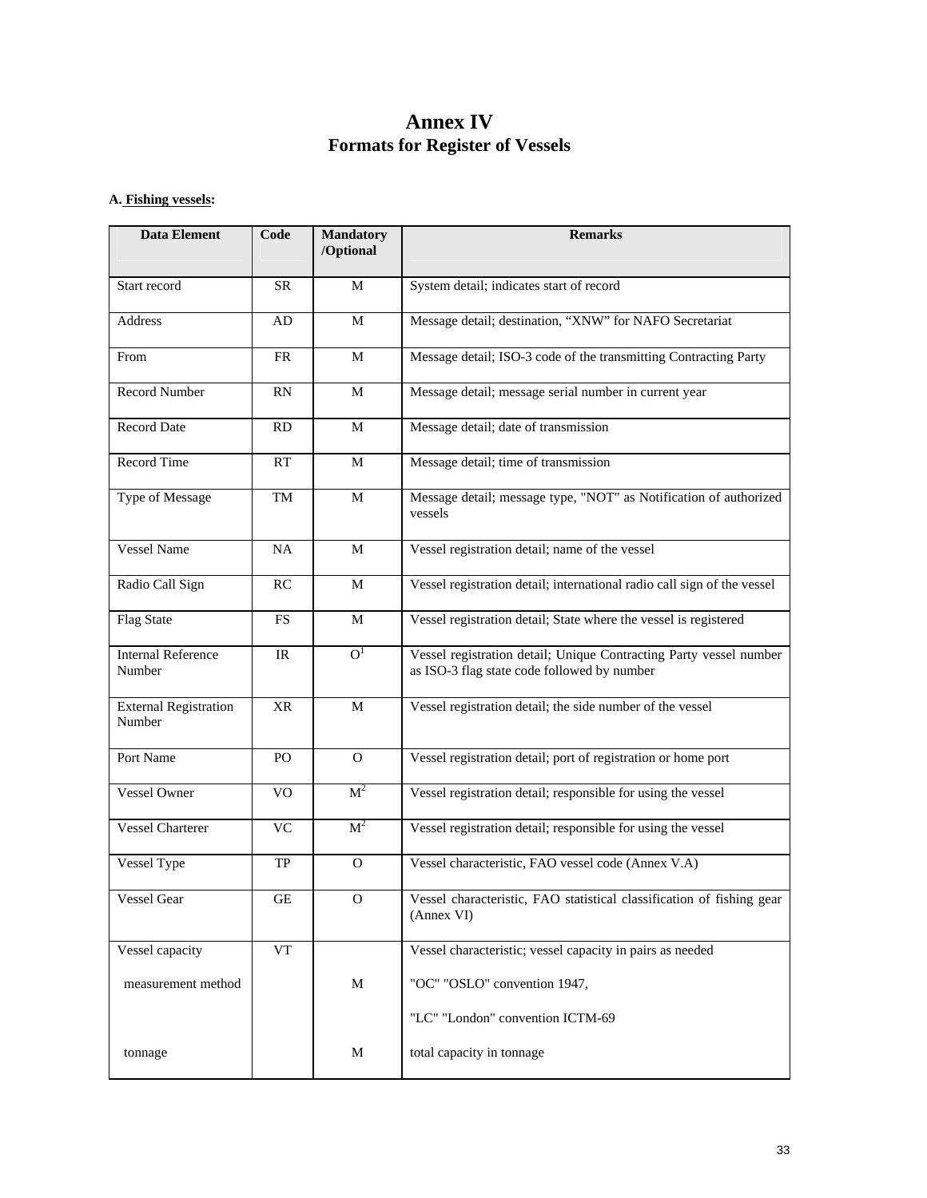# **Annex IV Formats for Register of Vessels**

i<br>S

### **A. Fishing vessels:**

| <b>Data Element</b>                    | Code      | <b>Mandatory</b><br>/Optional | <b>Remarks</b>                                                                                                    |
|----------------------------------------|-----------|-------------------------------|-------------------------------------------------------------------------------------------------------------------|
| Start record                           | SR        | M                             | System detail; indicates start of record                                                                          |
| Address                                | AD        | M                             | Message detail; destination, "XNW" for NAFO Secretariat                                                           |
| From                                   | FR        | M                             | Message detail; ISO-3 code of the transmitting Contracting Party                                                  |
| <b>Record Number</b>                   | RN        | M                             | Message detail; message serial number in current year                                                             |
| <b>Record Date</b>                     | RD        | $\mathbf M$                   | Message detail; date of transmission                                                                              |
| Record Time                            | RT        | M                             | Message detail; time of transmission                                                                              |
| Type of Message                        | TM        | M                             | Message detail; message type, "NOT" as Notification of authorized<br>vessels                                      |
| <b>Vessel Name</b>                     | NA        | M                             | Vessel registration detail; name of the vessel                                                                    |
| Radio Call Sign                        | RC        | M                             | Vessel registration detail; international radio call sign of the vessel                                           |
| Flag State                             | <b>FS</b> | M                             | Vessel registration detail; State where the vessel is registered                                                  |
| <b>Internal Reference</b><br>Number    | IR        | $\overline{O}^1$              | Vessel registration detail; Unique Contracting Party vessel number<br>as ISO-3 flag state code followed by number |
| <b>External Registration</b><br>Number | <b>XR</b> | M                             | Vessel registration detail; the side number of the vessel                                                         |
| Port Name                              | PO.       | $\mathbf{O}$                  | Vessel registration detail; port of registration or home port                                                     |
| Vessel Owner                           | VO.       | M <sup>2</sup>                | Vessel registration detail; responsible for using the vessel                                                      |
| <b>Vessel Charterer</b>                | <b>VC</b> | M <sup>2</sup>                | Vessel registration detail; responsible for using the vessel                                                      |
| Vessel Type                            | TP        | $\overline{O}$                | Vessel characteristic, FAO vessel code (Annex V.A)                                                                |
| Vessel Gear                            | GE        | $\mathbf{O}$                  | Vessel characteristic, FAO statistical classification of fishing gear<br>(Annex VI)                               |
| Vessel capacity                        | <b>VT</b> |                               | Vessel characteristic; vessel capacity in pairs as needed                                                         |
| measurement method                     |           | M                             | "OC" "OSLO" convention 1947,                                                                                      |
|                                        |           |                               | "LC" "London" convention ICTM-69                                                                                  |
| tonnage                                |           | M                             | total capacity in tonnage                                                                                         |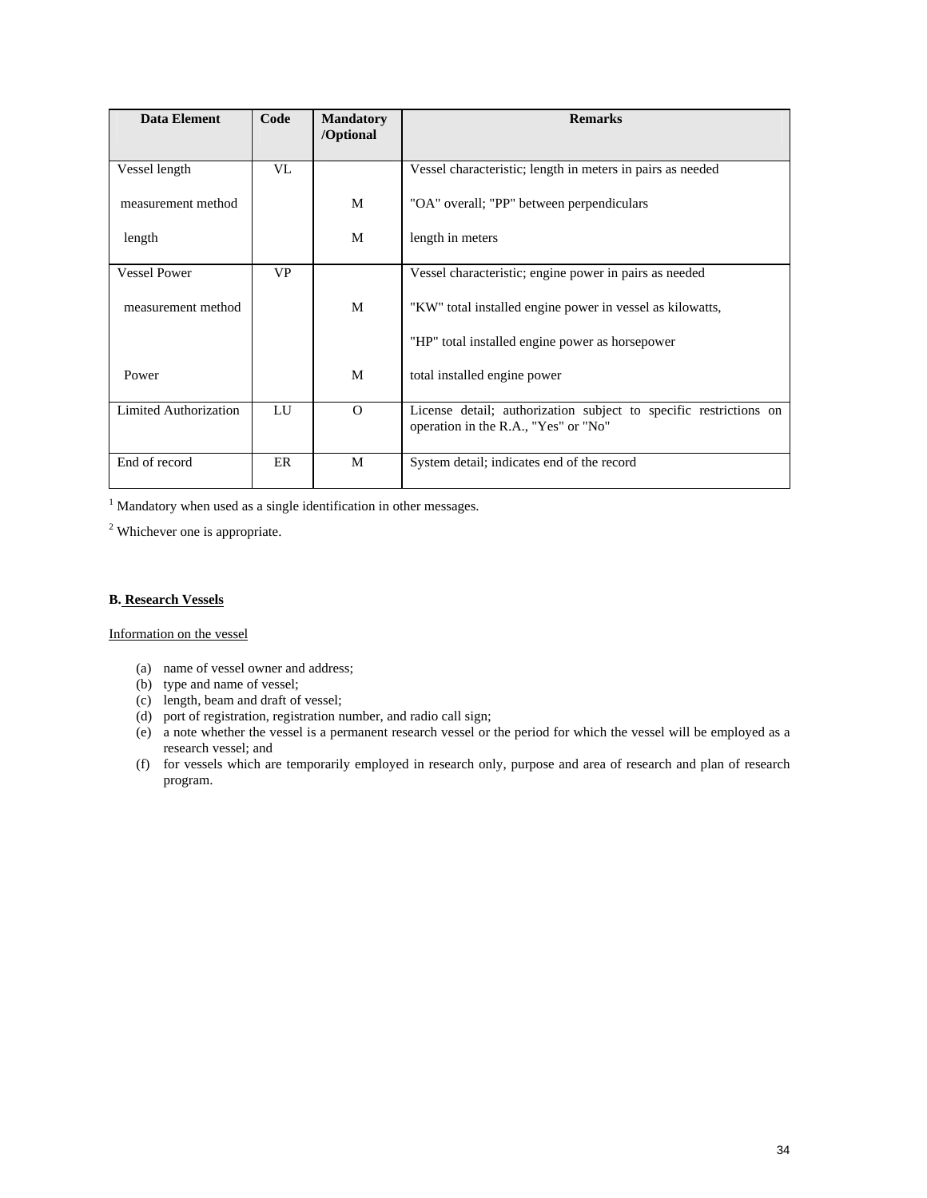| Data Element          | Code      | <b>Mandatory</b><br>/Optional | <b>Remarks</b>                                                                                            |
|-----------------------|-----------|-------------------------------|-----------------------------------------------------------------------------------------------------------|
| Vessel length         | VL        |                               | Vessel characteristic; length in meters in pairs as needed                                                |
| measurement method    |           | M                             | "OA" overall; "PP" between perpendiculars                                                                 |
| length                |           | M                             | length in meters                                                                                          |
| <b>Vessel Power</b>   | <b>VP</b> |                               | Vessel characteristic; engine power in pairs as needed                                                    |
| measurement method    |           | M                             | "KW" total installed engine power in vessel as kilowatts,                                                 |
|                       |           |                               | "HP" total installed engine power as horsepower                                                           |
| Power                 |           | M                             | total installed engine power                                                                              |
| Limited Authorization | LU        | $\Omega$                      | License detail; authorization subject to specific restrictions on<br>operation in the R.A., "Yes" or "No" |
| End of record         | ER        | M                             | System detail; indicates end of the record                                                                |

 $<sup>1</sup>$  Mandatory when used as a single identification in other messages.</sup>

 $2$  Whichever one is appropriate.

#### **B. Research Vessels**

Information on the vessel

- (a) name of vessel owner and address;
- (b) type and name of vessel;
- (c) length, beam and draft of vessel;
- (d) port of registration, registration number, and radio call sign;
- (e) a note whether the vessel is a permanent research vessel or the period for which the vessel will be employed as a research vessel; and
- (f) for vessels which are temporarily employed in research only, purpose and area of research and plan of research program.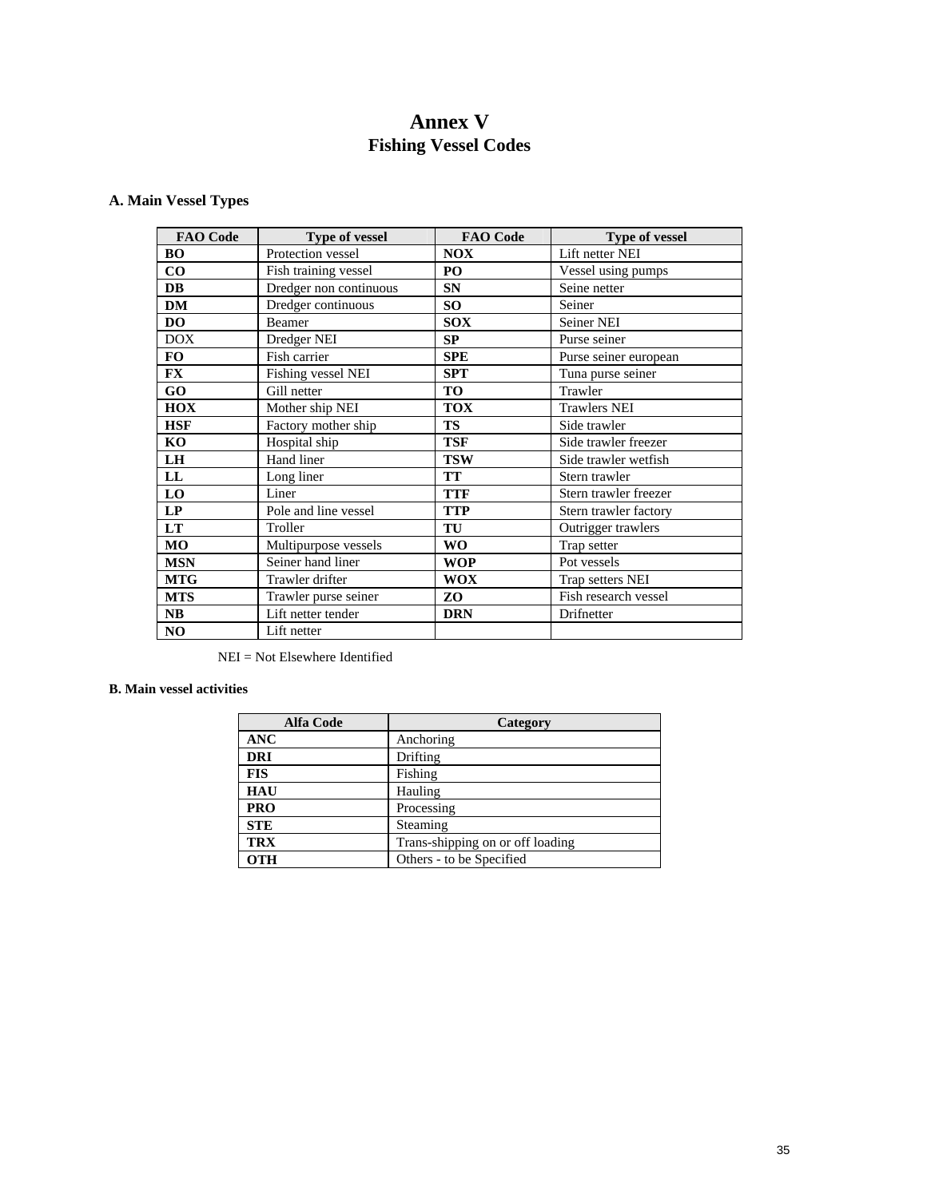# **Annex V Fishing Vessel Codes**

### **A. Main Vessel Types**

| <b>FAO Code</b> | Type of vessel         | <b>FAO</b> Code | Type of vessel        |
|-----------------|------------------------|-----------------|-----------------------|
| <b>BO</b>       | Protection vessel      | <b>NOX</b>      | Lift netter NEI       |
| $\bf CO$        | Fish training vessel   | PO              | Vessel using pumps    |
| <b>DB</b>       | Dredger non continuous | <b>SN</b>       | Seine netter          |
| <b>DM</b>       | Dredger continuous     | SO <sub>1</sub> | Seiner                |
| DO              | Beamer                 | <b>SOX</b>      | <b>Seiner NEI</b>     |
| <b>DOX</b>      | Dredger NEI            | <b>SP</b>       | Purse seiner          |
| <b>FO</b>       | Fish carrier           | <b>SPE</b>      | Purse seiner european |
| FX              | Fishing vessel NEI     | <b>SPT</b>      | Tuna purse seiner     |
| GO              | Gill netter            | <b>TO</b>       | Trawler               |
| <b>HOX</b>      | Mother ship NEI        | <b>TOX</b>      | <b>Trawlers NEI</b>   |
| <b>HSF</b>      | Factory mother ship    | <b>TS</b>       | Side trawler          |
| KO              | Hospital ship          | <b>TSF</b>      | Side trawler freezer  |
| <b>LH</b>       | Hand liner             | <b>TSW</b>      | Side trawler wetfish  |
| LL              | Long liner             | <b>TT</b>       | Stern trawler         |
| <b>LO</b>       | Liner                  | <b>TTF</b>      | Stern trawler freezer |
| LP              | Pole and line vessel   | <b>TTP</b>      | Stern trawler factory |
| <b>LT</b>       | Troller                | TU              | Outrigger trawlers    |
| MO              | Multipurpose vessels   | <b>WO</b>       | Trap setter           |
| <b>MSN</b>      | Seiner hand liner      | <b>WOP</b>      | Pot vessels           |
| <b>MTG</b>      | Trawler drifter        | <b>WOX</b>      | Trap setters NEI      |
| <b>MTS</b>      | Trawler purse seiner   | ZO              | Fish research vessel  |
| <b>NB</b>       | Lift netter tender     | <b>DRN</b>      | Drifnetter            |
| N <sub>O</sub>  | Lift netter            |                 |                       |

NEI = Not Elsewhere Identified

### **B. Main vessel activities**

| <b>Alfa Code</b> | Category                         |
|------------------|----------------------------------|
| <b>ANC</b>       | Anchoring                        |
| <b>DRI</b>       | Drifting                         |
| <b>FIS</b>       | Fishing                          |
| <b>HAU</b>       | Hauling                          |
| <b>PRO</b>       | Processing                       |
| <b>STE</b>       | Steaming                         |
| <b>TRX</b>       | Trans-shipping on or off loading |
| <b>OTH</b>       | Others - to be Specified         |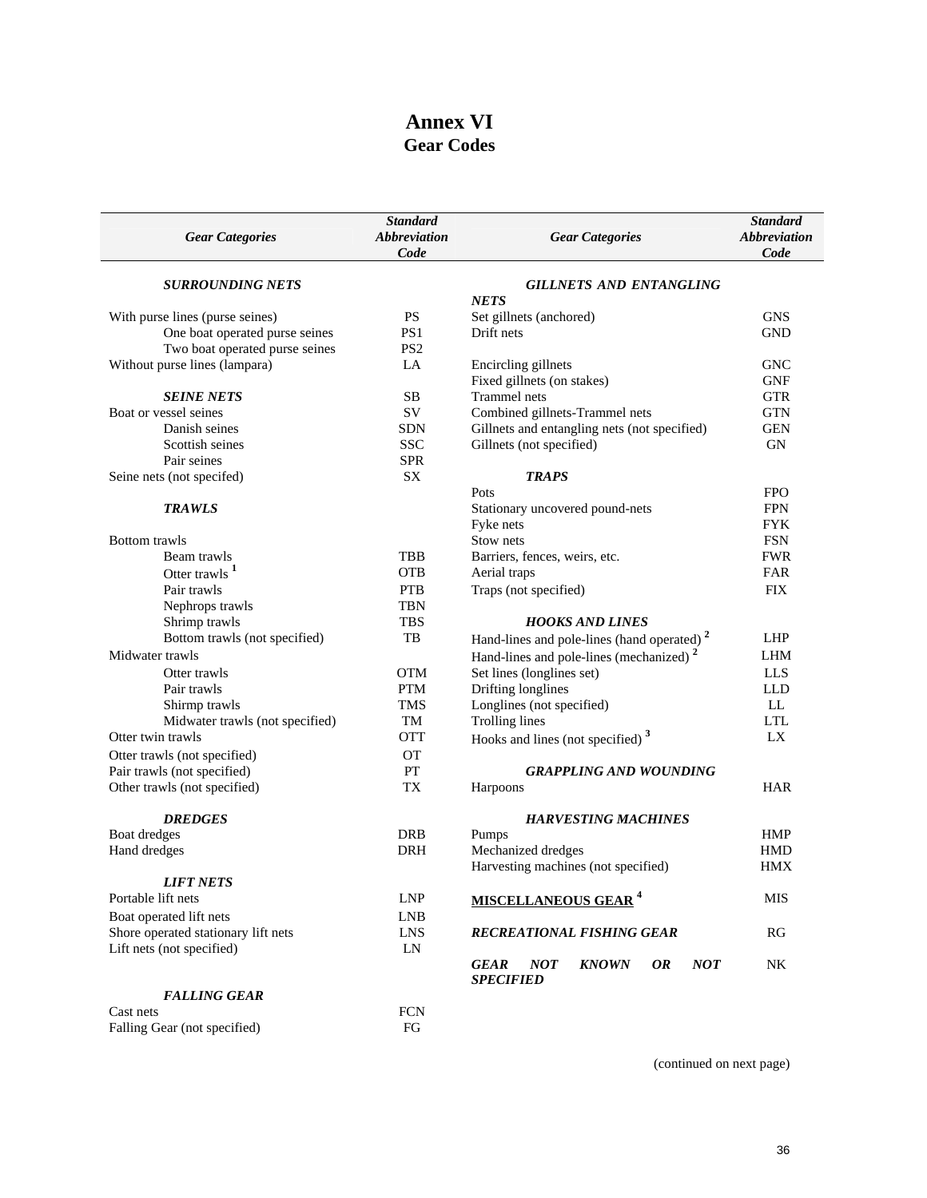# **Annex VI Gear Codes**

| <b>Gear Categories</b>              | <b>Standard</b><br><b>Abbreviation</b><br>Code | <b>Gear Categories</b>                                                                   | <b>Standard</b><br><i><b>Abbreviation</b></i><br>Code |
|-------------------------------------|------------------------------------------------|------------------------------------------------------------------------------------------|-------------------------------------------------------|
| <b>SURROUNDING NETS</b>             |                                                | <b>GILLNETS AND ENTANGLING</b>                                                           |                                                       |
|                                     |                                                | <b>NETS</b>                                                                              |                                                       |
| With purse lines (purse seines)     | <b>PS</b>                                      | Set gillnets (anchored)                                                                  | <b>GNS</b>                                            |
| One boat operated purse seines      | PS <sub>1</sub>                                | Drift nets                                                                               | <b>GND</b>                                            |
| Two boat operated purse seines      | PS <sub>2</sub>                                |                                                                                          |                                                       |
| Without purse lines (lampara)       | LA                                             | Encircling gillnets                                                                      | <b>GNC</b>                                            |
|                                     |                                                | Fixed gillnets (on stakes)                                                               | <b>GNF</b>                                            |
| <b>SEINE NETS</b>                   | <b>SB</b>                                      | Trammel nets                                                                             | <b>GTR</b>                                            |
| Boat or vessel seines               | <b>SV</b>                                      | Combined gillnets-Trammel nets                                                           | <b>GTN</b>                                            |
| Danish seines                       | <b>SDN</b>                                     | Gillnets and entangling nets (not specified)                                             | <b>GEN</b>                                            |
| Scottish seines                     | <b>SSC</b>                                     | Gillnets (not specified)                                                                 | <b>GN</b>                                             |
| Pair seines                         | <b>SPR</b>                                     |                                                                                          |                                                       |
| Seine nets (not specifed)           | SX                                             | <b>TRAPS</b>                                                                             |                                                       |
|                                     |                                                | Pots                                                                                     | <b>FPO</b>                                            |
| <b>TRAWLS</b>                       |                                                | Stationary uncovered pound-nets                                                          | <b>FPN</b>                                            |
|                                     |                                                | Fyke nets                                                                                | <b>FYK</b>                                            |
| <b>Bottom</b> trawls                |                                                | Stow nets                                                                                | <b>FSN</b>                                            |
| Beam trawls                         | TBB                                            | Barriers, fences, weirs, etc.                                                            | <b>FWR</b>                                            |
| Otter trawls <sup>1</sup>           | <b>OTB</b>                                     | Aerial traps                                                                             | FAR                                                   |
| Pair trawls                         | <b>PTB</b>                                     | Traps (not specified)                                                                    | <b>FIX</b>                                            |
| Nephrops trawls                     | <b>TBN</b>                                     |                                                                                          |                                                       |
| Shrimp trawls                       | <b>TBS</b>                                     | <b>HOOKS AND LINES</b>                                                                   |                                                       |
| Bottom trawls (not specified)       | TB                                             | Hand-lines and pole-lines (hand operated) <sup>2</sup>                                   | LHP                                                   |
| Midwater trawls                     |                                                | Hand-lines and pole-lines (mechanized) <sup>2</sup>                                      | <b>LHM</b>                                            |
| Otter trawls                        | <b>OTM</b>                                     | Set lines (longlines set)                                                                | <b>LLS</b>                                            |
| Pair trawls                         | <b>PTM</b>                                     | Drifting longlines                                                                       | <b>LLD</b>                                            |
| Shirmp trawls                       | <b>TMS</b>                                     | Longlines (not specified)                                                                | LL                                                    |
| Midwater trawls (not specified)     | TM                                             | <b>Trolling lines</b>                                                                    | <b>LTL</b>                                            |
| Otter twin trawls                   | <b>OTT</b>                                     | Hooks and lines (not specified) <sup>3</sup>                                             | LX                                                    |
| Otter trawls (not specified)        | <b>OT</b>                                      |                                                                                          |                                                       |
| Pair trawls (not specified)         | PT                                             | <b>GRAPPLING AND WOUNDING</b>                                                            |                                                       |
| Other trawls (not specified)        | TX                                             | Harpoons                                                                                 | <b>HAR</b>                                            |
| <b>DREDGES</b>                      |                                                | <b>HARVESTING MACHINES</b>                                                               |                                                       |
| Boat dredges                        | <b>DRB</b>                                     | Pumps                                                                                    | <b>HMP</b>                                            |
| Hand dredges                        | <b>DRH</b>                                     | Mechanized dredges                                                                       | <b>HMD</b>                                            |
|                                     |                                                | Harvesting machines (not specified)                                                      | <b>HMX</b>                                            |
| <i><b>LIFT NETS</b></i>             |                                                |                                                                                          |                                                       |
| Portable lift nets                  | ${\rm LNP}$                                    | <b>MISCELLANEOUS GEAR<sup>4</sup></b>                                                    | <b>MIS</b>                                            |
| Boat operated lift nets             | <b>LNB</b>                                     |                                                                                          |                                                       |
| Shore operated stationary lift nets | <b>LNS</b>                                     | RECREATIONAL FISHING GEAR                                                                | RG                                                    |
| Lift nets (not specified)           | LN                                             |                                                                                          |                                                       |
|                                     |                                                | <b>NOT</b><br><b>NOT</b><br><b>KNOWN</b><br><b>OR</b><br><b>GEAR</b><br><b>SPECIFIED</b> | $\rm N K$                                             |
| <b>FALLING GEAR</b>                 |                                                |                                                                                          |                                                       |
| Cast nets                           | <b>FCN</b>                                     |                                                                                          |                                                       |
| Falling Gear (not specified)        | FG                                             |                                                                                          |                                                       |

(continued on next page)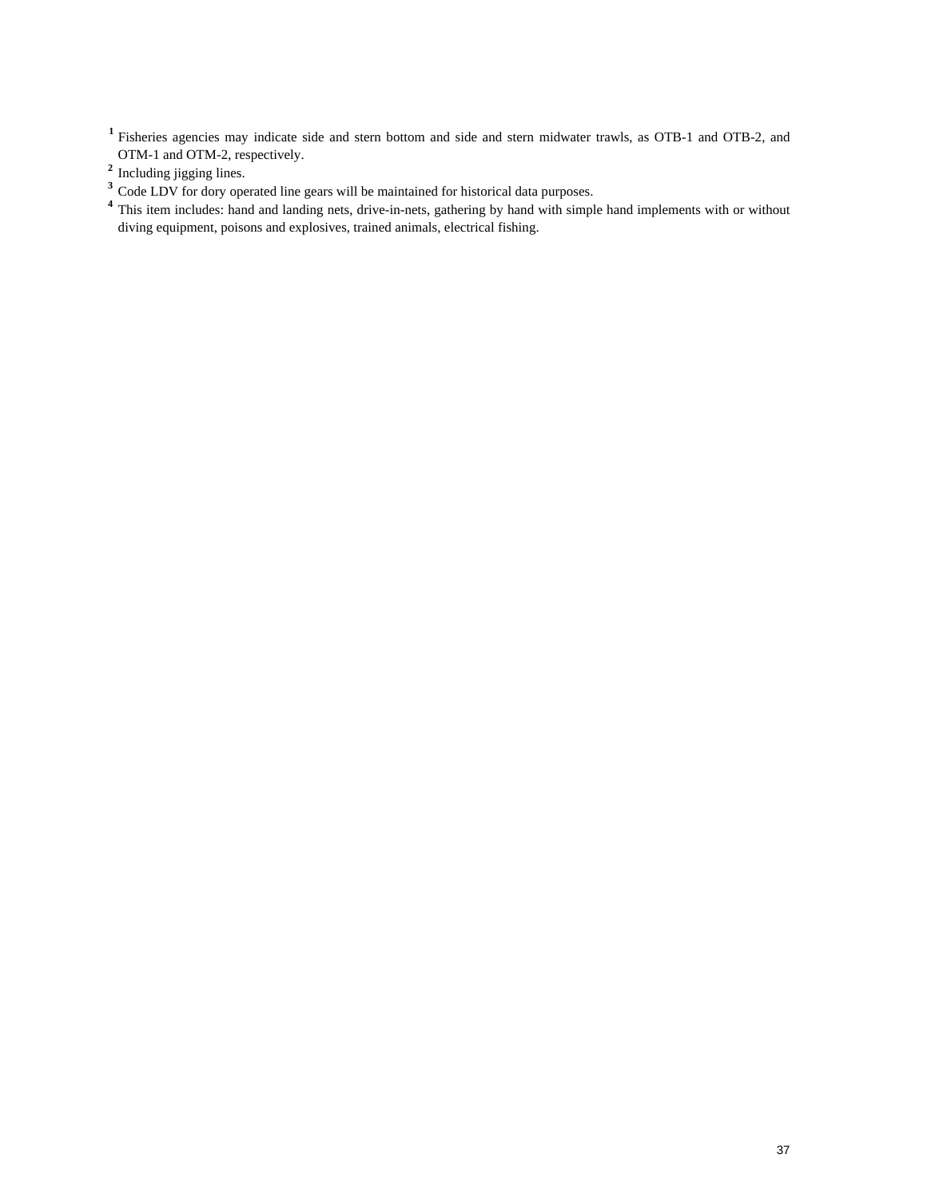**<sup>1</sup>**Fisheries agencies may indicate side and stern bottom and side and stern midwater trawls, as OTB-1 and OTB-2, and OTM-1 and OTM-2, respectively.

- <sup>3</sup> Code LDV for dory operated line gears will be maintained for historical data purposes.
- <sup>4</sup> This item includes: hand and landing nets, drive-in-nets, gathering by hand with simple hand implements with or without diving equipment, poisons and explosives, trained animals, electrical fishing.

<sup>&</sup>lt;sup>2</sup> Including jigging lines.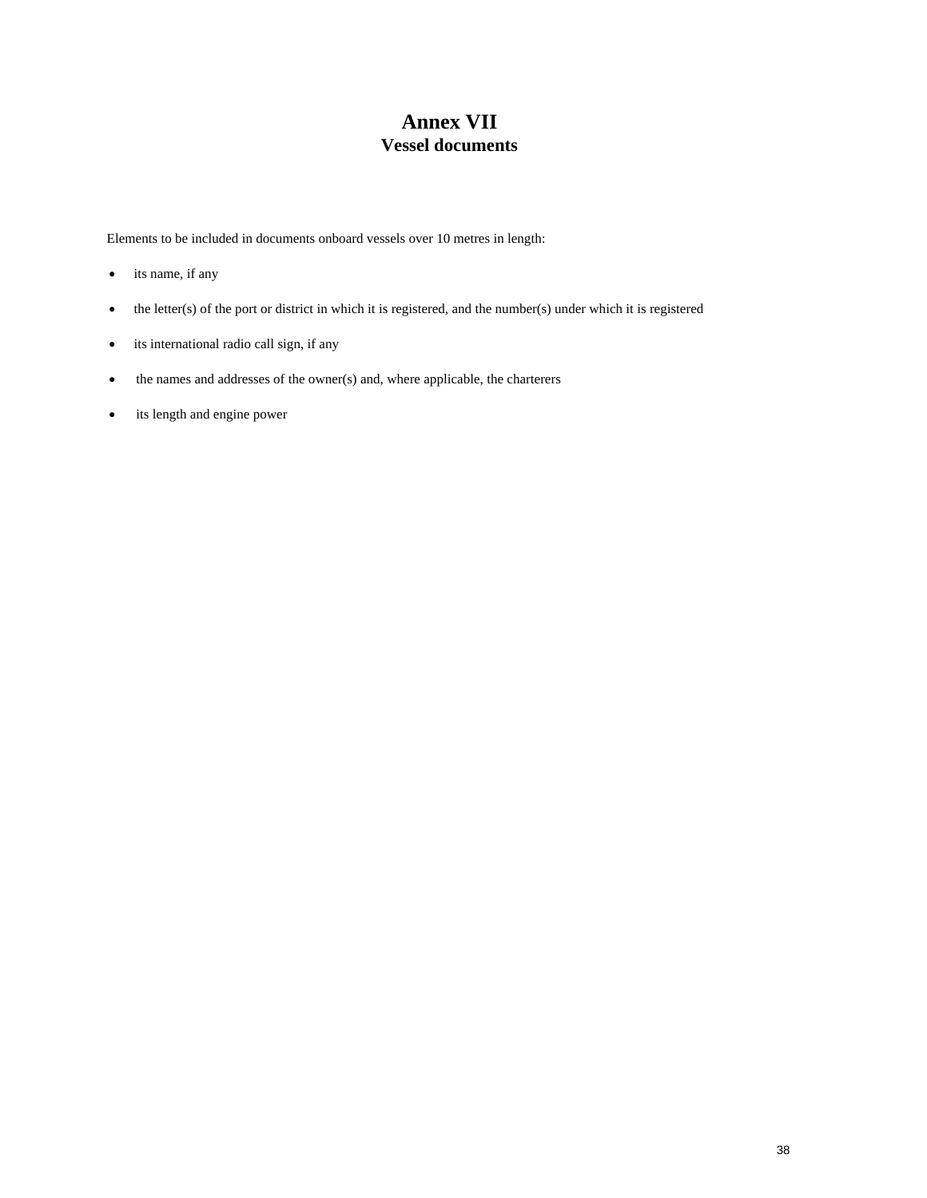# **Annex VII Vessel documents**

Elements to be included in documents onboard vessels over 10 metres in length:

- its name, if any
- the letter(s) of the port or district in which it is registered, and the number(s) under which it is registered
- its international radio call sign, if any
- the names and addresses of the owner(s) and, where applicable, the charterers
- its length and engine power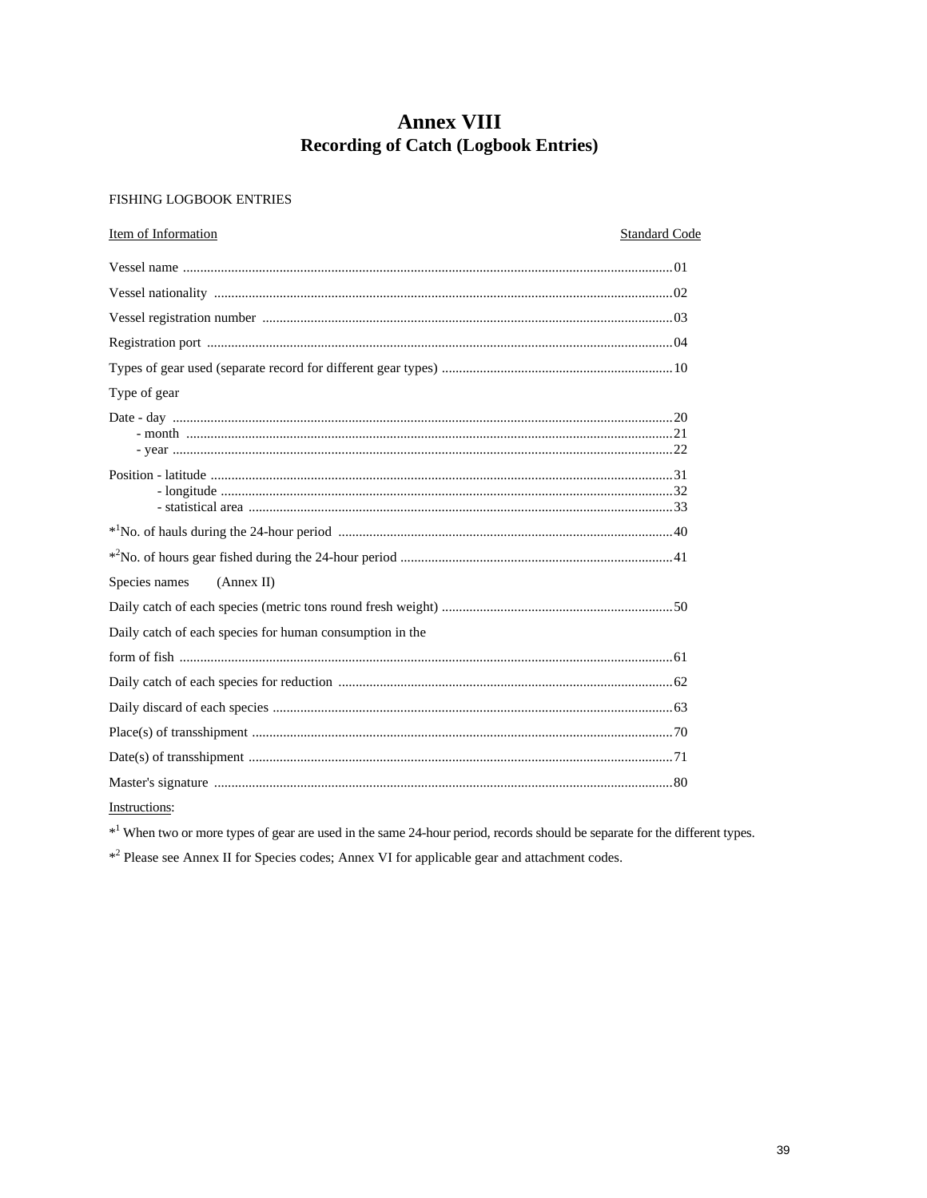# **Annex VIII Recording of Catch (Logbook Entries)**

#### FISHING LOGBOOK ENTRIES

| Item of Information<br><b>Standard Code</b>              |  |
|----------------------------------------------------------|--|
|                                                          |  |
|                                                          |  |
|                                                          |  |
|                                                          |  |
|                                                          |  |
| Type of gear                                             |  |
|                                                          |  |
|                                                          |  |
|                                                          |  |
|                                                          |  |
| Species names<br>(Annex II)                              |  |
|                                                          |  |
| Daily catch of each species for human consumption in the |  |
|                                                          |  |
|                                                          |  |
|                                                          |  |
|                                                          |  |
|                                                          |  |
|                                                          |  |

Instructions:

\*<sup>1</sup> When two or more types of gear are used in the same 24-hour period, records should be separate for the different types.

\*<sup>2</sup> Please see Annex II for Species codes; Annex VI for applicable gear and attachment codes.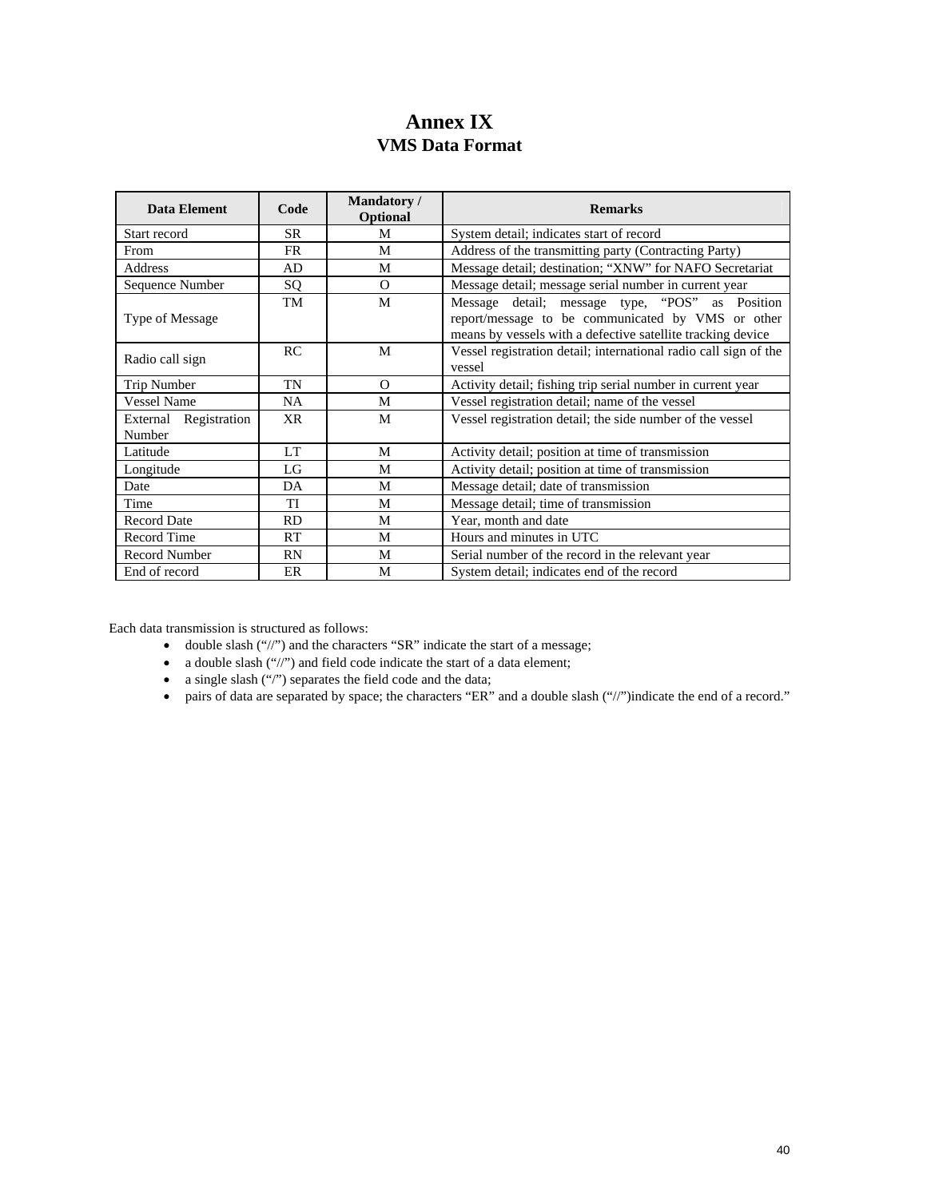# **Annex IX VMS Data Format**

| Data Element                    | Code      | <b>Mandatory</b> /<br>Optional | <b>Remarks</b>                                                                                                                                                      |
|---------------------------------|-----------|--------------------------------|---------------------------------------------------------------------------------------------------------------------------------------------------------------------|
| Start record                    | <b>SR</b> | M                              | System detail; indicates start of record                                                                                                                            |
| From                            | <b>FR</b> | M                              | Address of the transmitting party (Contracting Party)                                                                                                               |
| Address                         | AD        | M                              | Message detail; destination; "XNW" for NAFO Secretariat                                                                                                             |
| Sequence Number                 | SQ        | $\Omega$                       | Message detail; message serial number in current year                                                                                                               |
| Type of Message                 | TM        | M                              | Message detail; message type, "POS" as Position<br>report/message to be communicated by VMS or other<br>means by vessels with a defective satellite tracking device |
| Radio call sign                 | RC        | M                              | Vessel registration detail; international radio call sign of the<br>vessel                                                                                          |
| Trip Number                     | TN        | $\Omega$                       | Activity detail; fishing trip serial number in current year                                                                                                         |
| <b>Vessel Name</b>              | <b>NA</b> | M                              | Vessel registration detail; name of the vessel                                                                                                                      |
| External Registration<br>Number | XR.       | M                              | Vessel registration detail; the side number of the vessel                                                                                                           |
| Latitude                        | <b>LT</b> | M                              | Activity detail; position at time of transmission                                                                                                                   |
| Longitude                       | LG        | M                              | Activity detail; position at time of transmission                                                                                                                   |
| Date                            | DA        | M                              | Message detail; date of transmission                                                                                                                                |
| Time                            | <b>TI</b> | M                              | Message detail; time of transmission                                                                                                                                |
| <b>Record Date</b>              | <b>RD</b> | M                              | Year, month and date                                                                                                                                                |
| Record Time                     | RT        | M                              | Hours and minutes in UTC                                                                                                                                            |
| <b>Record Number</b>            | RN        | M                              | Serial number of the record in the relevant year                                                                                                                    |
| End of record                   | ER        | M                              | System detail; indicates end of the record                                                                                                                          |

Each data transmission is structured as follows:

- double slash ("//") and the characters "SR" indicate the start of a message;
- a double slash ("//") and field code indicate the start of a data element;
- a single slash ("/") separates the field code and the data;
- pairs of data are separated by space; the characters "ER" and a double slash ("//")indicate the end of a record."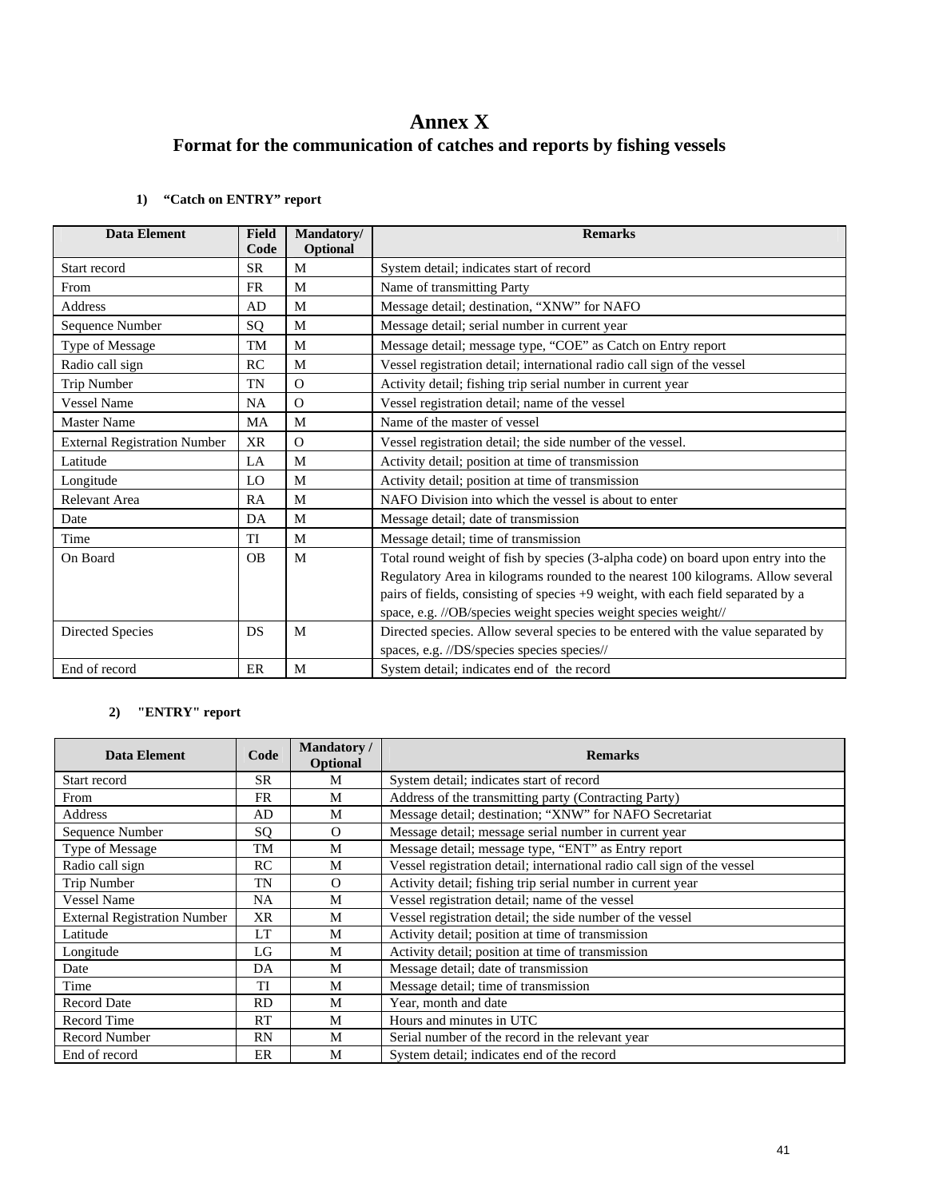# **Annex X Format for the communication of catches and reports by fishing vessels**

### **1) "Catch on ENTRY" report**

| <b>Data Element</b>                 | <b>Field</b><br>Code | Mandatory/    | <b>Remarks</b>                                                                    |
|-------------------------------------|----------------------|---------------|-----------------------------------------------------------------------------------|
| Start record                        | <b>SR</b>            | Optional<br>M |                                                                                   |
|                                     |                      |               | System detail; indicates start of record                                          |
| From                                | <b>FR</b>            | M             | Name of transmitting Party                                                        |
| <b>Address</b>                      | AD                   | M             | Message detail; destination, "XNW" for NAFO                                       |
| Sequence Number                     | SQ                   | M             | Message detail; serial number in current year                                     |
| Type of Message                     | <b>TM</b>            | M             | Message detail; message type, "COE" as Catch on Entry report                      |
| Radio call sign                     | RC                   | M             | Vessel registration detail; international radio call sign of the vessel           |
| Trip Number                         | TN                   | $\Omega$      | Activity detail; fishing trip serial number in current year                       |
| <b>Vessel Name</b>                  | <b>NA</b>            | $\Omega$      | Vessel registration detail; name of the vessel                                    |
| <b>Master Name</b>                  | <b>MA</b>            | M             | Name of the master of vessel                                                      |
| <b>External Registration Number</b> | <b>XR</b>            | $\Omega$      | Vessel registration detail; the side number of the vessel.                        |
| Latitude                            | LA                   | M             | Activity detail; position at time of transmission                                 |
| Longitude                           | LO                   | M             | Activity detail; position at time of transmission                                 |
| Relevant Area                       | RA                   | M             | NAFO Division into which the vessel is about to enter                             |
| Date                                | DA                   | M             | Message detail; date of transmission                                              |
| Time                                | <b>TI</b>            | M             | Message detail; time of transmission                                              |
| On Board                            | OB                   | M             | Total round weight of fish by species (3-alpha code) on board upon entry into the |
|                                     |                      |               | Regulatory Area in kilograms rounded to the nearest 100 kilograms. Allow several  |
|                                     |                      |               | pairs of fields, consisting of species +9 weight, with each field separated by a  |
|                                     |                      |               | space, e.g. //OB/species weight species weight species weight//                   |
| Directed Species                    | DS                   | M             | Directed species. Allow several species to be entered with the value separated by |
|                                     |                      |               | spaces, e.g. //DS/species species species//                                       |
| End of record                       | ER                   | M             | System detail; indicates end of the record                                        |

### **2) "ENTRY" report**

| Data Element                        | Code      | <b>Mandatory</b> /<br>Optional | <b>Remarks</b>                                                          |
|-------------------------------------|-----------|--------------------------------|-------------------------------------------------------------------------|
| Start record                        | SR        | M                              | System detail; indicates start of record                                |
| From                                | FR        | M                              | Address of the transmitting party (Contracting Party)                   |
| Address                             | AD        | M                              | Message detail; destination; "XNW" for NAFO Secretariat                 |
| Sequence Number                     | SQ        | $\Omega$                       | Message detail; message serial number in current year                   |
| Type of Message                     | TM        | M                              | Message detail; message type, "ENT" as Entry report                     |
| Radio call sign                     | RC        | M                              | Vessel registration detail; international radio call sign of the vessel |
| Trip Number                         | <b>TN</b> | $\Omega$                       | Activity detail; fishing trip serial number in current year             |
| <b>Vessel Name</b>                  | <b>NA</b> | M                              | Vessel registration detail; name of the vessel                          |
| <b>External Registration Number</b> | <b>XR</b> | M                              | Vessel registration detail; the side number of the vessel               |
| Latitude                            | <b>LT</b> | M                              | Activity detail; position at time of transmission                       |
| Longitude                           | LG        | M                              | Activity detail; position at time of transmission                       |
| Date                                | DA        | M                              | Message detail; date of transmission                                    |
| Time                                | TI        | M                              | Message detail; time of transmission                                    |
| <b>Record Date</b>                  | <b>RD</b> | M                              | Year, month and date                                                    |
| Record Time                         | <b>RT</b> | M                              | Hours and minutes in UTC                                                |
| <b>Record Number</b>                | RN        | M                              | Serial number of the record in the relevant year                        |
| End of record                       | ER        | M                              | System detail; indicates end of the record                              |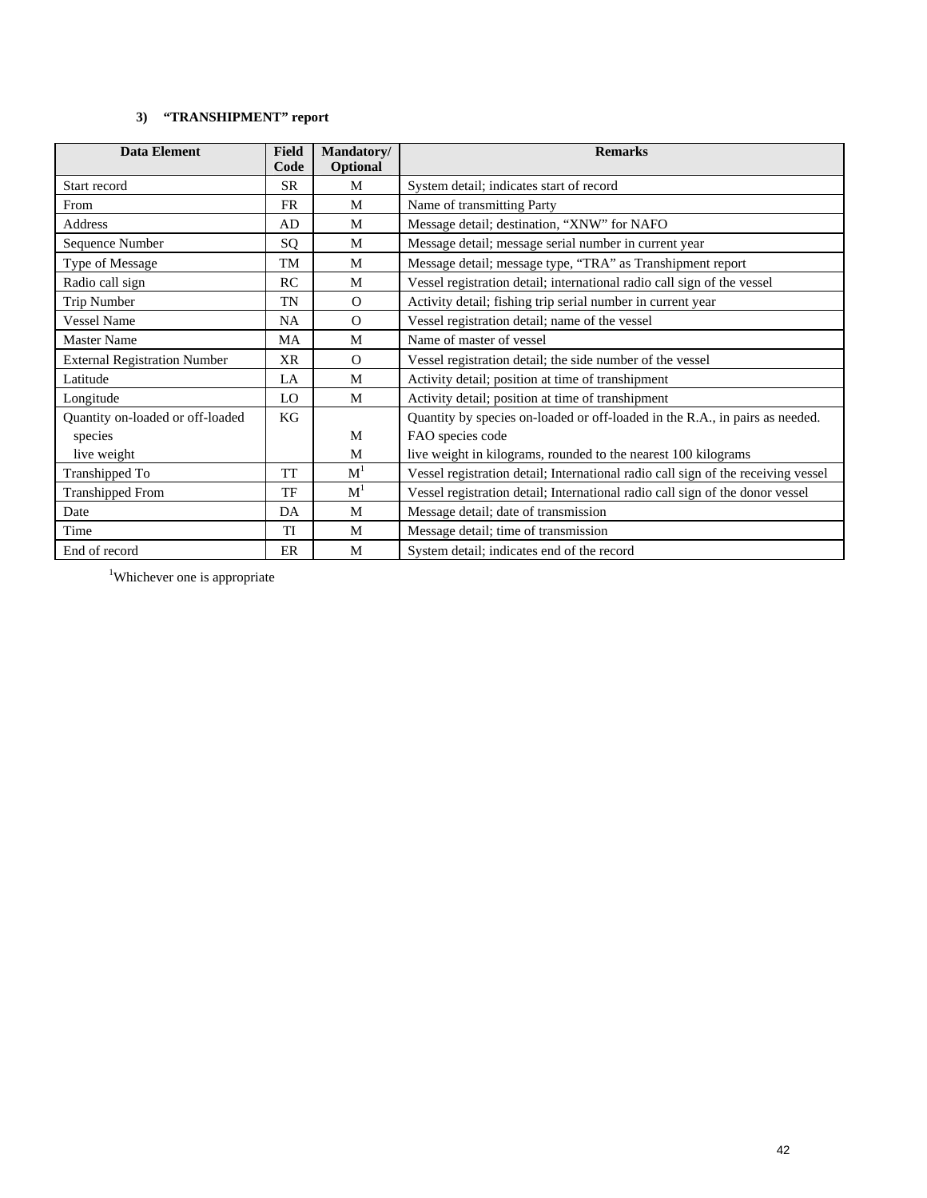### **3) "TRANSHIPMENT" report**

| <b>Data Element</b>                 | <b>Field</b><br>Code | Mandatory/<br>Optional | <b>Remarks</b>                                                                    |
|-------------------------------------|----------------------|------------------------|-----------------------------------------------------------------------------------|
| Start record                        | <b>SR</b>            | M                      | System detail; indicates start of record                                          |
| From                                | <b>FR</b>            | M                      | Name of transmitting Party                                                        |
| <b>Address</b>                      | AD                   | M                      | Message detail; destination, "XNW" for NAFO                                       |
| Sequence Number                     | SQ                   | M                      | Message detail; message serial number in current year                             |
| Type of Message                     | TM                   | M                      | Message detail; message type, "TRA" as Transhipment report                        |
| Radio call sign                     | RC                   | M                      | Vessel registration detail; international radio call sign of the vessel           |
| Trip Number                         | TN                   | $\Omega$               | Activity detail; fishing trip serial number in current year                       |
| <b>Vessel Name</b>                  | NA                   | $\Omega$               | Vessel registration detail; name of the vessel                                    |
| <b>Master Name</b>                  | MA                   | M                      | Name of master of vessel                                                          |
| <b>External Registration Number</b> | XR                   | $\Omega$               | Vessel registration detail; the side number of the vessel                         |
| Latitude                            | LA                   | M                      | Activity detail; position at time of transhipment                                 |
| Longitude                           | LO                   | M                      | Activity detail; position at time of transhipment                                 |
| Quantity on-loaded or off-loaded    | KG                   |                        | Quantity by species on-loaded or off-loaded in the R.A., in pairs as needed.      |
| species                             |                      | M                      | FAO species code                                                                  |
| live weight                         |                      | M                      | live weight in kilograms, rounded to the nearest 100 kilograms                    |
| Transhipped To                      | <b>TT</b>            | M <sup>1</sup>         | Vessel registration detail; International radio call sign of the receiving vessel |
| <b>Transhipped From</b>             | TF                   | $\mathbf{M}^1$         | Vessel registration detail; International radio call sign of the donor vessel     |
| Date                                | DA                   | M                      | Message detail; date of transmission                                              |
| Time                                | TI                   | M                      | Message detail; time of transmission                                              |
| End of record                       | ER                   | M                      | System detail; indicates end of the record                                        |

<sup>1</sup>Whichever one is appropriate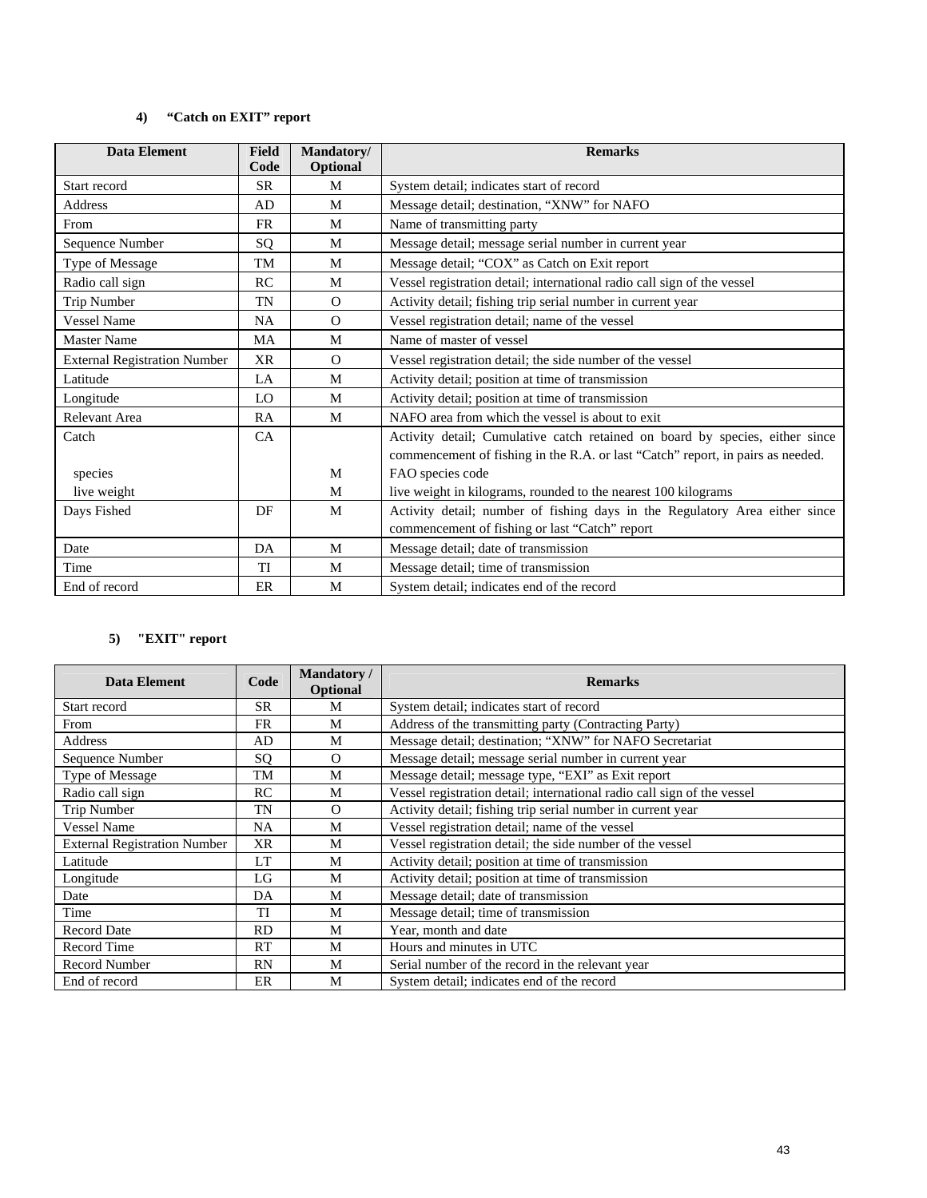### **4) "Catch on EXIT" report**

| <b>Data Element</b>                 | <b>Field</b><br>Code | Mandatory/<br>Optional | <b>Remarks</b>                                                                  |
|-------------------------------------|----------------------|------------------------|---------------------------------------------------------------------------------|
| Start record                        | <b>SR</b>            | M                      | System detail; indicates start of record                                        |
| <b>Address</b>                      | AD.                  | M                      | Message detail; destination, "XNW" for NAFO                                     |
| From                                | <b>FR</b>            | M                      | Name of transmitting party                                                      |
| Sequence Number                     | SQ                   | M                      | Message detail; message serial number in current year                           |
| Type of Message                     | TM                   | M                      | Message detail; "COX" as Catch on Exit report                                   |
| Radio call sign                     | RC                   | M                      | Vessel registration detail; international radio call sign of the vessel         |
| Trip Number                         | TN                   | $\Omega$               | Activity detail; fishing trip serial number in current year                     |
| <b>Vessel Name</b>                  | <b>NA</b>            | $\Omega$               | Vessel registration detail; name of the vessel                                  |
| <b>Master Name</b>                  | MA                   | M                      | Name of master of vessel                                                        |
| <b>External Registration Number</b> | <b>XR</b>            | $\Omega$               | Vessel registration detail; the side number of the vessel                       |
| Latitude                            | LA                   | M                      | Activity detail; position at time of transmission                               |
| Longitude                           | LO                   | M                      | Activity detail; position at time of transmission                               |
| Relevant Area                       | <b>RA</b>            | M                      | NAFO area from which the vessel is about to exit.                               |
| Catch                               | CA                   |                        | Activity detail; Cumulative catch retained on board by species, either since    |
|                                     |                      |                        | commencement of fishing in the R.A. or last "Catch" report, in pairs as needed. |
| species                             |                      | M                      | FAO species code                                                                |
| live weight                         |                      | M                      | live weight in kilograms, rounded to the nearest 100 kilograms                  |
| Days Fished                         | DF                   | M                      | Activity detail; number of fishing days in the Regulatory Area either since     |
|                                     |                      |                        | commencement of fishing or last "Catch" report                                  |
| Date                                | DA                   | M                      | Message detail; date of transmission                                            |
| Time                                | TI                   | M                      | Message detail; time of transmission                                            |
| End of record                       | ER                   | M                      | System detail; indicates end of the record                                      |

### **5) "EXIT" report**

| <b>Data Element</b>                 | <b>Mandatory</b> /<br>Code<br><b>Optional</b> |          | <b>Remarks</b>                                                          |
|-------------------------------------|-----------------------------------------------|----------|-------------------------------------------------------------------------|
| Start record                        | <b>SR</b>                                     | M        | System detail; indicates start of record                                |
| From                                | <b>FR</b>                                     | M        | Address of the transmitting party (Contracting Party)                   |
| Address                             | AD                                            | M        | Message detail; destination; "XNW" for NAFO Secretariat                 |
| Sequence Number                     | SQ                                            | $\Omega$ | Message detail; message serial number in current year                   |
| Type of Message                     | TM                                            | M        | Message detail; message type, "EXI" as Exit report                      |
| Radio call sign                     | <b>RC</b>                                     | M        | Vessel registration detail; international radio call sign of the vessel |
| <b>Trip Number</b>                  | TN                                            | $\Omega$ | Activity detail; fishing trip serial number in current year             |
| <b>Vessel Name</b>                  | <b>NA</b>                                     | M        | Vessel registration detail; name of the vessel                          |
| <b>External Registration Number</b> | <b>XR</b>                                     | M        | Vessel registration detail; the side number of the vessel               |
| Latitude                            | <b>LT</b>                                     | M        | Activity detail; position at time of transmission                       |
| Longitude                           | LG                                            | M        | Activity detail; position at time of transmission                       |
| Date                                | DA                                            | M        | Message detail; date of transmission                                    |
| Time                                | TI                                            | M        | Message detail; time of transmission                                    |
| <b>Record Date</b>                  | <b>RD</b>                                     | M        | Year, month and date                                                    |
| Record Time                         | RT                                            | M        | Hours and minutes in UTC                                                |
| <b>Record Number</b>                | RN                                            | M        | Serial number of the record in the relevant year                        |
| End of record                       | ER                                            | M        | System detail; indicates end of the record                              |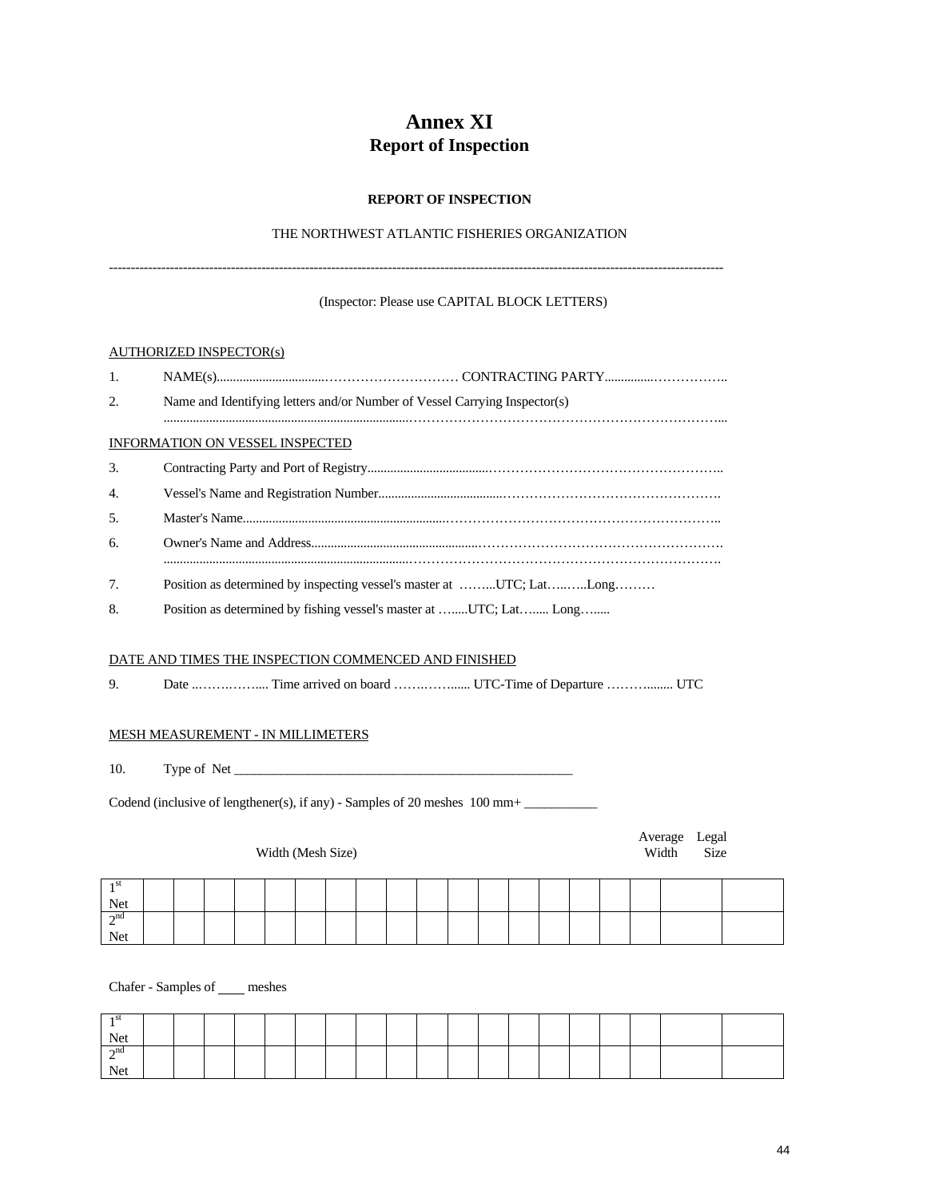# **Annex XI Report of Inspection**

#### **REPORT OF INSPECTION**

### THE NORTHWEST ATLANTIC FISHERIES ORGANIZATION

---------------------------------------------------------------------------------------------------------------------------------------------

#### (Inspector: Please use CAPITAL BLOCK LETTERS)

#### AUTHORIZED INSPECTOR(s)

| $\overline{1}$ . |                                                                            |
|------------------|----------------------------------------------------------------------------|
| 2.               | Name and Identifying letters and/or Number of Vessel Carrying Inspector(s) |
|                  | <b>INFORMATION ON VESSEL INSPECTED</b>                                     |
| 3.               |                                                                            |
| $\overline{4}$ . |                                                                            |
| 5.               |                                                                            |
| 6.               |                                                                            |
| 7.               | Position as determined by inspecting vessel's master at UTC; LatLong       |

8. Position as determined by fishing vessel's master at ........UTC; Lat........ Long........

### DATE AND TIMES THE INSPECTION COMMENCED AND FINISHED

9. Date ..…….…….... Time arrived on board …….……...... UTC-Time of Departure ………........ UTC

#### MESH MEASUREMENT - IN MILLIMETERS

10. Type of Net \_\_\_\_\_\_\_\_\_\_\_\_\_\_\_\_\_\_\_\_\_\_\_\_\_\_\_\_\_\_\_\_\_\_\_\_\_\_\_\_\_\_\_\_\_\_\_\_\_\_\_

Codend (inclusive of lengthener(s), if any) - Samples of 20 meshes 100 mm+

#### Width (Mesh Size) Width Size

Average Legal<br>Width Size

| -1 SU     |  |  |  |  |  |  |  |  |  |  |
|-----------|--|--|--|--|--|--|--|--|--|--|
| Net       |  |  |  |  |  |  |  |  |  |  |
| $\sim$ nd |  |  |  |  |  |  |  |  |  |  |
| Net       |  |  |  |  |  |  |  |  |  |  |

Chafer - Samples of \_\_\_\_ meshes

| 1 SL        |  |  |  |  |  |  |  |  |  |  |
|-------------|--|--|--|--|--|--|--|--|--|--|
| Net         |  |  |  |  |  |  |  |  |  |  |
| $\gamma$ nd |  |  |  |  |  |  |  |  |  |  |
| Net         |  |  |  |  |  |  |  |  |  |  |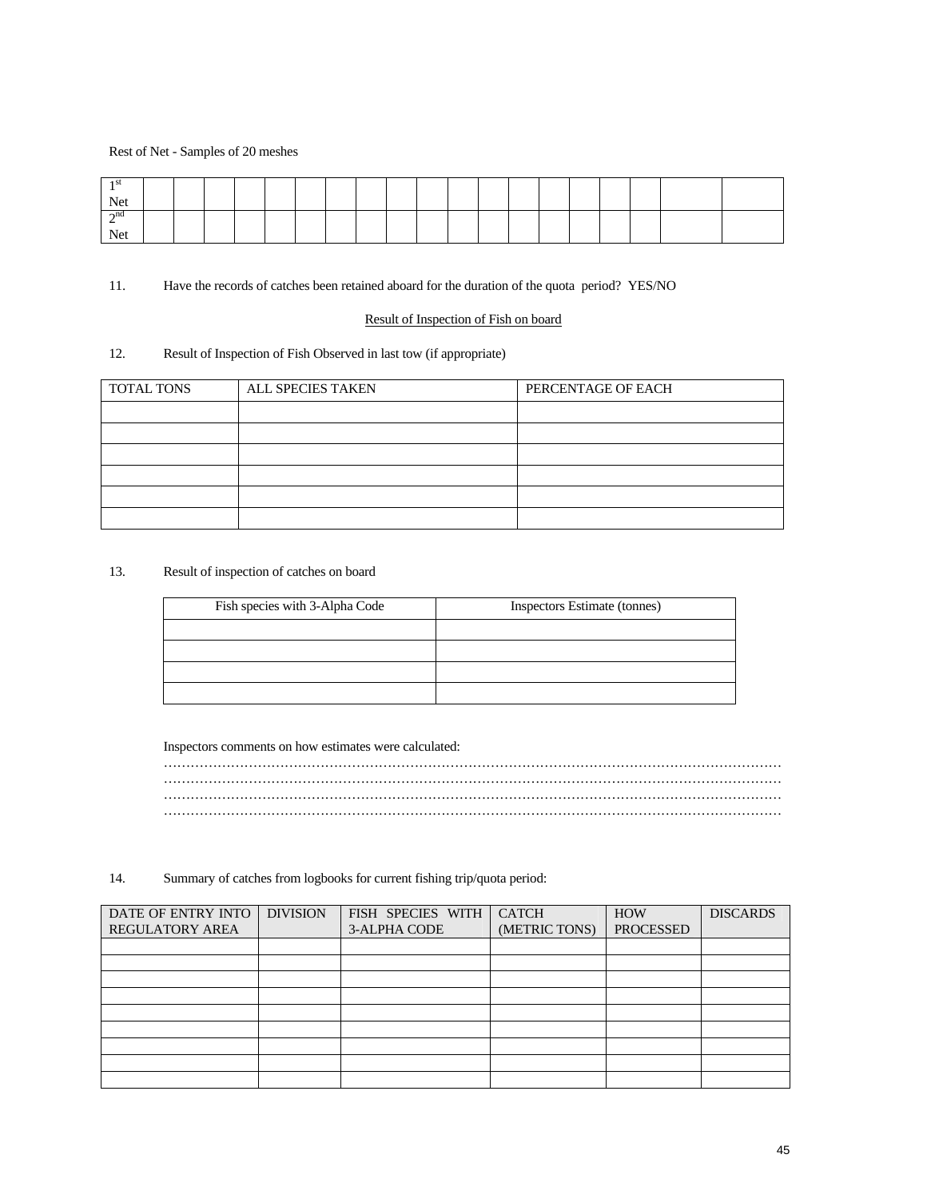#### Rest of Net - Samples of 20 meshes

| -1 SU     |  |  |  |  |  |  |  |  |  |  |
|-----------|--|--|--|--|--|--|--|--|--|--|
| Net       |  |  |  |  |  |  |  |  |  |  |
| $\sim$ nd |  |  |  |  |  |  |  |  |  |  |
| Net       |  |  |  |  |  |  |  |  |  |  |

#### 11. Have the records of catches been retained aboard for the duration of the quota period? YES/NO

#### Result of Inspection of Fish on board

#### 12. Result of Inspection of Fish Observed in last tow (if appropriate)

| TOTAL TONS | ALL SPECIES TAKEN | PERCENTAGE OF EACH |
|------------|-------------------|--------------------|
|            |                   |                    |
|            |                   |                    |
|            |                   |                    |
|            |                   |                    |
|            |                   |                    |
|            |                   |                    |

#### 13. Result of inspection of catches on board

| Fish species with 3-Alpha Code | Inspectors Estimate (tonnes) |
|--------------------------------|------------------------------|
|                                |                              |
|                                |                              |
|                                |                              |
|                                |                              |

Inspectors comments on how estimates were calculated:

………………………………………………………………………………………………………………………… ………………………………………………………………………………………………………………………… ………………………………………………………………………………………………………………………… …………………………………………………………………………………………………………………………

14. Summary of catches from logbooks for current fishing trip/quota period:

| DATE OF ENTRY INTO     | <b>DIVISION</b> | FISH SPECIES WITH | <b>CATCH</b>  | <b>HOW</b>       | <b>DISCARDS</b> |
|------------------------|-----------------|-------------------|---------------|------------------|-----------------|
| <b>REGULATORY AREA</b> |                 | 3-ALPHA CODE      | (METRIC TONS) | <b>PROCESSED</b> |                 |
|                        |                 |                   |               |                  |                 |
|                        |                 |                   |               |                  |                 |
|                        |                 |                   |               |                  |                 |
|                        |                 |                   |               |                  |                 |
|                        |                 |                   |               |                  |                 |
|                        |                 |                   |               |                  |                 |
|                        |                 |                   |               |                  |                 |
|                        |                 |                   |               |                  |                 |
|                        |                 |                   |               |                  |                 |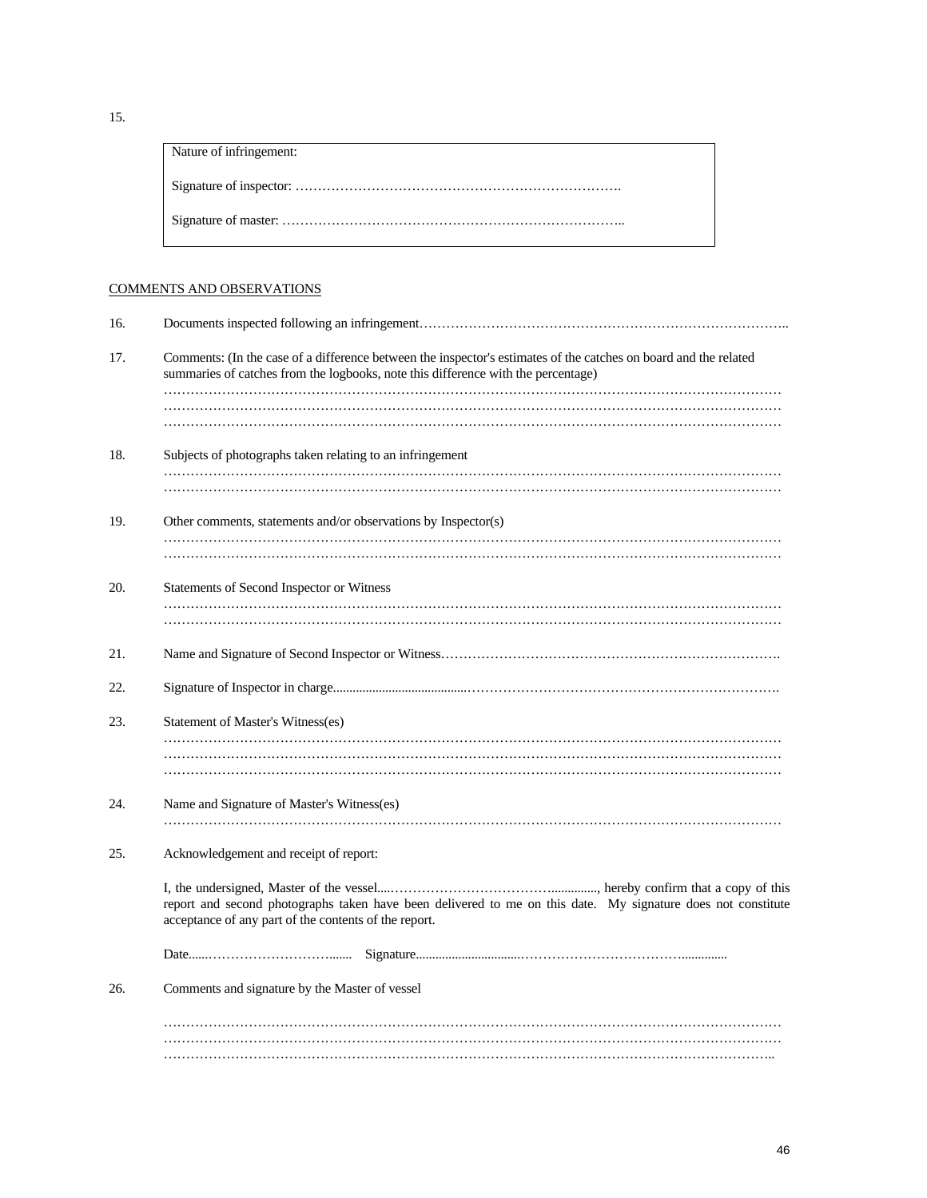| Nature of infringement: |
|-------------------------|
|                         |
|                         |

### COMMENTS AND OBSERVATIONS

| 16. |                                                                                                                                                                                                       |
|-----|-------------------------------------------------------------------------------------------------------------------------------------------------------------------------------------------------------|
| 17. | Comments: (In the case of a difference between the inspector's estimates of the catches on board and the related<br>summaries of catches from the logbooks, note this difference with the percentage) |
|     |                                                                                                                                                                                                       |
| 18. | Subjects of photographs taken relating to an infringement                                                                                                                                             |
| 19. | Other comments, statements and/or observations by Inspector(s)                                                                                                                                        |
|     |                                                                                                                                                                                                       |
| 20. | Statements of Second Inspector or Witness                                                                                                                                                             |
| 21. |                                                                                                                                                                                                       |
| 22. |                                                                                                                                                                                                       |
| 23. | <b>Statement of Master's Witness(es)</b>                                                                                                                                                              |
| 24. | Name and Signature of Master's Witness(es)                                                                                                                                                            |
| 25. | Acknowledgement and receipt of report:                                                                                                                                                                |
|     | report and second photographs taken have been delivered to me on this date. My signature does not constitute<br>acceptance of any part of the contents of the report.                                 |
|     |                                                                                                                                                                                                       |
| 26. | Comments and signature by the Master of vessel                                                                                                                                                        |
|     |                                                                                                                                                                                                       |
|     |                                                                                                                                                                                                       |

15.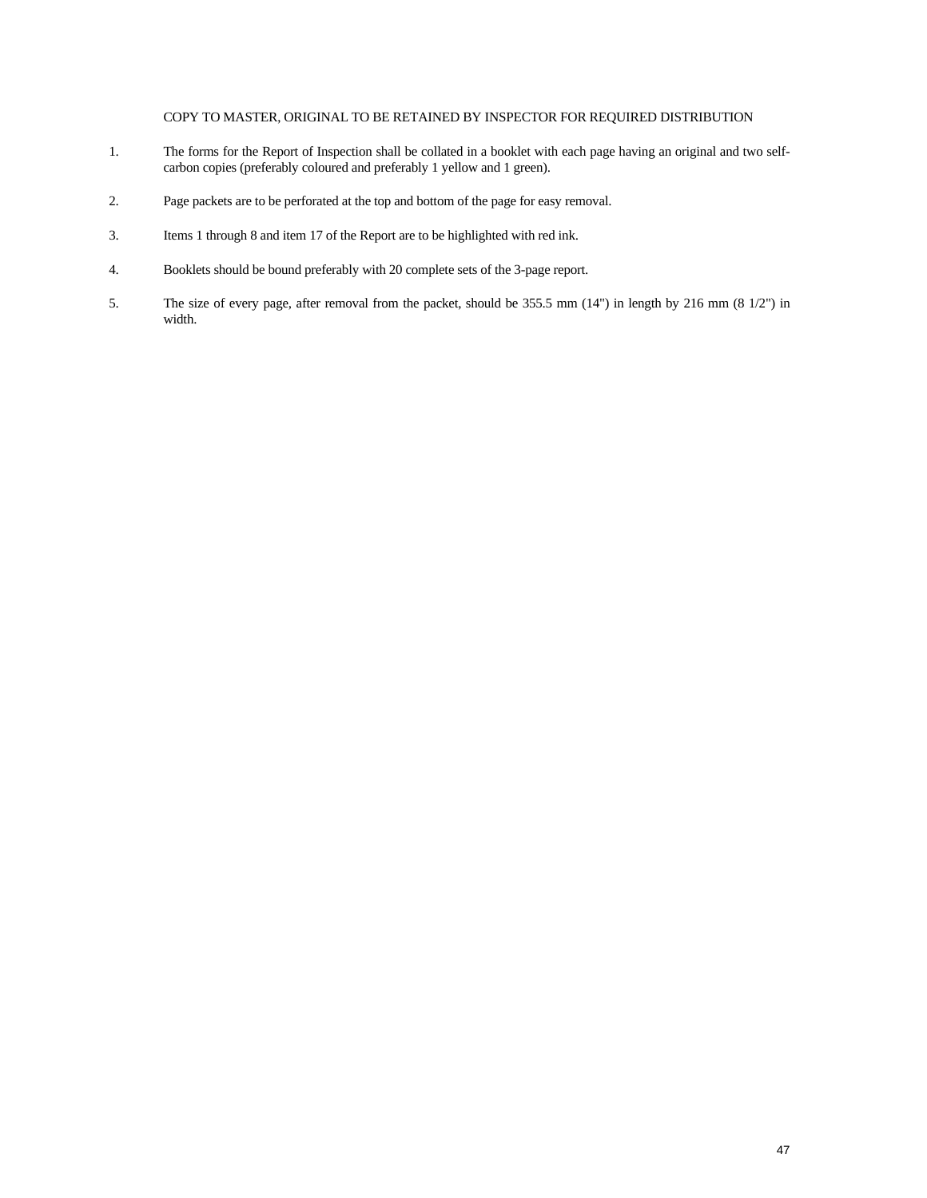#### COPY TO MASTER, ORIGINAL TO BE RETAINED BY INSPECTOR FOR REQUIRED DISTRIBUTION

- 1. The forms for the Report of Inspection shall be collated in a booklet with each page having an original and two selfcarbon copies (preferably coloured and preferably 1 yellow and 1 green).
- 2. Page packets are to be perforated at the top and bottom of the page for easy removal.
- 3. Items 1 through 8 and item 17 of the Report are to be highlighted with red ink.
- 4. Booklets should be bound preferably with 20 complete sets of the 3-page report.
- 5. The size of every page, after removal from the packet, should be 355.5 mm (14") in length by 216 mm (8 1/2") in width.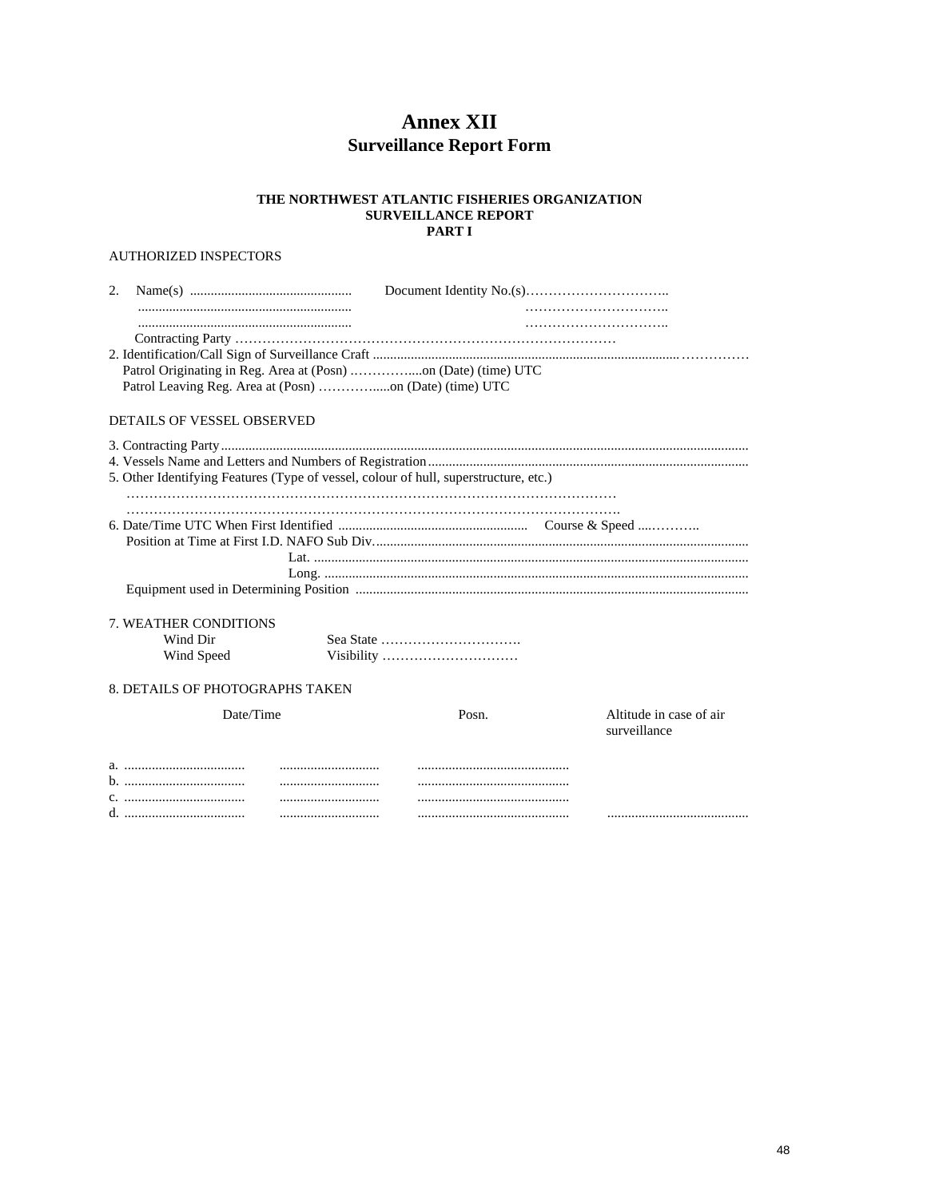# **Annex XII Surveillance Report Form**

#### THE NORTHWEST ATLANTIC FISHERIES ORGANIZATION **SURVEILLANCE REPORT** PART I

### AUTHORIZED INSPECTORS

| 2. |                                   |                                                                                      |                         |
|----|-----------------------------------|--------------------------------------------------------------------------------------|-------------------------|
|    |                                   |                                                                                      |                         |
|    |                                   |                                                                                      |                         |
|    |                                   |                                                                                      |                         |
|    |                                   |                                                                                      |                         |
|    |                                   |                                                                                      |                         |
|    |                                   |                                                                                      |                         |
|    | <b>DETAILS OF VESSEL OBSERVED</b> |                                                                                      |                         |
|    |                                   |                                                                                      |                         |
|    |                                   |                                                                                      |                         |
|    |                                   | 5. Other Identifying Features (Type of vessel, colour of hull, superstructure, etc.) |                         |
|    |                                   |                                                                                      |                         |
|    |                                   |                                                                                      |                         |
|    |                                   |                                                                                      |                         |
|    |                                   |                                                                                      |                         |
|    |                                   |                                                                                      |                         |
|    |                                   |                                                                                      |                         |
|    |                                   |                                                                                      |                         |
|    | 7. WEATHER CONDITIONS             |                                                                                      |                         |
|    | Wind Dir                          | Sea State $\dots \dots \dots \dots \dots \dots \dots \dots \dots$                    |                         |
|    | Wind Speed                        | Visibility                                                                           |                         |
|    |                                   |                                                                                      |                         |
|    | 8. DETAILS OF PHOTOGRAPHS TAKEN   |                                                                                      |                         |
|    | Date/Time                         | Posn.                                                                                | Altitude in case of air |
|    |                                   |                                                                                      | surveillance            |
|    |                                   |                                                                                      |                         |
|    |                                   |                                                                                      |                         |
|    |                                   |                                                                                      |                         |
|    |                                   |                                                                                      |                         |
|    |                                   |                                                                                      |                         |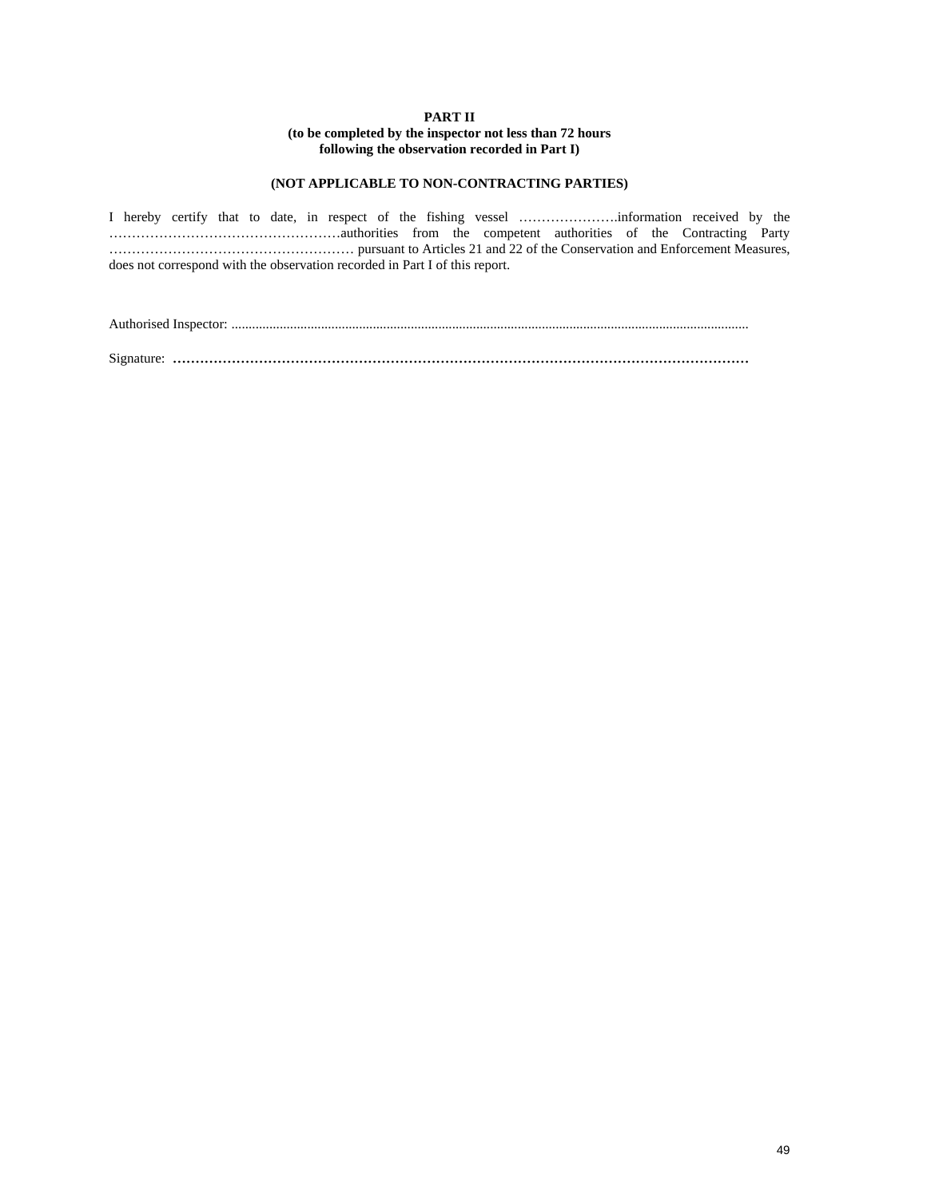#### **PART II**

#### **(to be completed by the inspector not less than 72 hours following the observation recorded in Part I)**

#### **(NOT APPLICABLE TO NON-CONTRACTING PARTIES)**

I hereby certify that to date, in respect of the fishing vessel ………………….information received by the ……………………………………………authorities from the competent authorities of the Contracting Party ……………………………………………… pursuant to Articles 21 and 22 of the Conservation and Enforcement Measures, does not correspond with the observation recorded in Part I of this report.

Authorised Inspector: ......................................................................................................................................................

Signature: ...............................................................................................................................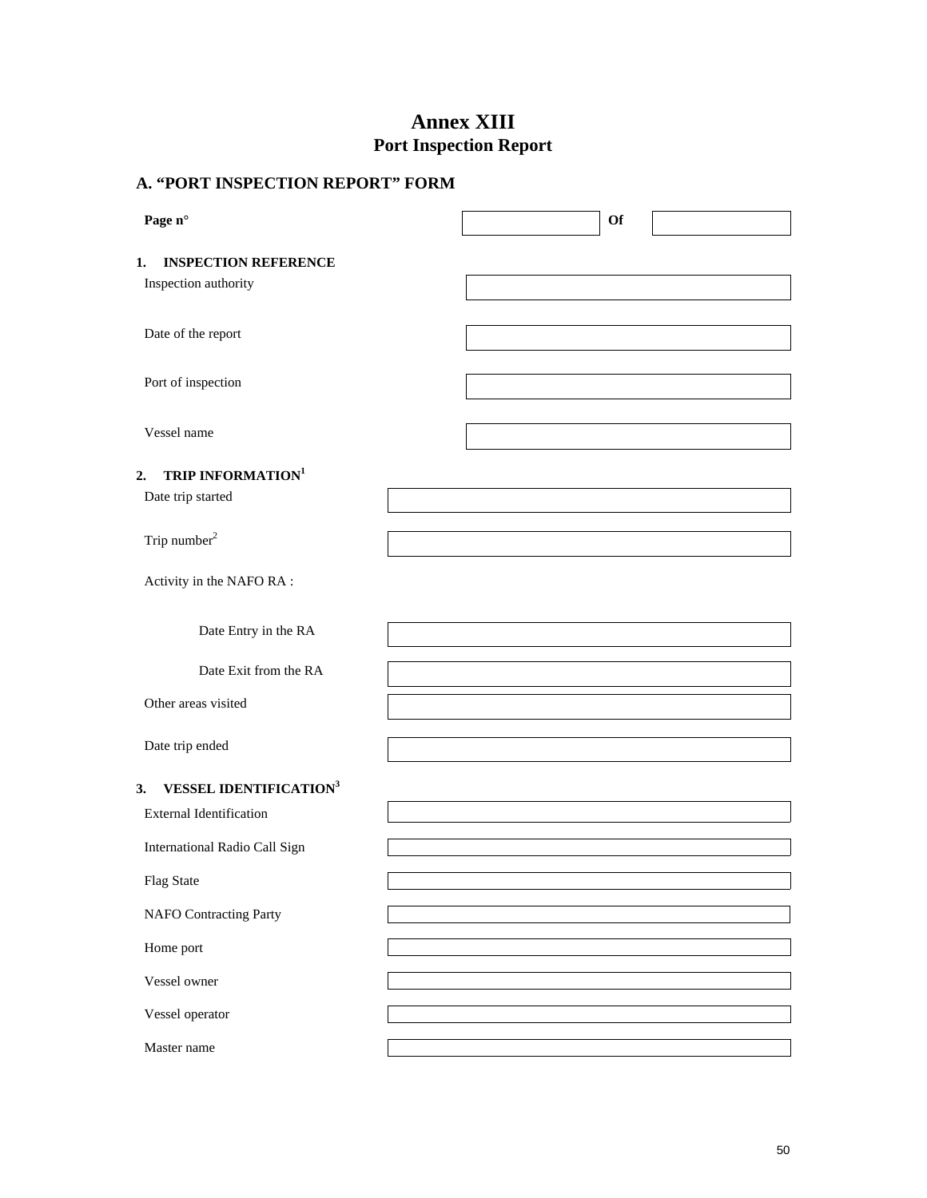# **Annex XIII Port Inspection Report**

| A. "PORT INSPECTION REPORT" FORM               |    |  |  |  |  |
|------------------------------------------------|----|--|--|--|--|
| Page n°                                        | Of |  |  |  |  |
| <b>INSPECTION REFERENCE</b><br>1.              |    |  |  |  |  |
| Inspection authority                           |    |  |  |  |  |
| Date of the report                             |    |  |  |  |  |
| Port of inspection                             |    |  |  |  |  |
| Vessel name                                    |    |  |  |  |  |
| TRIP INFORMATION <sup>1</sup><br>2.            |    |  |  |  |  |
| Date trip started                              |    |  |  |  |  |
| Trip number <sup>2</sup>                       |    |  |  |  |  |
| Activity in the NAFO RA:                       |    |  |  |  |  |
| Date Entry in the RA                           |    |  |  |  |  |
| Date Exit from the RA                          |    |  |  |  |  |
| Other areas visited                            |    |  |  |  |  |
| Date trip ended                                |    |  |  |  |  |
| <b>VESSEL IDENTIFICATION<sup>3</sup></b><br>3. |    |  |  |  |  |
| <b>External Identification</b>                 |    |  |  |  |  |
| International Radio Call Sign                  |    |  |  |  |  |
| Flag State                                     |    |  |  |  |  |
| <b>NAFO</b> Contracting Party                  |    |  |  |  |  |
| Home port                                      |    |  |  |  |  |
| Vessel owner                                   |    |  |  |  |  |
| Vessel operator                                |    |  |  |  |  |
| Master name                                    |    |  |  |  |  |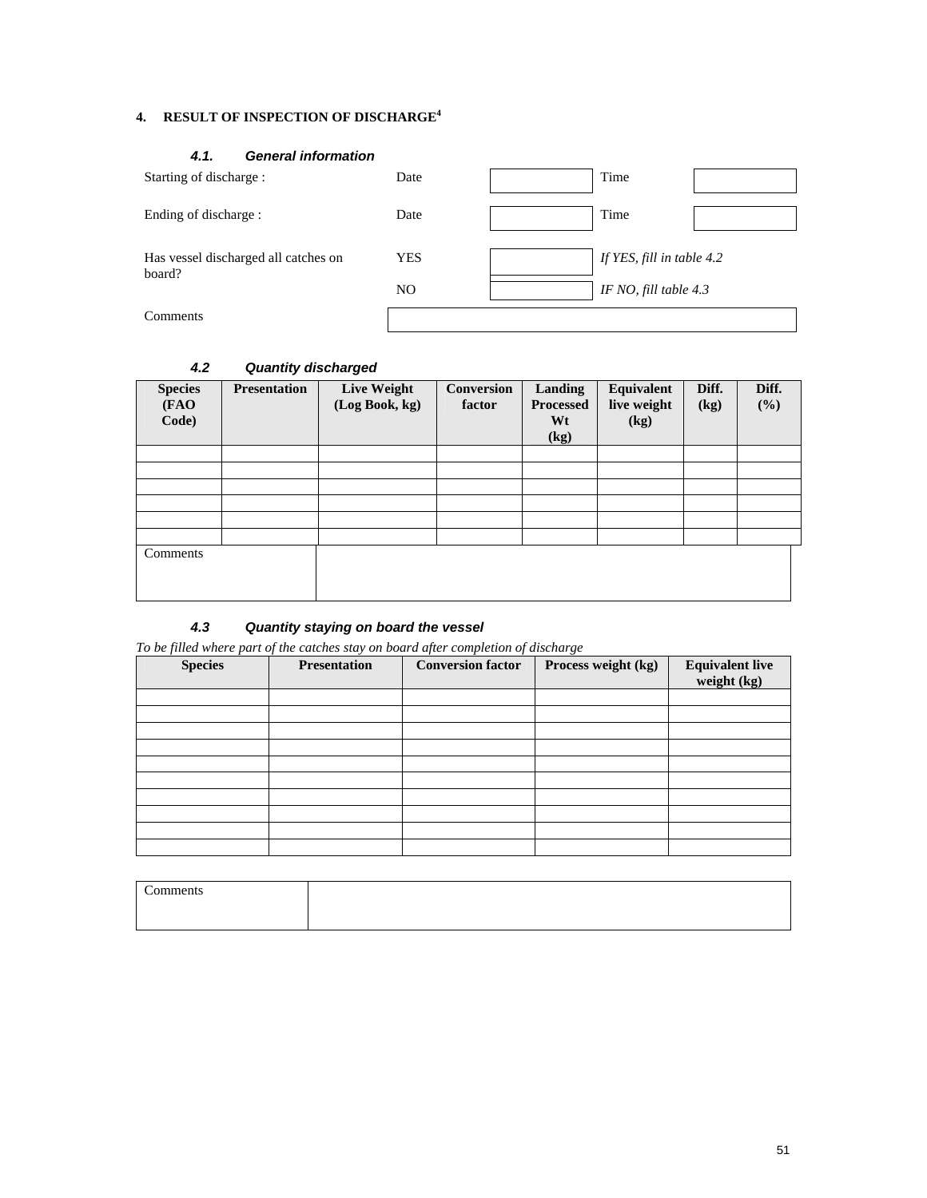### **4. RESULT OF INSPECTION OF DISCHARGE4**

#### *4.1. General information*

| Starting of discharge :                        | Date           |                         | Time                      |  |
|------------------------------------------------|----------------|-------------------------|---------------------------|--|
| Ending of discharge :                          | Date           |                         | Time                      |  |
| Has vessel discharged all catches on<br>board? | YES            |                         | If YES, fill in table 4.2 |  |
|                                                | N <sub>O</sub> | IF NO, fill table $4.3$ |                           |  |
| Comments                                       |                |                         |                           |  |

| <b>Species</b><br>(FAO<br>Code) | <b>Presentation</b> | Live Weight<br>(Log Book, kg) | <b>Conversion</b><br>factor | Landing<br><b>Processed</b><br>Wt<br>$\left(\text{kg}\right)$ | Equivalent<br>live weight<br>(kg) | Diff.<br>(kg) | Diff.<br>$(\%)$ |
|---------------------------------|---------------------|-------------------------------|-----------------------------|---------------------------------------------------------------|-----------------------------------|---------------|-----------------|
|                                 |                     |                               |                             |                                                               |                                   |               |                 |
|                                 |                     |                               |                             |                                                               |                                   |               |                 |
|                                 |                     |                               |                             |                                                               |                                   |               |                 |
|                                 |                     |                               |                             |                                                               |                                   |               |                 |
|                                 |                     |                               |                             |                                                               |                                   |               |                 |
|                                 |                     |                               |                             |                                                               |                                   |               |                 |
| Comments                        |                     |                               |                             |                                                               |                                   |               |                 |

### *4.2 Quantity discharged*

### *4.3 Quantity staying on board the vessel*

*To be filled where part of the catches stay on board after completion of discharge* 

| <b>Species</b> | <b>Presentation</b> | <b>Conversion factor</b> | Process weight (kg) | <b>Equivalent live</b><br>weight (kg) |
|----------------|---------------------|--------------------------|---------------------|---------------------------------------|
|                |                     |                          |                     |                                       |
|                |                     |                          |                     |                                       |
|                |                     |                          |                     |                                       |
|                |                     |                          |                     |                                       |
|                |                     |                          |                     |                                       |
|                |                     |                          |                     |                                       |
|                |                     |                          |                     |                                       |
|                |                     |                          |                     |                                       |
|                |                     |                          |                     |                                       |
|                |                     |                          |                     |                                       |

| ⌒<br>n<br>™CIIto |  |
|------------------|--|
|                  |  |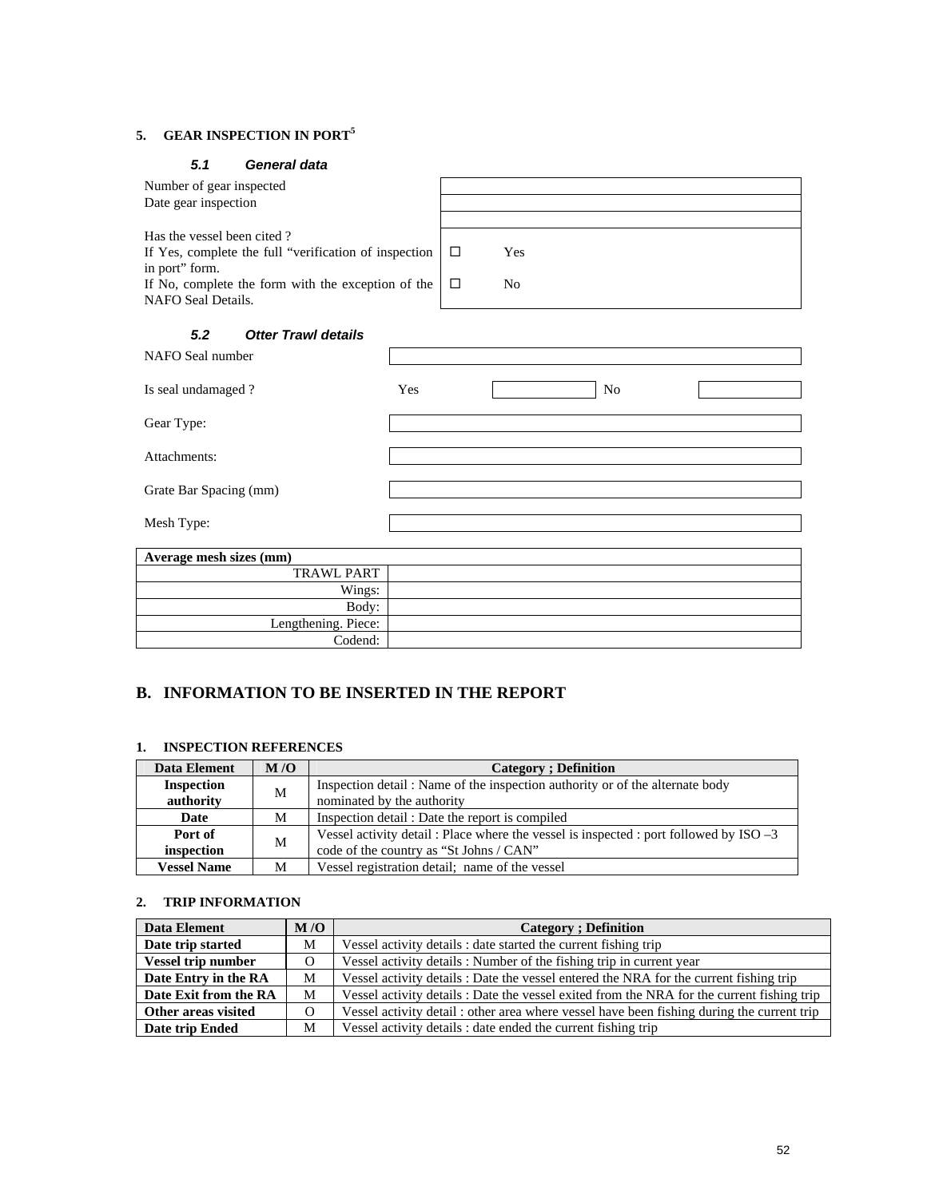### **5. GEAR INSPECTION IN PORT<sup>5</sup>**

### *5.1 General data*

| Number of gear inspected<br>Date gear inspection                                                      |     |                          |     |                |  |
|-------------------------------------------------------------------------------------------------------|-----|--------------------------|-----|----------------|--|
| Has the vessel been cited?<br>If Yes, complete the full "verification of inspection<br>in port" form. |     | $\Box$                   | Yes |                |  |
| If No, complete the form with the exception of the<br>NAFO Seal Details.                              |     | $\Box$<br>N <sub>0</sub> |     |                |  |
| <b>Otter Trawl details</b><br>5.2                                                                     |     |                          |     |                |  |
| NAFO Seal number                                                                                      |     |                          |     |                |  |
| Is seal undamaged?                                                                                    | Yes |                          |     | N <sub>0</sub> |  |
| Gear Type:                                                                                            |     |                          |     |                |  |
| Attachments:                                                                                          |     |                          |     |                |  |
| Grate Bar Spacing (mm)                                                                                |     |                          |     |                |  |
| Mesh Type:                                                                                            |     |                          |     |                |  |
| Average mesh sizes (mm)                                                                               |     |                          |     |                |  |
| <b>TRAWL PART</b>                                                                                     |     |                          |     |                |  |
| Wings:                                                                                                |     |                          |     |                |  |
| Body:                                                                                                 |     |                          |     |                |  |
| Lengthening. Piece:                                                                                   |     |                          |     |                |  |
| Codend:                                                                                               |     |                          |     |                |  |

### **B. INFORMATION TO BE INSERTED IN THE REPORT**

#### **1. INSPECTION REFERENCES**

| Data Element       | M/O | <b>Category</b> ; Definition                                                          |
|--------------------|-----|---------------------------------------------------------------------------------------|
| <b>Inspection</b>  | M   | Inspection detail: Name of the inspection authority or of the alternate body          |
| authority          |     | nominated by the authority                                                            |
| Date               | M   | Inspection detail: Date the report is compiled                                        |
| Port of            | M   | Vessel activity detail: Place where the vessel is inspected : port followed by ISO -3 |
| inspection         |     | code of the country as "St Johns / CAN"                                               |
| <b>Vessel Name</b> | М   | Vessel registration detail; name of the vessel                                        |

### **2. TRIP INFORMATION**

| Data Element              | M/O      | <b>Category</b> ; Definition                                                               |
|---------------------------|----------|--------------------------------------------------------------------------------------------|
| Date trip started         | M        | Vessel activity details : date started the current fishing trip                            |
| <b>Vessel trip number</b> | $\Omega$ | Vessel activity details: Number of the fishing trip in current year                        |
| Date Entry in the RA      | M        | Vessel activity details : Date the vessel entered the NRA for the current fishing trip     |
| Date Exit from the RA     | M        | Vessel activity details : Date the vessel exited from the NRA for the current fishing trip |
| Other areas visited       | $\Omega$ | Vessel activity detail: other area where vessel have been fishing during the current trip  |
| Date trip Ended           | М        | Vessel activity details : date ended the current fishing trip                              |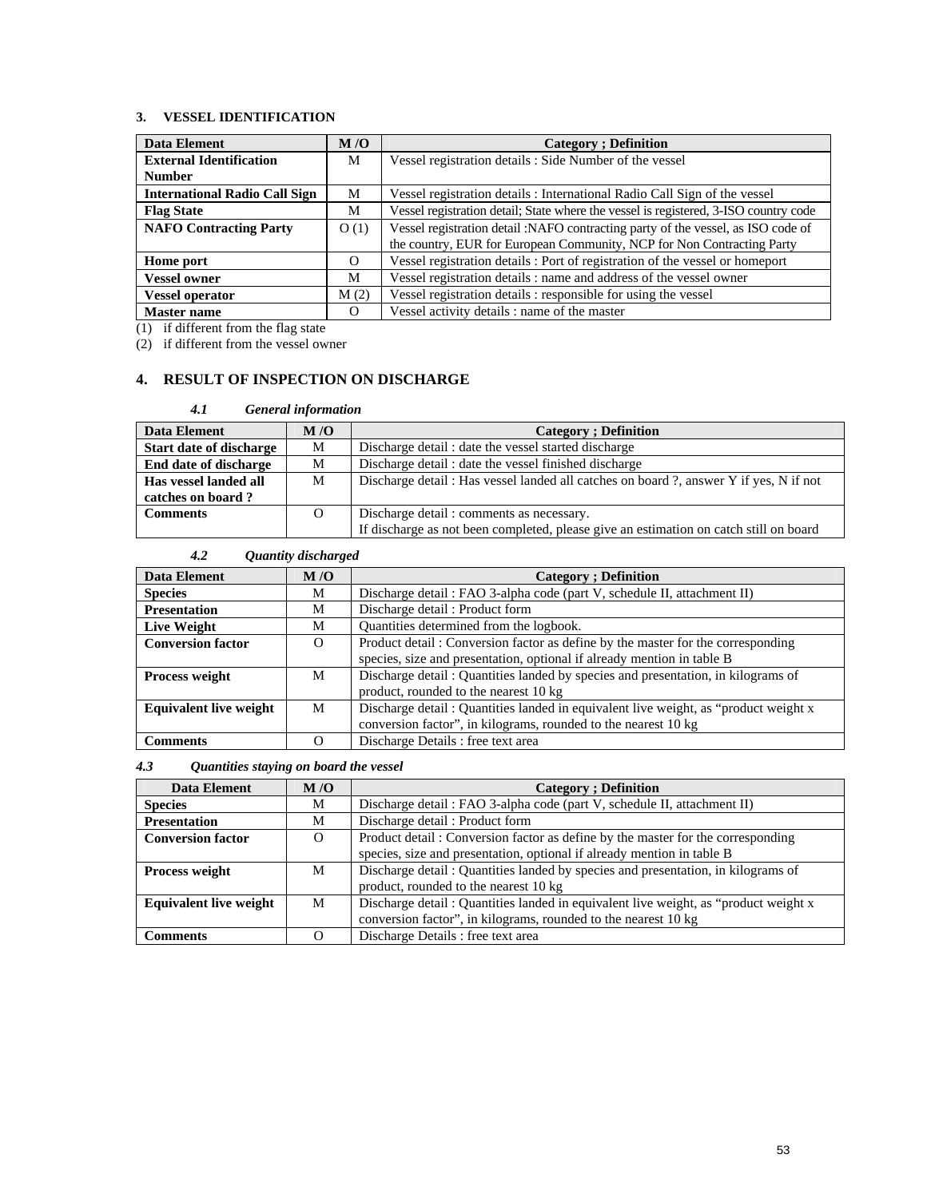### **3. VESSEL IDENTIFICATION**

| Data Element                         | M/O      | <b>Category</b> : Definition                                                         |
|--------------------------------------|----------|--------------------------------------------------------------------------------------|
| <b>External Identification</b>       | M        | Vessel registration details : Side Number of the vessel                              |
| <b>Number</b>                        |          |                                                                                      |
| <b>International Radio Call Sign</b> | М        | Vessel registration details: International Radio Call Sign of the vessel             |
| <b>Flag State</b>                    | М        | Vessel registration detail; State where the vessel is registered, 3-ISO country code |
| <b>NAFO Contracting Party</b>        | O(1)     | Vessel registration detail :NAFO contracting party of the vessel, as ISO code of     |
|                                      |          | the country, EUR for European Community, NCP for Non Contracting Party               |
| Home port                            | $\Omega$ | Vessel registration details: Port of registration of the vessel or homeport          |
| <b>Vessel owner</b>                  | М        | Vessel registration details : name and address of the vessel owner                   |
| <b>Vessel operator</b>               | M(2)     | Vessel registration details : responsible for using the vessel                       |
| <b>Master name</b>                   | $\Omega$ | Vessel activity details : name of the master                                         |

(1) if different from the flag state

(2) if different from the vessel owner

### **4. RESULT OF INSPECTION ON DISCHARGE**

| 4.1                            | <b>General information</b> |                                                                                       |
|--------------------------------|----------------------------|---------------------------------------------------------------------------------------|
| Data Element                   | M/O                        | <b>Category</b> ; Definition                                                          |
| <b>Start date of discharge</b> | М                          | Discharge detail: date the vessel started discharge                                   |
| End date of discharge          | М                          | Discharge detail: date the vessel finished discharge                                  |
| Has vessel landed all          | M                          | Discharge detail: Has vessel landed all catches on board?, answer Y if yes, N if not  |
| catches on board?              |                            |                                                                                       |
| <b>Comments</b>                | O                          | Discharge detail: comments as necessary.                                              |
|                                |                            | If discharge as not been completed, please give an estimation on catch still on board |

| 4.2                           | Quantity discharged |                                                                                     |
|-------------------------------|---------------------|-------------------------------------------------------------------------------------|
| <b>Data Element</b>           | M/O                 | <b>Category</b> : Definition                                                        |
| <b>Species</b>                | М                   | Discharge detail: FAO 3-alpha code (part V, schedule II, attachment II)             |
| <b>Presentation</b>           | М                   | Discharge detail: Product form                                                      |
| <b>Live Weight</b>            | М                   | Quantities determined from the logbook.                                             |
| <b>Conversion factor</b>      | O                   | Product detail: Conversion factor as define by the master for the corresponding     |
|                               |                     | species, size and presentation, optional if already mention in table B              |
| <b>Process weight</b>         | M                   | Discharge detail: Quantities landed by species and presentation, in kilograms of    |
|                               |                     | product, rounded to the nearest 10 kg                                               |
| <b>Equivalent live weight</b> | M                   | Discharge detail: Quantities landed in equivalent live weight, as "product weight x |
|                               |                     | conversion factor", in kilograms, rounded to the nearest 10 kg                      |
| <b>Comments</b>               |                     | Discharge Details : free text area                                                  |

#### *4.3 Quantities staying on board the vessel*

| Data Element                  | M/O | <b>Category</b> : Definition                                                        |
|-------------------------------|-----|-------------------------------------------------------------------------------------|
| <b>Species</b>                | М   | Discharge detail: FAO 3-alpha code (part V, schedule II, attachment II)             |
| <b>Presentation</b>           | М   | Discharge detail: Product form                                                      |
| <b>Conversion factor</b>      | O   | Product detail: Conversion factor as define by the master for the corresponding     |
|                               |     | species, size and presentation, optional if already mention in table B              |
| <b>Process weight</b>         | М   | Discharge detail: Quantities landed by species and presentation, in kilograms of    |
|                               |     | product, rounded to the nearest 10 kg                                               |
| <b>Equivalent live weight</b> | M   | Discharge detail: Quantities landed in equivalent live weight, as "product weight x |
|                               |     | conversion factor", in kilograms, rounded to the nearest 10 kg                      |
| <b>Comments</b>               |     | Discharge Details: free text area                                                   |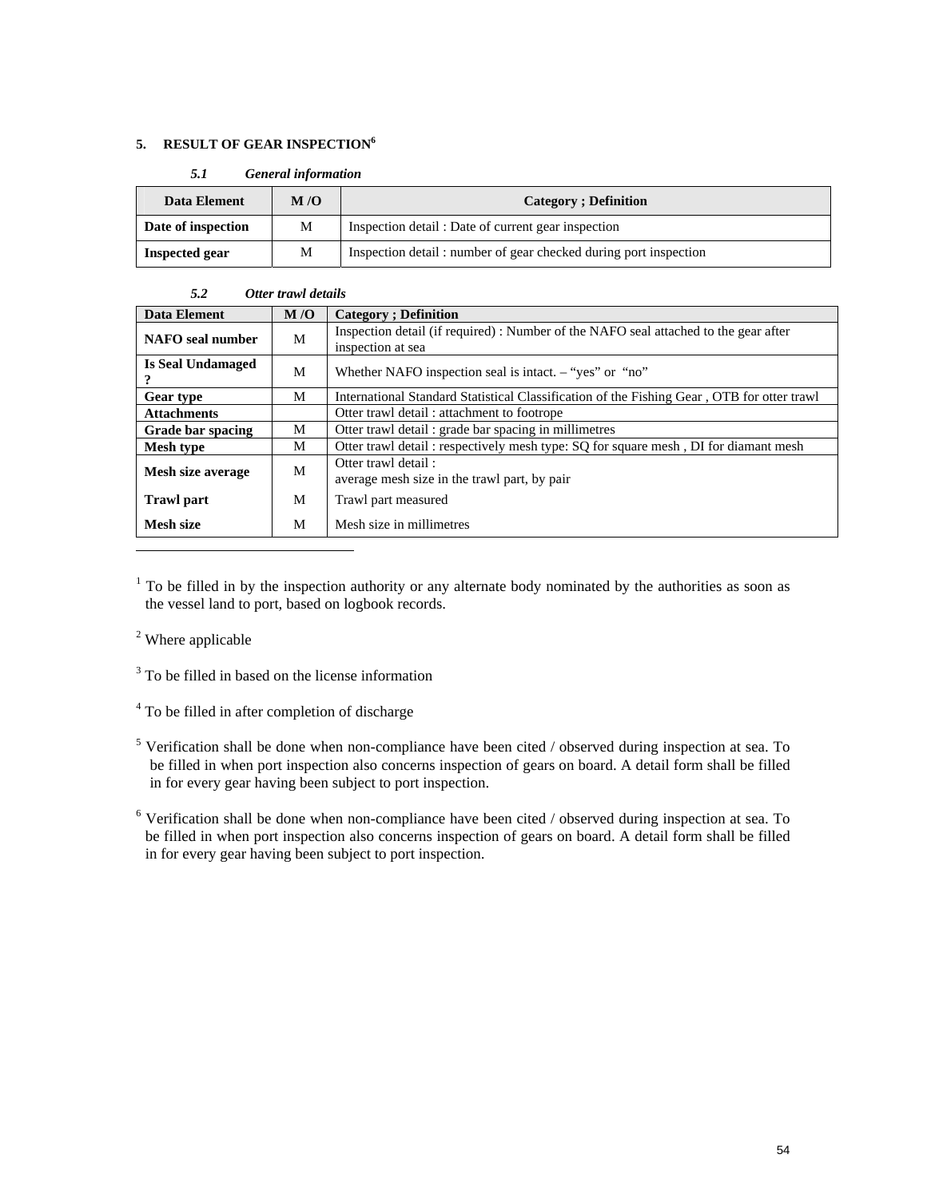#### **5. RESULT OF GEAR INSPECTION**<sup>6</sup>

| Data Element       | M/O | <b>Category</b> ; Definition                                     |  |  |  |
|--------------------|-----|------------------------------------------------------------------|--|--|--|
| Date of inspection | М   | Inspection detail : Date of current gear inspection              |  |  |  |
| Inspected gear     | М   | Inspection detail: number of gear checked during port inspection |  |  |  |

### *5.2 Otter trawl details*  Data Element M/O Category ; Definition **NAFO seal number** M Inspection detail (if required) : Number of the NAFO seal attached to the gear after inspection at sea **Is Seal Undamaged 18 Sear Undamaged** M Whether NAFO inspection seal is intact. – "yes" or "no" Gear type M International Standard Statistical Classification of the Fishing Gear, OTB for otter trawl Attachments **attachments Otter trawl detail : attachment to footrope Grade bar spacing M | Otter trawl detail : grade bar spacing in millimetres M** Otter trawl detail : respectively mesh type: SQ for square mesh , DI for diamant mesh **Mesh size average** M Otter trawl detail : average mesh size in the trawl part, by pair **Trawl part 1988 M** Trawl part measured **Mesh size** M Mesh size in millimetres

 $<sup>1</sup>$  To be filled in by the inspection authority or any alternate body nominated by the authorities as soon as</sup> the vessel land to port, based on logbook records.

<sup>2</sup> Where applicable

 $\overline{a}$ 

<sup>3</sup> To be filled in based on the license information

<sup>4</sup> To be filled in after completion of discharge

<sup>5</sup> Verification shall be done when non-compliance have been cited / observed during inspection at sea. To be filled in when port inspection also concerns inspection of gears on board. A detail form shall be filled in for every gear having been subject to port inspection.

<sup>&</sup>lt;sup>6</sup> Verification shall be done when non-compliance have been cited / observed during inspection at sea. To be filled in when port inspection also concerns inspection of gears on board. A detail form shall be filled in for every gear having been subject to port inspection.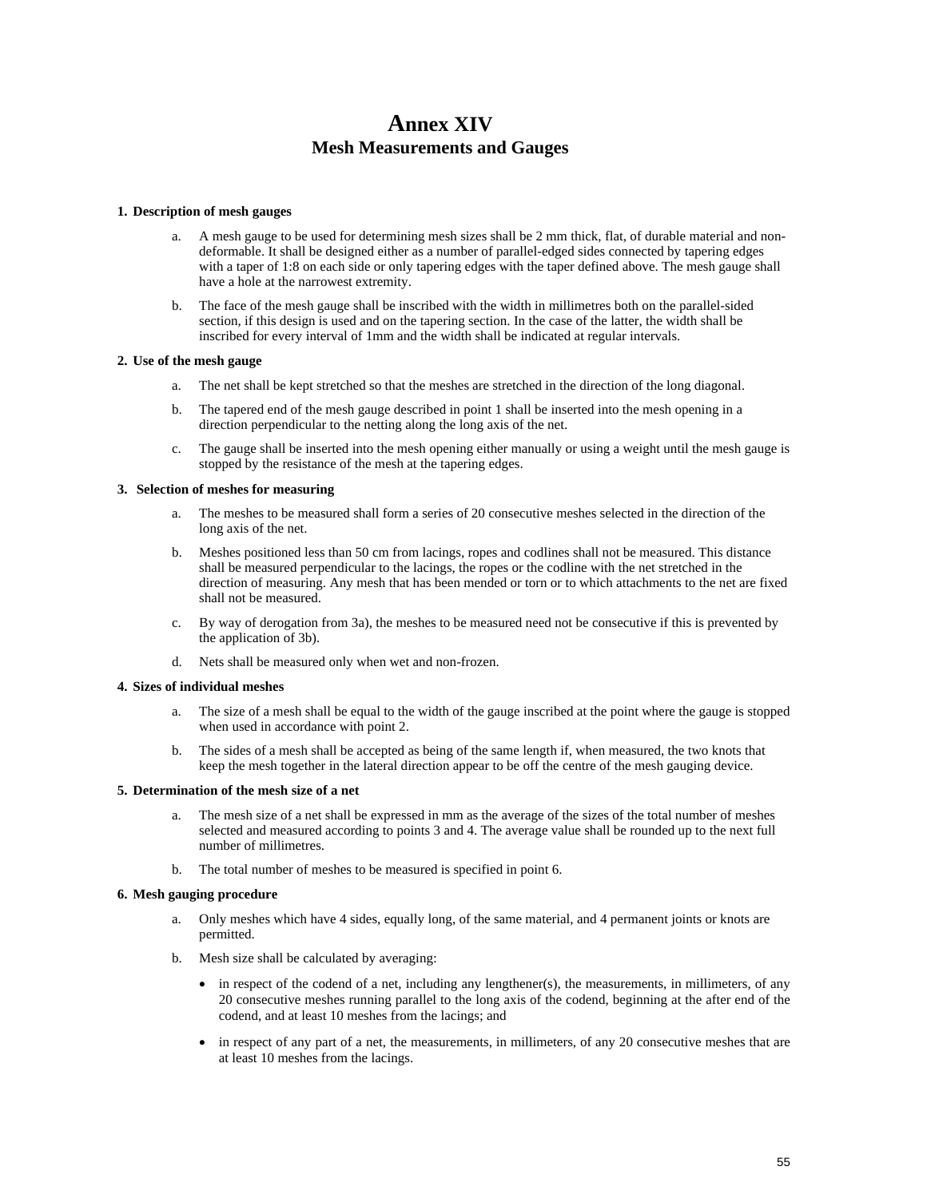# **Annex XIV Mesh Measurements and Gauges**

#### **1. Description of mesh gauges**

- a. A mesh gauge to be used for determining mesh sizes shall be 2 mm thick, flat, of durable material and nondeformable. It shall be designed either as a number of parallel-edged sides connected by tapering edges with a taper of 1:8 on each side or only tapering edges with the taper defined above. The mesh gauge shall have a hole at the narrowest extremity.
- b. The face of the mesh gauge shall be inscribed with the width in millimetres both on the parallel-sided section, if this design is used and on the tapering section. In the case of the latter, the width shall be inscribed for every interval of 1mm and the width shall be indicated at regular intervals.

#### **2. Use of the mesh gauge**

- a. The net shall be kept stretched so that the meshes are stretched in the direction of the long diagonal.
- b. The tapered end of the mesh gauge described in point 1 shall be inserted into the mesh opening in a direction perpendicular to the netting along the long axis of the net.
- c. The gauge shall be inserted into the mesh opening either manually or using a weight until the mesh gauge is stopped by the resistance of the mesh at the tapering edges.

#### **3. Selection of meshes for measuring**

- a. The meshes to be measured shall form a series of 20 consecutive meshes selected in the direction of the long axis of the net.
- b. Meshes positioned less than 50 cm from lacings, ropes and codlines shall not be measured. This distance shall be measured perpendicular to the lacings, the ropes or the codline with the net stretched in the direction of measuring. Any mesh that has been mended or torn or to which attachments to the net are fixed shall not be measured.
- c. By way of derogation from 3a), the meshes to be measured need not be consecutive if this is prevented by the application of 3b).
- d. Nets shall be measured only when wet and non-frozen.

#### **4. Sizes of individual meshes**

- The size of a mesh shall be equal to the width of the gauge inscribed at the point where the gauge is stopped when used in accordance with point 2.
- b. The sides of a mesh shall be accepted as being of the same length if, when measured, the two knots that keep the mesh together in the lateral direction appear to be off the centre of the mesh gauging device.

#### **5. Determination of the mesh size of a net**

- The mesh size of a net shall be expressed in mm as the average of the sizes of the total number of meshes selected and measured according to points 3 and 4. The average value shall be rounded up to the next full number of millimetres.
- b. The total number of meshes to be measured is specified in point 6.

#### **6. Mesh gauging procedure**

- a. Only meshes which have 4 sides, equally long, of the same material, and 4 permanent joints or knots are permitted.
- b. Mesh size shall be calculated by averaging:
	- $\bullet$  in respect of the codend of a net, including any lengthener(s), the measurements, in millimeters, of any 20 consecutive meshes running parallel to the long axis of the codend, beginning at the after end of the codend, and at least 10 meshes from the lacings; and
	- in respect of any part of a net, the measurements, in millimeters, of any 20 consecutive meshes that are at least 10 meshes from the lacings.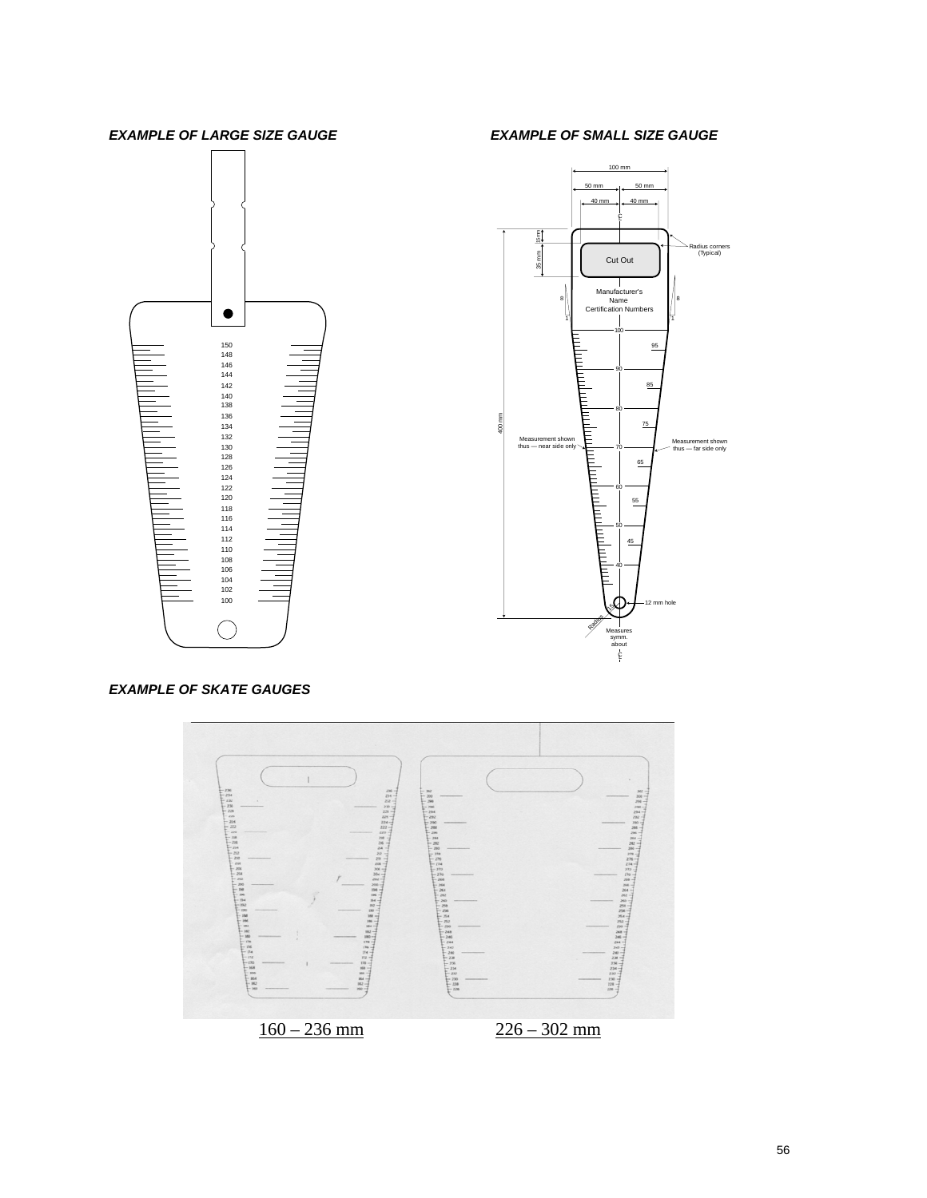### *EXAMPLE OF LARGE SIZE GAUGE EXAMPLE OF SMALL SIZE GAUGE*





#### *EXAMPLE OF SKATE GAUGES*

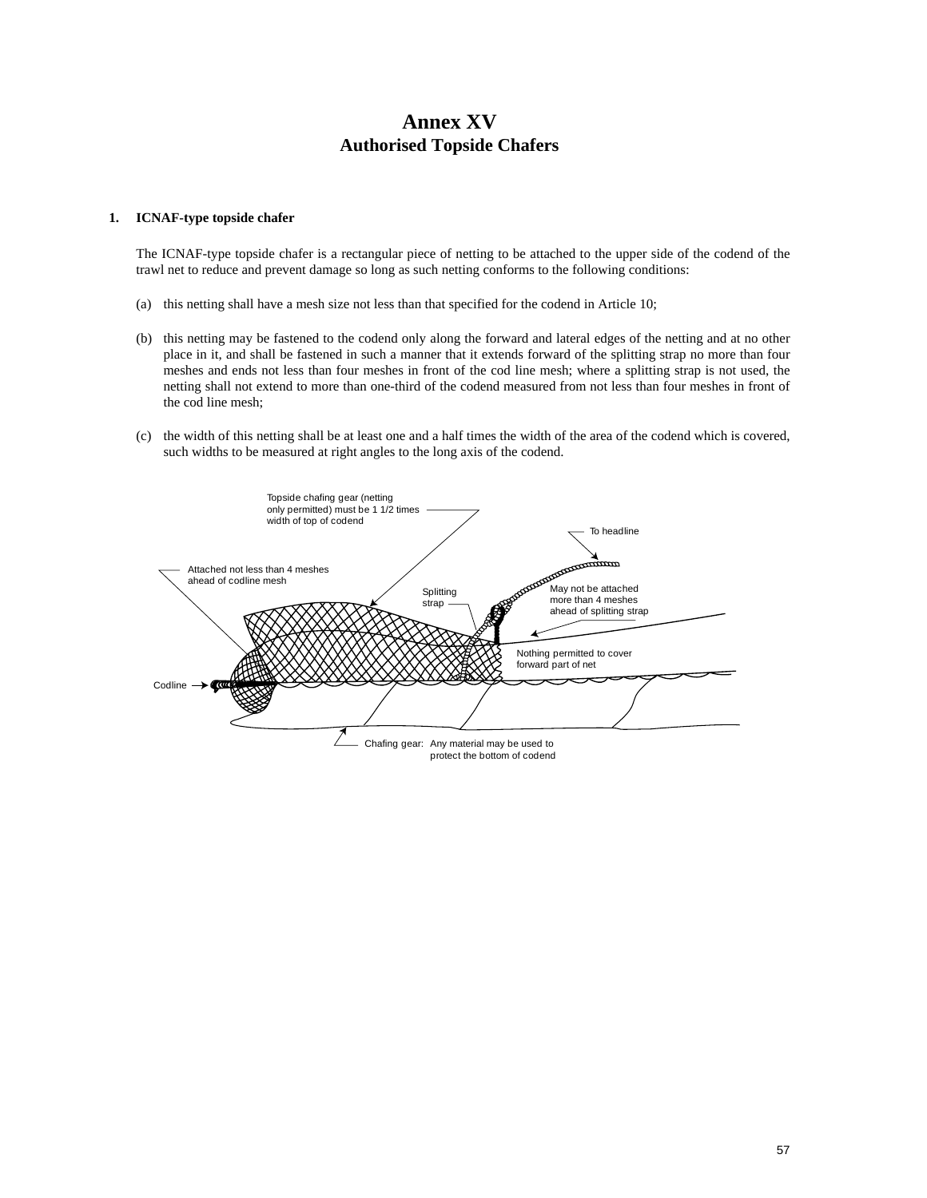## **Annex XV Authorised Topside Chafers**

#### **1. ICNAF-type topside chafer**

 The ICNAF-type topside chafer is a rectangular piece of netting to be attached to the upper side of the codend of the trawl net to reduce and prevent damage so long as such netting conforms to the following conditions:

- (a) this netting shall have a mesh size not less than that specified for the codend in Article 10;
- (b) this netting may be fastened to the codend only along the forward and lateral edges of the netting and at no other place in it, and shall be fastened in such a manner that it extends forward of the splitting strap no more than four meshes and ends not less than four meshes in front of the cod line mesh; where a splitting strap is not used, the netting shall not extend to more than one-third of the codend measured from not less than four meshes in front of the cod line mesh;
- (c) the width of this netting shall be at least one and a half times the width of the area of the codend which is covered, such widths to be measured at right angles to the long axis of the codend.

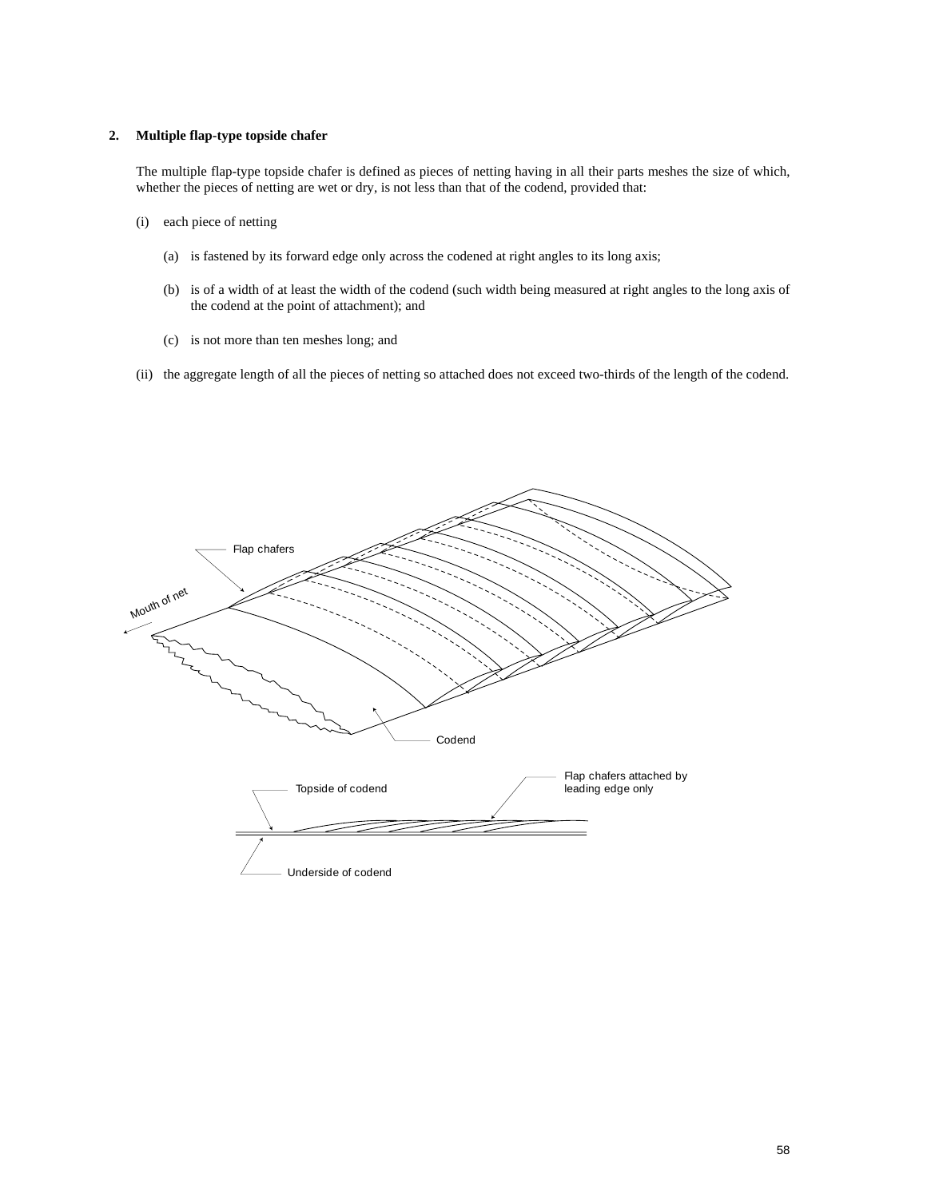#### **2. Multiple flap-type topside chafer**

The multiple flap-type topside chafer is defined as pieces of netting having in all their parts meshes the size of which, whether the pieces of netting are wet or dry, is not less than that of the codend, provided that:

- (i) each piece of netting
	- (a) is fastened by its forward edge only across the codened at right angles to its long axis;
	- (b) is of a width of at least the width of the codend (such width being measured at right angles to the long axis of the codend at the point of attachment); and
	- (c) is not more than ten meshes long; and
- (ii) the aggregate length of all the pieces of netting so attached does not exceed two-thirds of the length of the codend.

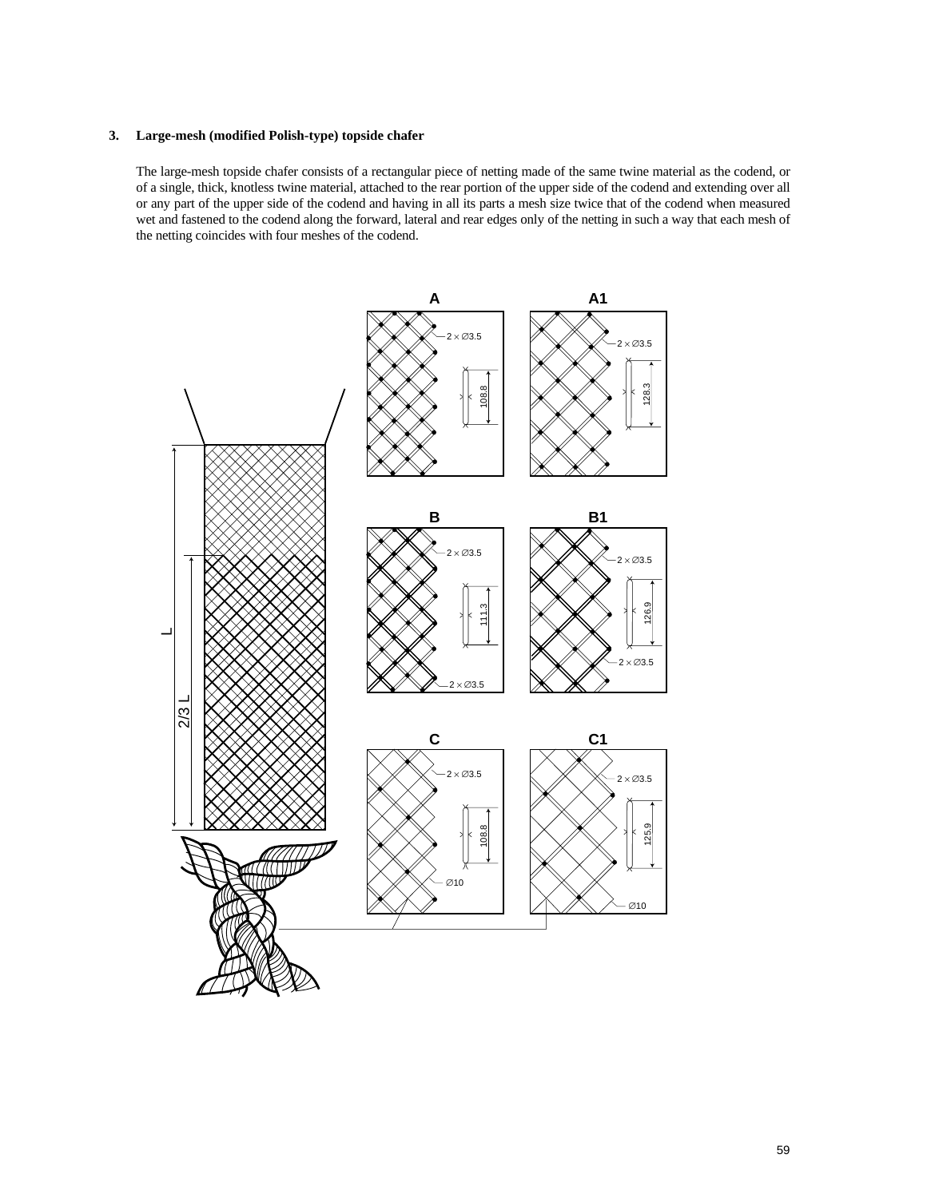#### **3. Large-mesh (modified Polish-type) topside chafer**

The large-mesh topside chafer consists of a rectangular piece of netting made of the same twine material as the codend, or of a single, thick, knotless twine material, attached to the rear portion of the upper side of the codend and extending over all or any part of the upper side of the codend and having in all its parts a mesh size twice that of the codend when measured wet and fastened to the codend along the forward, lateral and rear edges only of the netting in such a way that each mesh of the netting coincides with four meshes of the codend.

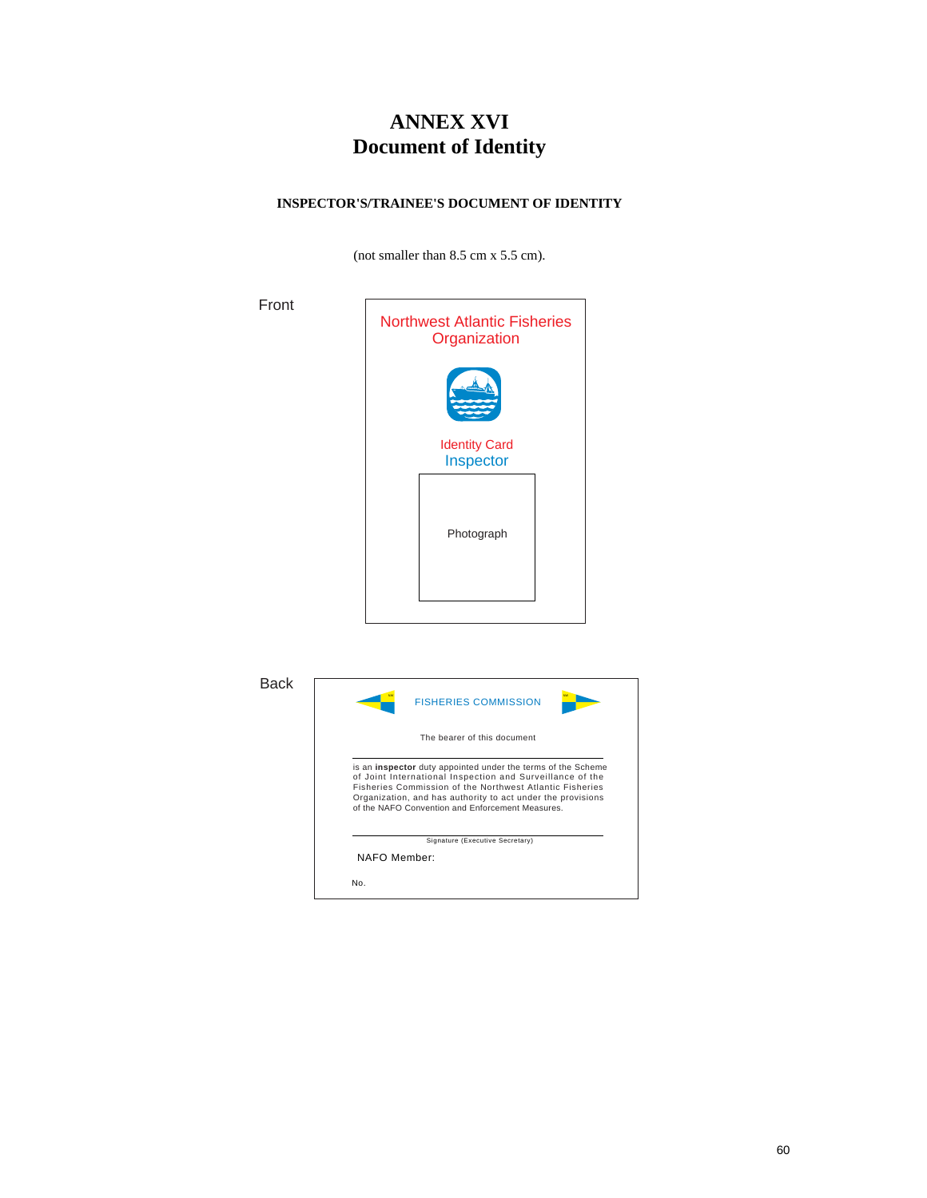# **ANNEX XVI Document of Identity**

#### **INSPECTOR'S/TRAINEE'S DOCUMENT OF IDENTITY**

(not smaller than 8.5 cm x 5.5 cm).



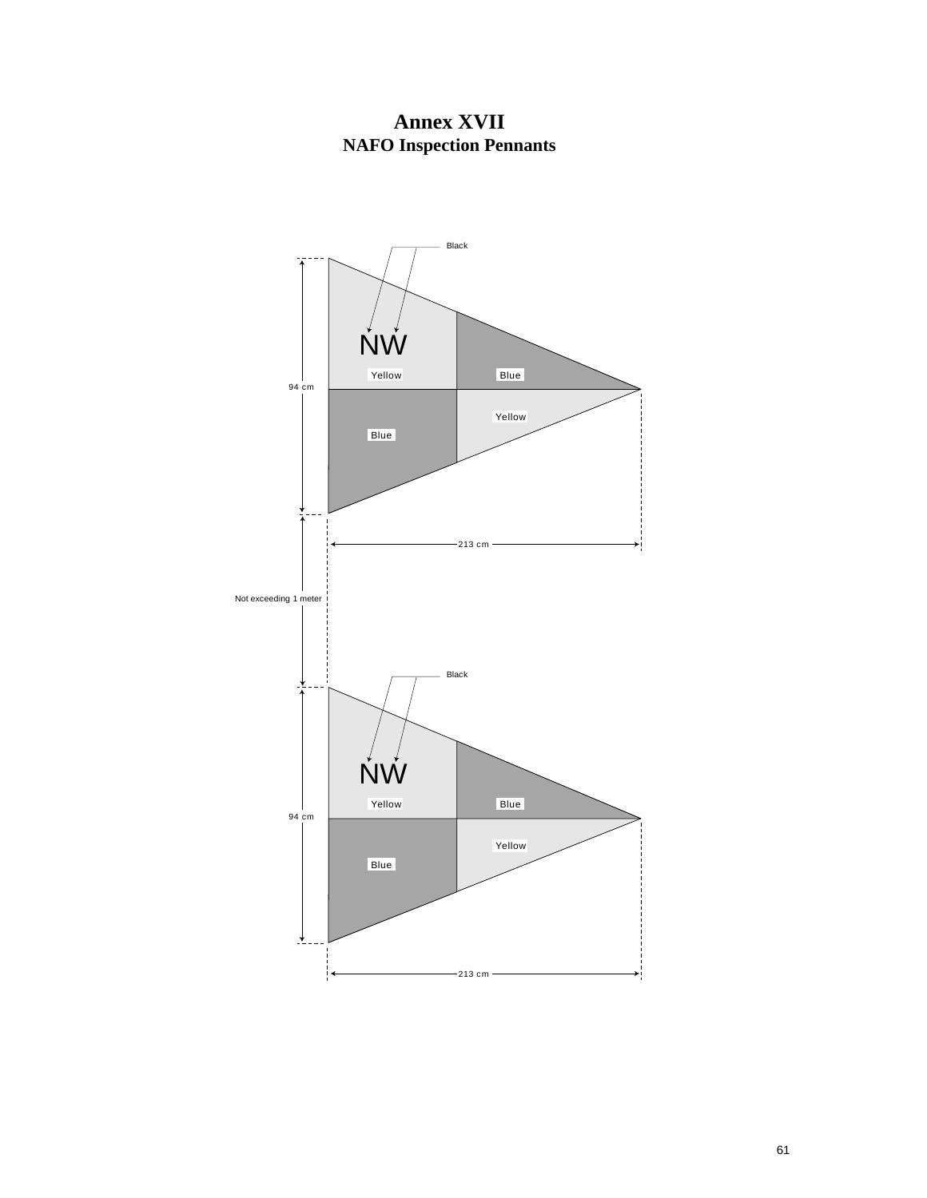

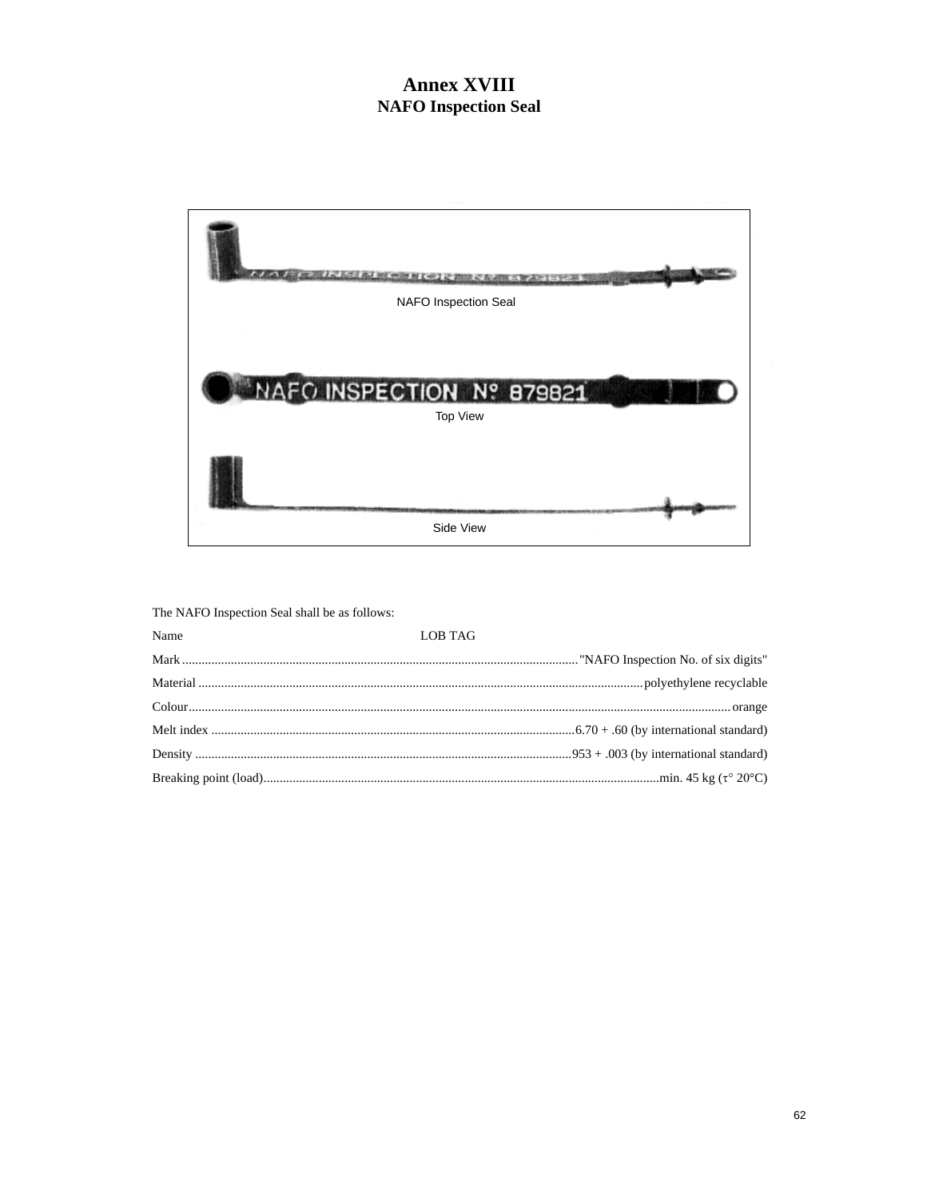## **Annex XVIII NAFO** Inspection Seal



The NAFO Inspection Seal shall be as follows:

| Name | <b>LOB TAG</b> |
|------|----------------|
|      |                |
|      |                |
|      |                |
|      |                |
|      |                |
|      |                |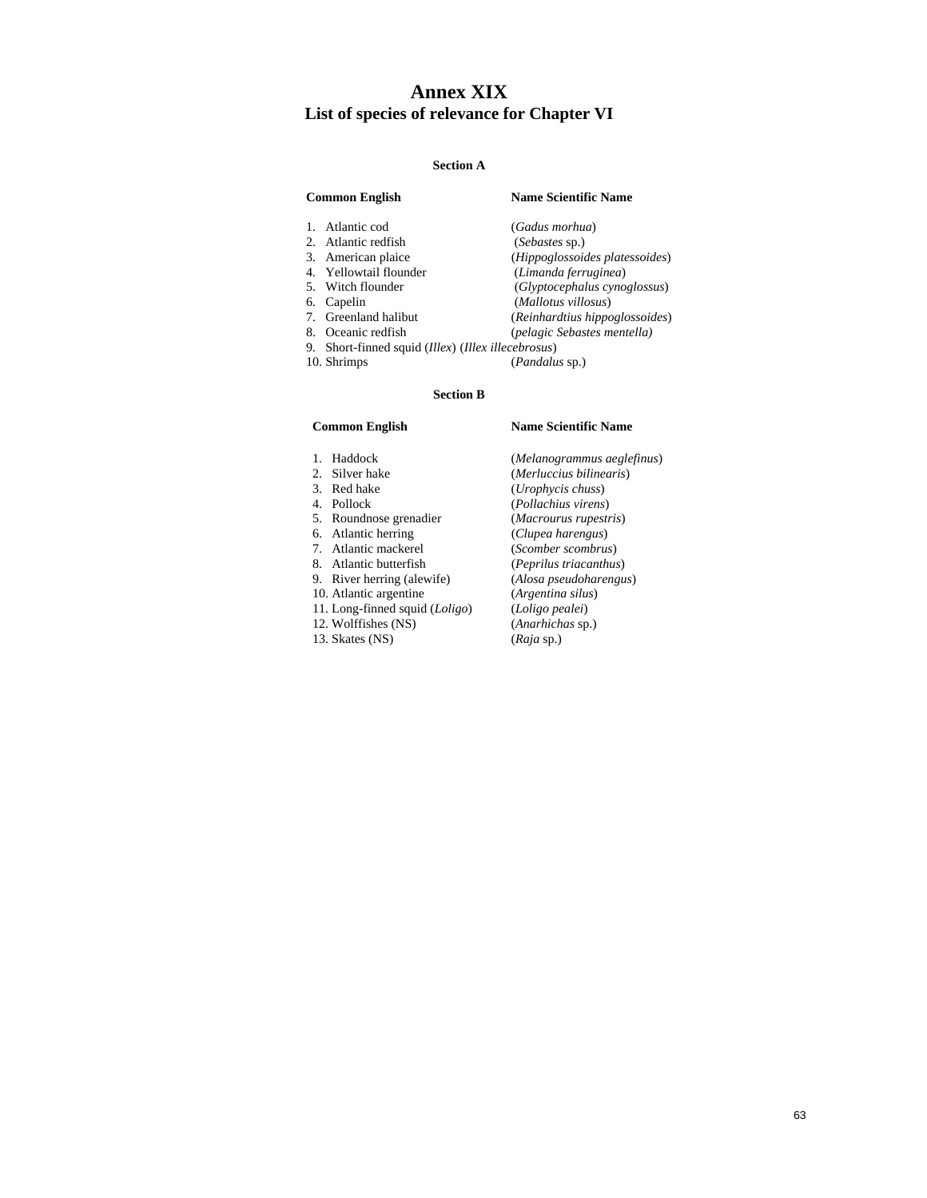### **Annex XIX List of species of relevance for Chapter VI**

#### **Section A**

#### **Common English Name Scientific Name**  1. Atlantic cod (*Gadus morhua*) 2. Atlantic redfish (*Sebastes* sp.)<br>3. American plaice (*Hippoglossoia*) 3. American plaice (*Hippoglossoides platessoides*) 4. Yellowtail flounder (*Limanda ferruginea*) 5. Witch flounder (*Glyptocephalus cynoglossus*) 6. Capelin (*Mallotus villosus*) 7. Greenland halibut (*Reinhardtius hippoglossoides*)<br>
8. Oceanic redfish (*pelagic Sebastes mentella*) 8. Oceanic redfish (*pelagic Sebastes mentella)* 9. Short-finned squid (*Illex*) (*Illex illecebrosus*)

10. Shrimps (*Pandalus* sp.)

#### **Section B**

- 
- 
- 
- 
- 
- 
- 6. Atlantic herring<br>7. Atlantic mackerel
- 
- 
- 
- 
- 12. Wolffishes (NS)
- 
- 

#### **Common English Name Scientific Name**

 1. Haddock (*Melanogrammus aeglefinus*) 2. Silver hake (*Merluccius bilinearis*)<br>3. Red hake (*Urophycis chuss*) 3. Red hake (*Urophycis chuss*) 4. Pollock (*Pollachius virens*) 5. Roundnose grenadier (*Macrourus rupestris*) 7. Atlantic mackerel (*Scomber scombrus*) 8. Atlantic butterfish (*Peprilus triacanthus*) 9. River herring (alewife) (*Alosa pseudoharengus*) 10. Atlantic argentine (*Argentina silus*) 11. Long-finned squid (*Loligo*) (*Loligo pealei*) 13. Skates (NS) (*Raja* sp.)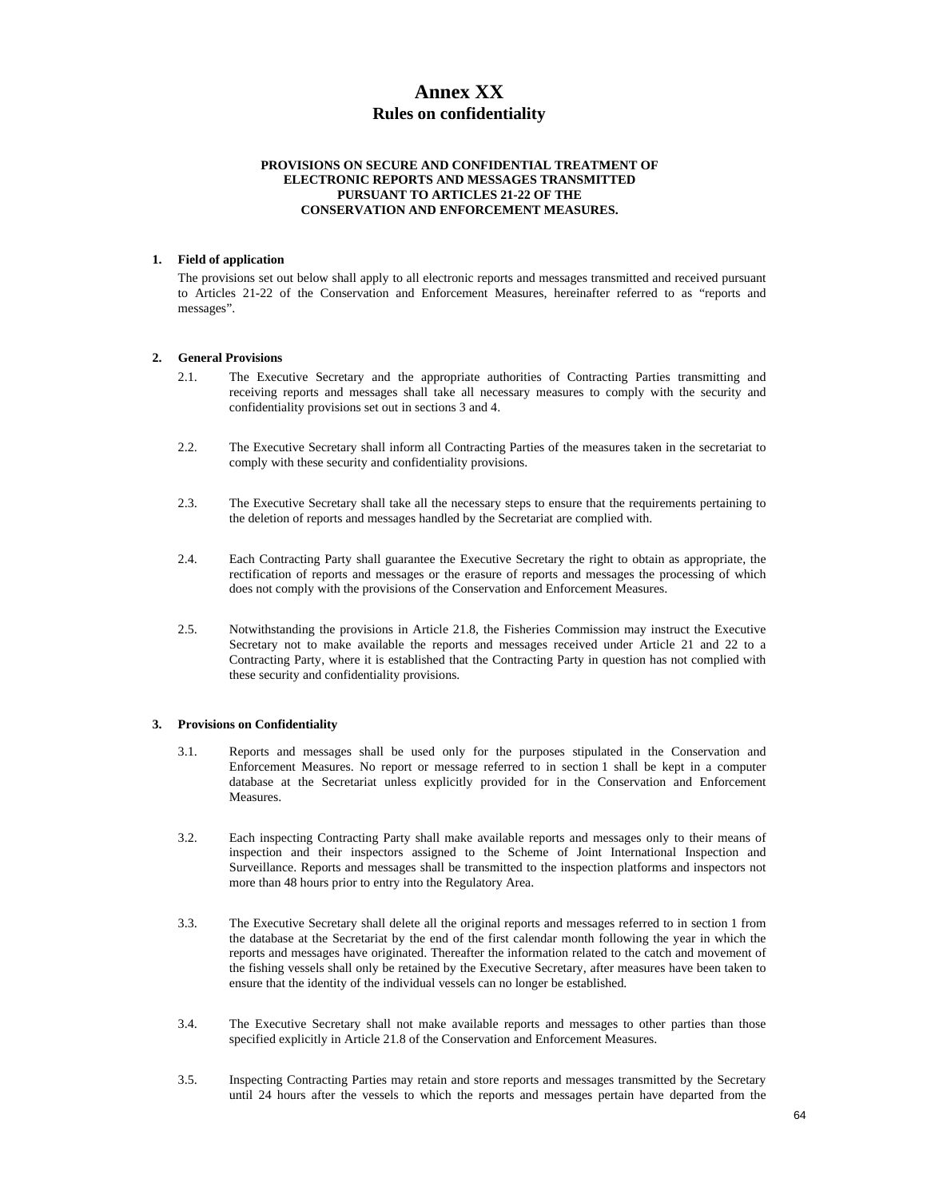### **Annex XX Rules on confidentiality**

#### **PROVISIONS ON SECURE AND CONFIDENTIAL TREATMENT OF ELECTRONIC REPORTS AND MESSAGES TRANSMITTED PURSUANT TO ARTICLES 21-22 OF THE CONSERVATION AND ENFORCEMENT MEASURES.**

#### **1. Field of application**

The provisions set out below shall apply to all electronic reports and messages transmitted and received pursuant to Articles 21-22 of the Conservation and Enforcement Measures, hereinafter referred to as "reports and messages".

#### **2. General Provisions**

- 2.1. The Executive Secretary and the appropriate authorities of Contracting Parties transmitting and receiving reports and messages shall take all necessary measures to comply with the security and confidentiality provisions set out in sections 3 and 4.
- 2.2. The Executive Secretary shall inform all Contracting Parties of the measures taken in the secretariat to comply with these security and confidentiality provisions.
- 2.3. The Executive Secretary shall take all the necessary steps to ensure that the requirements pertaining to the deletion of reports and messages handled by the Secretariat are complied with.
- 2.4. Each Contracting Party shall guarantee the Executive Secretary the right to obtain as appropriate, the rectification of reports and messages or the erasure of reports and messages the processing of which does not comply with the provisions of the Conservation and Enforcement Measures.
- 2.5. Notwithstanding the provisions in Article 21.8, the Fisheries Commission may instruct the Executive Secretary not to make available the reports and messages received under Article 21 and 22 to a Contracting Party, where it is established that the Contracting Party in question has not complied with these security and confidentiality provisions.

#### **3. Provisions on Confidentiality**

- 3.1. Reports and messages shall be used only for the purposes stipulated in the Conservation and Enforcement Measures. No report or message referred to in section 1 shall be kept in a computer database at the Secretariat unless explicitly provided for in the Conservation and Enforcement Measures.
- 3.2. Each inspecting Contracting Party shall make available reports and messages only to their means of inspection and their inspectors assigned to the Scheme of Joint International Inspection and Surveillance. Reports and messages shall be transmitted to the inspection platforms and inspectors not more than 48 hours prior to entry into the Regulatory Area.
- 3.3. The Executive Secretary shall delete all the original reports and messages referred to in section 1 from the database at the Secretariat by the end of the first calendar month following the year in which the reports and messages have originated. Thereafter the information related to the catch and movement of the fishing vessels shall only be retained by the Executive Secretary, after measures have been taken to ensure that the identity of the individual vessels can no longer be established.
- 3.4. The Executive Secretary shall not make available reports and messages to other parties than those specified explicitly in Article 21.8 of the Conservation and Enforcement Measures.
- 3.5. Inspecting Contracting Parties may retain and store reports and messages transmitted by the Secretary until 24 hours after the vessels to which the reports and messages pertain have departed from the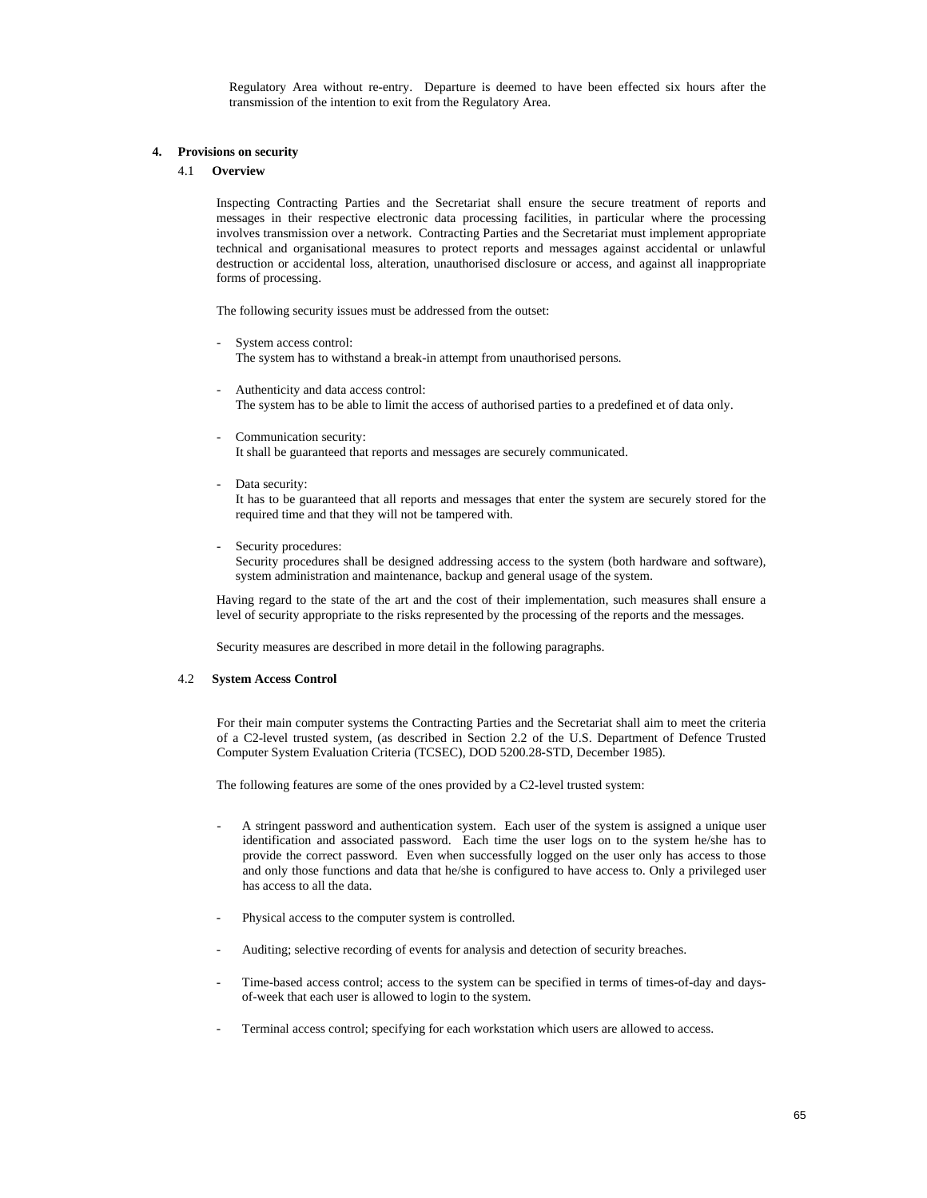Regulatory Area without re-entry. Departure is deemed to have been effected six hours after the transmission of the intention to exit from the Regulatory Area.

#### **4. Provisions on security**

#### 4.1 **Overview**

Inspecting Contracting Parties and the Secretariat shall ensure the secure treatment of reports and messages in their respective electronic data processing facilities, in particular where the processing involves transmission over a network. Contracting Parties and the Secretariat must implement appropriate technical and organisational measures to protect reports and messages against accidental or unlawful destruction or accidental loss, alteration, unauthorised disclosure or access, and against all inappropriate forms of processing.

The following security issues must be addressed from the outset:

- System access control: The system has to withstand a break-in attempt from unauthorised persons.
- Authenticity and data access control: The system has to be able to limit the access of authorised parties to a predefined et of data only.
- Communication security: It shall be guaranteed that reports and messages are securely communicated.
- Data security:

 It has to be guaranteed that all reports and messages that enter the system are securely stored for the required time and that they will not be tampered with.

Security procedures: Security procedures shall be designed addressing access to the system (both hardware and software), system administration and maintenance, backup and general usage of the system.

Having regard to the state of the art and the cost of their implementation, such measures shall ensure a level of security appropriate to the risks represented by the processing of the reports and the messages.

Security measures are described in more detail in the following paragraphs.

#### 4.2 **System Access Control**

For their main computer systems the Contracting Parties and the Secretariat shall aim to meet the criteria of a C2-level trusted system, (as described in Section 2.2 of the U.S. Department of Defence Trusted Computer System Evaluation Criteria (TCSEC), DOD 5200.28-STD, December 1985).

The following features are some of the ones provided by a C2-level trusted system:

- A stringent password and authentication system. Each user of the system is assigned a unique user identification and associated password. Each time the user logs on to the system he/she has to provide the correct password. Even when successfully logged on the user only has access to those and only those functions and data that he/she is configured to have access to. Only a privileged user has access to all the data.
- Physical access to the computer system is controlled.
- Auditing; selective recording of events for analysis and detection of security breaches.
- Time-based access control; access to the system can be specified in terms of times-of-day and daysof-week that each user is allowed to login to the system.
- Terminal access control; specifying for each workstation which users are allowed to access.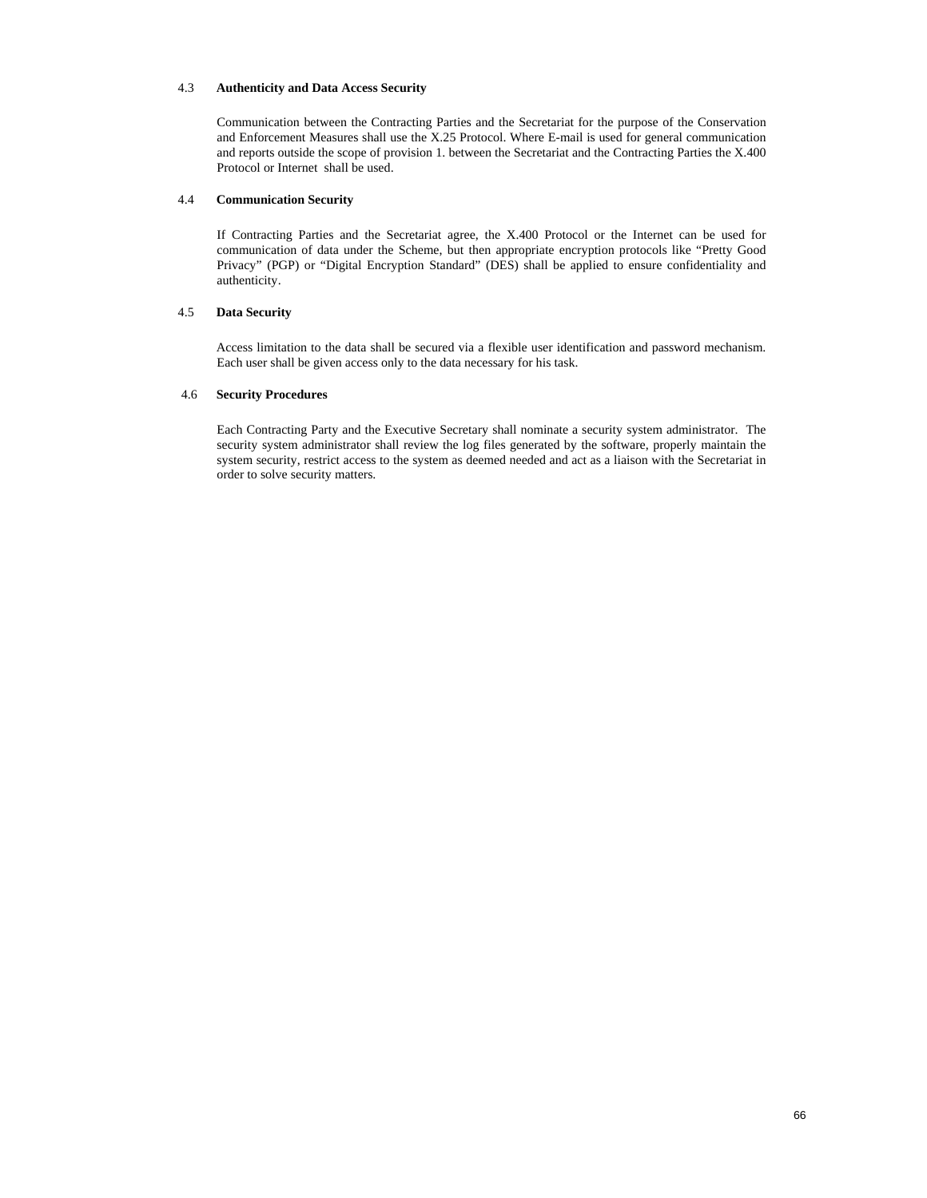#### 4.3 **Authenticity and Data Access Security**

Communication between the Contracting Parties and the Secretariat for the purpose of the Conservation and Enforcement Measures shall use the X.25 Protocol. Where E-mail is used for general communication and reports outside the scope of provision 1. between the Secretariat and the Contracting Parties the X.400 Protocol or Internet shall be used.

#### 4.4 **Communication Security**

If Contracting Parties and the Secretariat agree, the X.400 Protocol or the Internet can be used for communication of data under the Scheme, but then appropriate encryption protocols like "Pretty Good Privacy" (PGP) or "Digital Encryption Standard" (DES) shall be applied to ensure confidentiality and authenticity.

#### 4.5 **Data Security**

 Access limitation to the data shall be secured via a flexible user identification and password mechanism. Each user shall be given access only to the data necessary for his task.

#### 4.6 **Security Procedures**

Each Contracting Party and the Executive Secretary shall nominate a security system administrator. The security system administrator shall review the log files generated by the software, properly maintain the system security, restrict access to the system as deemed needed and act as a liaison with the Secretariat in order to solve security matters.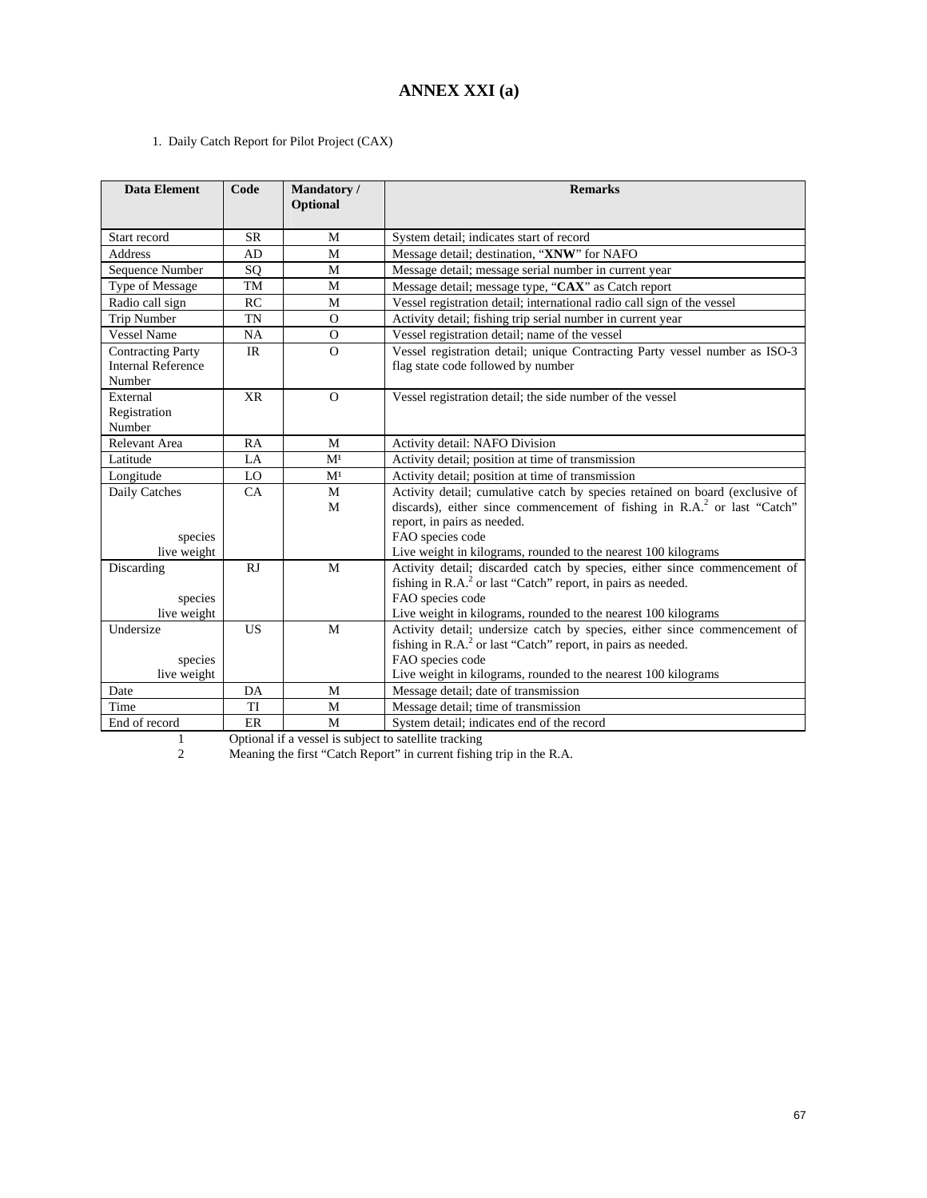### **ANNEX XXI (a)**

1. Daily Catch Report for Pilot Project (CAX)

| <b>Data Element</b>                                             | Code      | Mandatory/<br>Optional | <b>Remarks</b>                                                                                                                                                                                                                                                                   |  |  |
|-----------------------------------------------------------------|-----------|------------------------|----------------------------------------------------------------------------------------------------------------------------------------------------------------------------------------------------------------------------------------------------------------------------------|--|--|
| Start record                                                    | <b>SR</b> | M                      | System detail; indicates start of record                                                                                                                                                                                                                                         |  |  |
| <b>Address</b>                                                  | AD        | M                      | Message detail; destination, "XNW" for NAFO                                                                                                                                                                                                                                      |  |  |
| Sequence Number                                                 | SQ        | M                      | Message detail; message serial number in current year                                                                                                                                                                                                                            |  |  |
| Type of Message                                                 | TM        | M                      | Message detail; message type, "CAX" as Catch report                                                                                                                                                                                                                              |  |  |
| Radio call sign                                                 | RC        | M                      | Vessel registration detail; international radio call sign of the vessel                                                                                                                                                                                                          |  |  |
| <b>Trip Number</b>                                              | <b>TN</b> | $\Omega$               | Activity detail; fishing trip serial number in current year                                                                                                                                                                                                                      |  |  |
| <b>Vessel Name</b>                                              | <b>NA</b> | $\Omega$               | Vessel registration detail; name of the vessel                                                                                                                                                                                                                                   |  |  |
| <b>Contracting Party</b><br><b>Internal Reference</b><br>Number | <b>IR</b> | $\Omega$               | Vessel registration detail; unique Contracting Party vessel number as ISO-3<br>flag state code followed by number                                                                                                                                                                |  |  |
| External<br>Registration<br>Number                              | <b>XR</b> | $\Omega$               | Vessel registration detail; the side number of the vessel                                                                                                                                                                                                                        |  |  |
| Relevant Area                                                   | RA        | M                      | Activity detail: NAFO Division                                                                                                                                                                                                                                                   |  |  |
| Latitude                                                        | $L_A$     | M <sup>1</sup>         | Activity detail; position at time of transmission                                                                                                                                                                                                                                |  |  |
| Longitude                                                       | LO        | M <sup>1</sup>         | Activity detail; position at time of transmission                                                                                                                                                                                                                                |  |  |
| Daily Catches<br>species<br>live weight                         | CA        | M<br>M                 | Activity detail; cumulative catch by species retained on board (exclusive of<br>discards), either since commencement of fishing in $R.A.^2$ or last "Catch"<br>report, in pairs as needed.<br>FAO species code<br>Live weight in kilograms, rounded to the nearest 100 kilograms |  |  |
| Discarding<br>species<br>live weight                            | RJ        | M                      | Activity detail; discarded catch by species, either since commencement of<br>fishing in R.A. <sup>2</sup> or last "Catch" report, in pairs as needed.<br>FAO species code<br>Live weight in kilograms, rounded to the nearest 100 kilograms                                      |  |  |
| Undersize<br>species<br>live weight                             | <b>US</b> | M                      | Activity detail; undersize catch by species, either since commencement of<br>fishing in R.A. <sup>2</sup> or last "Catch" report, in pairs as needed.<br>FAO species code<br>Live weight in kilograms, rounded to the nearest 100 kilograms                                      |  |  |
| Date                                                            | DA        | M                      | Message detail; date of transmission                                                                                                                                                                                                                                             |  |  |
| Time                                                            | TI        | M                      | Message detail; time of transmission                                                                                                                                                                                                                                             |  |  |
| End of record                                                   | ER        | M                      | System detail; indicates end of the record                                                                                                                                                                                                                                       |  |  |

1 Optional if a vessel is subject to satellite tracking

2 Meaning the first "Catch Report" in current fishing trip in the R.A.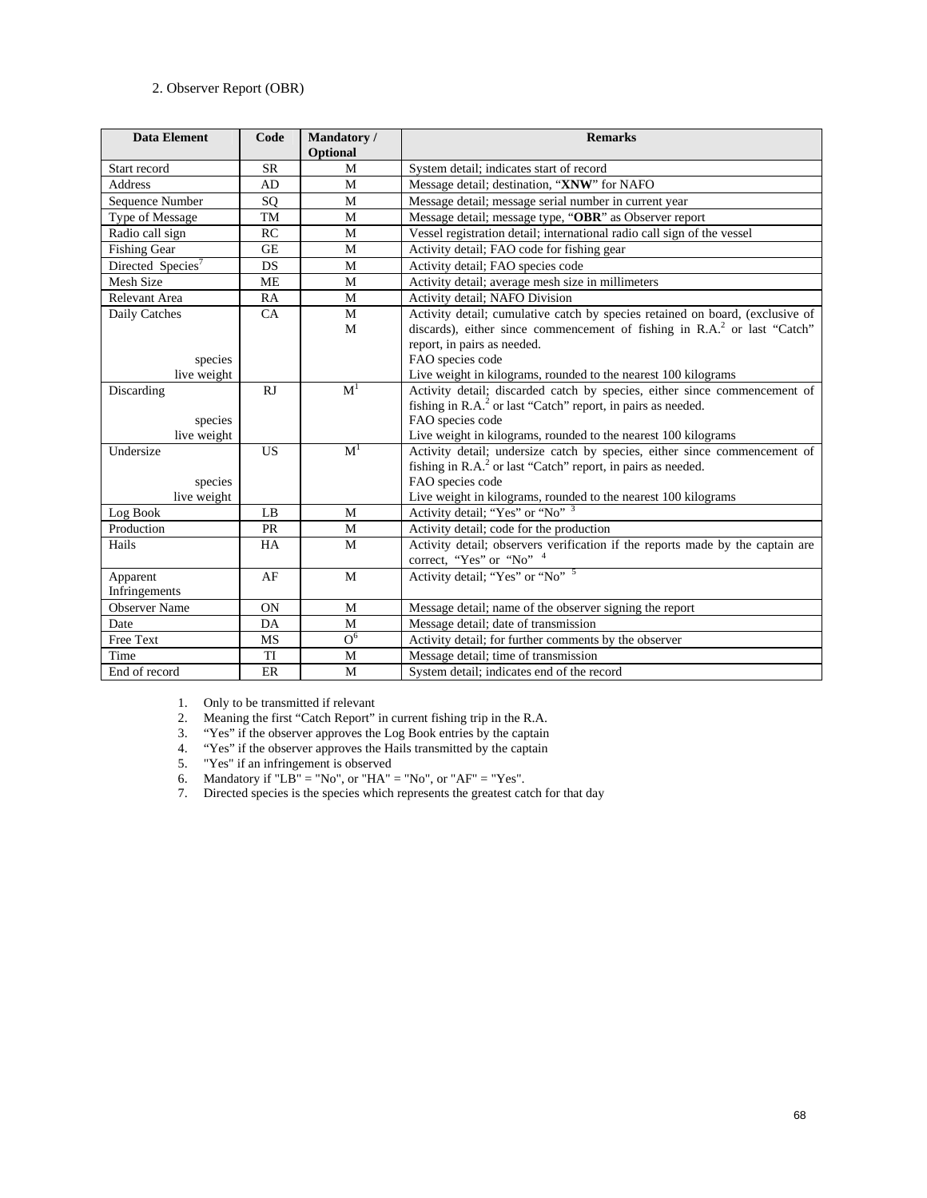#### 2. Observer Report (OBR)

| <b>Data Element</b>                 | Code      | Mandatory/<br>Optional | <b>Remarks</b>                                                                                                                                                                                                                              |  |  |
|-------------------------------------|-----------|------------------------|---------------------------------------------------------------------------------------------------------------------------------------------------------------------------------------------------------------------------------------------|--|--|
| Start record                        | <b>SR</b> | M                      | System detail; indicates start of record                                                                                                                                                                                                    |  |  |
| Address                             | AD        | M                      | Message detail; destination, "XNW" for NAFO                                                                                                                                                                                                 |  |  |
| Sequence Number<br>SQ<br>M          |           |                        | Message detail; message serial number in current year                                                                                                                                                                                       |  |  |
| Type of Message                     | TM        | M                      | Message detail; message type, "OBR" as Observer report                                                                                                                                                                                      |  |  |
| Radio call sign                     | RC        | M                      | Vessel registration detail; international radio call sign of the vessel                                                                                                                                                                     |  |  |
| <b>Fishing Gear</b>                 | <b>GE</b> | M                      | Activity detail; FAO code for fishing gear                                                                                                                                                                                                  |  |  |
| Directed Species <sup>7</sup>       | <b>DS</b> | M                      | Activity detail; FAO species code                                                                                                                                                                                                           |  |  |
| Mesh Size                           | <b>ME</b> | M                      | Activity detail; average mesh size in millimeters                                                                                                                                                                                           |  |  |
| Relevant Area                       | RA        | $\mathbf M$            | Activity detail: NAFO Division                                                                                                                                                                                                              |  |  |
| Daily Catches                       | <b>CA</b> | M<br>М                 | Activity detail; cumulative catch by species retained on board, (exclusive of<br>discards), either since commencement of fishing in R.A. <sup>2</sup> or last "Catch"<br>report, in pairs as needed.                                        |  |  |
| species                             |           |                        | FAO species code                                                                                                                                                                                                                            |  |  |
| live weight                         |           |                        | Live weight in kilograms, rounded to the nearest 100 kilograms                                                                                                                                                                              |  |  |
| Discarding<br>species               | RJ        | $\overline{M}^1$       | Activity detail; discarded catch by species, either since commencement of<br>fishing in R.A. <sup>2</sup> or last "Catch" report, in pairs as needed.                                                                                       |  |  |
| live weight                         |           |                        | FAO species code<br>Live weight in kilograms, rounded to the nearest 100 kilograms                                                                                                                                                          |  |  |
| Undersize<br>species<br>live weight | <b>US</b> | M <sup>1</sup>         | Activity detail; undersize catch by species, either since commencement of<br>fishing in R.A. <sup>2</sup> or last "Catch" report, in pairs as needed.<br>FAO species code<br>Live weight in kilograms, rounded to the nearest 100 kilograms |  |  |
| Log Book                            | LB        | M                      | Activity detail; "Yes" or "No" 3                                                                                                                                                                                                            |  |  |
| Production                          | <b>PR</b> | M                      | Activity detail; code for the production                                                                                                                                                                                                    |  |  |
| Hails                               | HA        | M                      | Activity detail; observers verification if the reports made by the captain are<br>correct, "Yes" or "No" <sup>4</sup>                                                                                                                       |  |  |
| Apparent<br>Infringements           | AF        | M                      | Activity detail; "Yes" or "No" 5                                                                                                                                                                                                            |  |  |
| <b>Observer Name</b>                | <b>ON</b> | M                      | Message detail; name of the observer signing the report                                                                                                                                                                                     |  |  |
| Date                                | DA        | M                      | Message detail; date of transmission                                                                                                                                                                                                        |  |  |
| Free Text                           | <b>MS</b> | 0 <sup>6</sup>         | Activity detail; for further comments by the observer                                                                                                                                                                                       |  |  |
| Time                                | <b>TI</b> | M                      | Message detail; time of transmission                                                                                                                                                                                                        |  |  |
| End of record                       | ER        | M                      | System detail; indicates end of the record                                                                                                                                                                                                  |  |  |

1. Only to be transmitted if relevant

- 2. Meaning the first "Catch Report" in current fishing trip in the R.A.
- 3. "Yes" if the observer approves the Log Book entries by the captain
- 4. "Yes" if the observer approves the Hails transmitted by the captain
- 5. "Yes" if an infringement is observed
- 6. Mandatory if "LB" = "No", or "HA" = "No", or "AF" = "Yes".
- 7. Directed species is the species which represents the greatest catch for that day